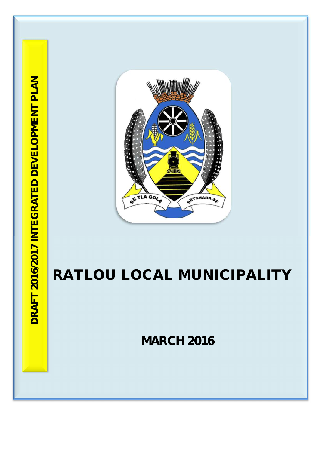

# **RATLOU LOCAL MUNICIPALITY**

**MARCH 2016**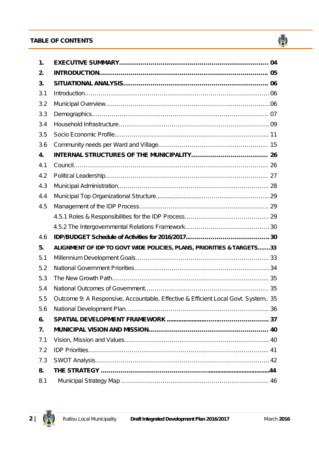# **TABLE OF CONTENTS TABLE OF CONTENTS**

| 1.  |                                                                                   |  |
|-----|-----------------------------------------------------------------------------------|--|
| 2.  |                                                                                   |  |
| 3.  |                                                                                   |  |
| 3.1 |                                                                                   |  |
| 3.2 |                                                                                   |  |
| 3.3 |                                                                                   |  |
| 3.4 |                                                                                   |  |
| 3.5 |                                                                                   |  |
| 3.6 |                                                                                   |  |
| 4.  |                                                                                   |  |
| 4.1 |                                                                                   |  |
| 4.2 |                                                                                   |  |
| 4.3 |                                                                                   |  |
| 4.4 |                                                                                   |  |
| 4.5 |                                                                                   |  |
|     |                                                                                   |  |
|     |                                                                                   |  |
| 4.6 |                                                                                   |  |
| 5.  | ALIGNMENT OF IDP TO GOVT WIDE POLICIES, PLANS, PRIORITIES & TARGETS33             |  |
| 5.1 |                                                                                   |  |
| 5.2 |                                                                                   |  |
| 5.3 |                                                                                   |  |
| 5.4 |                                                                                   |  |
| 5.5 | Outcome 9: A Responsive, Accountable, Effective & Efficient Local Govt. System 35 |  |
| 5.6 |                                                                                   |  |
| 6.  |                                                                                   |  |
| 7.  |                                                                                   |  |
| 7.1 |                                                                                   |  |
| 7.2 |                                                                                   |  |
| 7.3 |                                                                                   |  |
| 8.  |                                                                                   |  |
| 8.1 |                                                                                   |  |



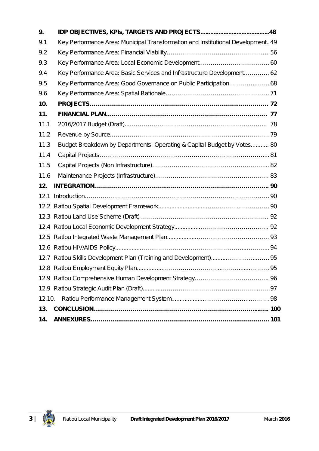| 9.     |                                                                                 |  |
|--------|---------------------------------------------------------------------------------|--|
| 9.1    | Key Performance Area: Municipal Transformation and Institutional Development 49 |  |
| 9.2    |                                                                                 |  |
| 9.3    |                                                                                 |  |
| 9.4    | Key Performance Area: Basic Services and Infrastructure Development 62          |  |
| 9.5    | Key Performance Area: Good Governance on Public Participation 68                |  |
| 9.6    |                                                                                 |  |
| 10.    |                                                                                 |  |
| 11.    |                                                                                 |  |
| 11.1   |                                                                                 |  |
| 11.2   |                                                                                 |  |
| 11.3   | Budget Breakdown by Departments: Operating & Capital Budget by Votes 80         |  |
| 11.4   |                                                                                 |  |
| 11.5   |                                                                                 |  |
| 11.6   |                                                                                 |  |
| 12.    |                                                                                 |  |
| 12.1   |                                                                                 |  |
|        |                                                                                 |  |
|        |                                                                                 |  |
|        |                                                                                 |  |
|        |                                                                                 |  |
|        |                                                                                 |  |
|        |                                                                                 |  |
|        |                                                                                 |  |
|        |                                                                                 |  |
|        |                                                                                 |  |
| 12.10. |                                                                                 |  |
| 13.    |                                                                                 |  |
| 14.    |                                                                                 |  |

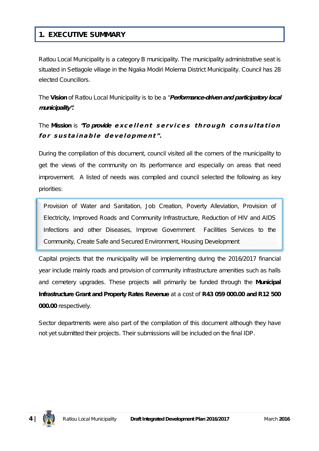# **1. EXECUTIVE SUMMARY**

Ratlou Local Municipality is a category B municipality. The municipality administrative seat is situated in Setlagole village in the Ngaka Modiri Molema District Municipality. Council has 28 elected Councillors.

The **Vision** of Ratlou Local Municipality is to be a *"Performance-driven and participatory local municipality".*

# The Mission is "To provide excellent services through consultation for sustainable development".

During the compilation of this document, council visited all the corners of the municipality to get the views of the community on its performance and especially on areas that need improvement. A listed of needs was compiled and council selected the following as key priorities:

Provision of Water and Sanitation, Job Creation, Poverty Alleviation, Provision of Electricity, Improved Roads and Community Infrastructure, Reduction of HIV and AIDS Infections and other Diseases, Improve Government Facilities Services to the Community, Create Safe and Secured Environment, Housing Development

Capital projects that the municipality will be implementing during the 2016/2017 financial year include mainly roads and provision of community infrastructure amenities such as halls and cemetery upgrades. These projects will primarily be funded through the **Municipal Infrastructure Grant and Property Rates Revenue** at a cost of **R43 059 000.00 and R12 500 000.00** respectively.

Sector departments were also part of the compilation of this document although they have not yet submitted their projects. Their submissions will be included on the final IDP.

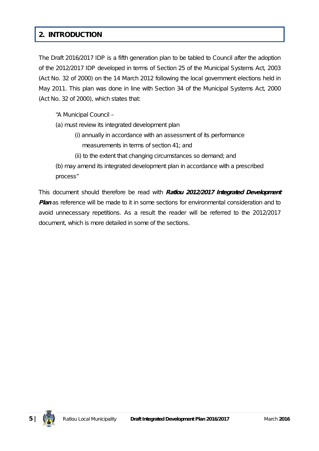# **2. INTRODUCTION**

The Draft 2016/2017 IDP is a fifth generation plan to be tabled to Council after the adoption of the 2012/2017 IDP developed in terms of Section 25 of the Municipal Systems Act, 2003 (Act No. 32 of 2000) on the 14 March 2012 following the local government elections held in May 2011. This plan was done in line with Section 34 of the Municipal Systems Act, 2000 (Act No. 32 of 2000), which states that:

*"A Municipal Council –*

- *(a) must review its integrated development plan*
	- *(i) annually in accordance with an assessment of its performance measurements in terms of section 41; and*
	- *(ii) to the extent that changing circumstances so demand; and*

*(b) may amend its integrated development plan in accordance with a prescribed process"*

This document should therefore be read with *Ratlou 2012/2017 Integrated Development Plan* as reference will be made to it in some sections for environmental consideration and to avoid unnecessary repetitions*.* As a result the reader will be referred to the 2012/2017 document, which is more detailed in some of the sections.

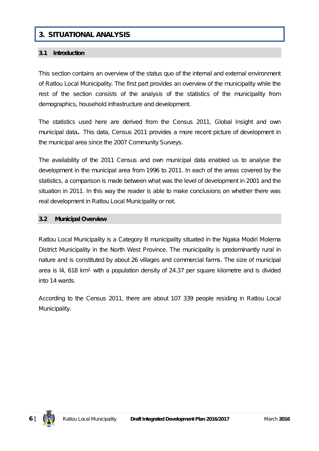# **3. SITUATIONAL ANALYSIS**

#### **3.1 Introduction**

This section contains an overview of the status quo of the internal and external environment of Ratlou Local Municipality. The first part provides an overview of the municipality while the rest of the section consists of the analysis of the statistics of the municipality from demographics, household infrastructure and development.

The statistics used here are derived from the *Census 2011, Global Insight and own municipal data.* This data, Census 2011 provides a more recent picture of development in the municipal area since the 2007 Community Surveys.

The availability of the 2011 Census and own municipal data enabled us to analyse the development in the municipal area from 1996 to 2011. In each of the areas covered by the statistics, a comparison is made between what was the level of development in 2001 and the situation in 2011. In this way the reader is able to make conclusions on whether there was real development in Ratlou Local Municipality or not.

#### **3.2 Municipal Overview**

Ratlou Local Municipality is a Category B municipality situated in the Ngaka Modiri Molema District Municipality in the North West Province. The municipality is predominantly rural in nature and is constituted by about 26 villages and commercial farms. The size of municipal area is 14, 618 km<sup>2,</sup> with a population density of 24.37 per square kilometre and is divided into 14 wards.

According to the Census 2011, there are about 107 339 people residing in Ratlou Local Municipality.

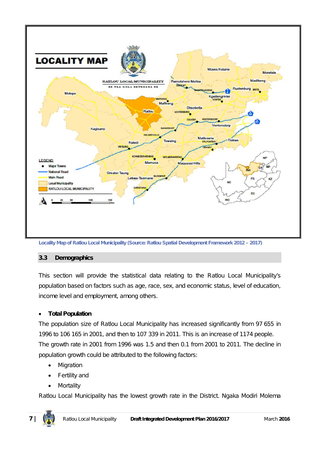

# **3.3 Demographics**

This section will provide the statistical data relating to the Ratlou Local Municipality's population based on factors such as age, race, sex, and economic status, level of education, income level and employment, among others.

# **Total Population**

The population size of Ratlou Local Municipality has increased significantly from 97 655 in 1996 to 106 165 in 2001, and then to 107 339 in 2011. This is an increase of 1174 people. The growth rate in 2001 from 1996 was 1.5 and then 0.1 from 2001 to 2011. The decline in population growth could be attributed to the following factors:

- Migration
- Fertility and
- Mortality

Ratlou Local Municipality has the lowest growth rate in the District. Ngaka Modiri Molema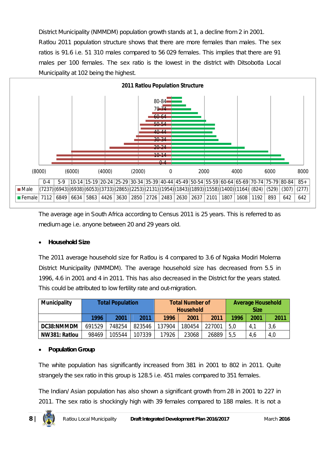District Municipality (NMMDM) population growth stands at 1, a decline from 2 in 2001. Ratlou 2011 population structure shows that there are more females than males. The sex ratios is 91.6 i.e. 51 310 males compared to 56 029 females. This implies that there are 91 males per 100 females. The sex ratio is the lowest in the district with Ditsobotla Local Municipality at 102 being the highest.



The average age in South Africa according to Census 2011 is 25 years. This is referred to as medium age i.e. anyone between 20 and 29 years old.

# **Household Size**

The 2011 average household size for Ratlou is 4 compared to 3.6 of Ngaka Modiri Molema District Municipality (NMMDM). The average household size has decreased from 5.5 in 1996, 4.6 in 2001 and 4 in 2011. This has also decreased in the District for the years stated. This could be attributed to low fertility rate and out-migration.

| <b>Municipality</b> | <b>Total Population</b> |        |        |        | <b>Total Number of</b><br><b>Household</b> |        |      | <b>Average Household</b><br><b>Size</b> |      |  |
|---------------------|-------------------------|--------|--------|--------|--------------------------------------------|--------|------|-----------------------------------------|------|--|
|                     | 1996                    | 2001   | 2011   | 1996   | 2001                                       | 2011   | 1996 | 2001                                    | 2011 |  |
| DC38:NMMDM          | 691529                  | 748254 | 823546 | 137904 | 180454                                     | 227001 | 5,0  | 4,1                                     | 3,6  |  |
| NW381: Ratlou       | 98469                   | 105544 | 107339 | 17926  | 23068                                      | 26889  | 5,5  | 4,6                                     | 4,0  |  |

# **Population Group**

The white population has significantly increased from 381 in 2001 to 802 in 2011. Quite strangely the sex ratio in this group is 128.5 i.e. 451 males compared to 351 females.

The Indian/ Asian population has also shown a significant growth from 28 in 2001 to 227 in 2011. The sex ratio is shockingly high with 39 females compared to 188 males. It is not a

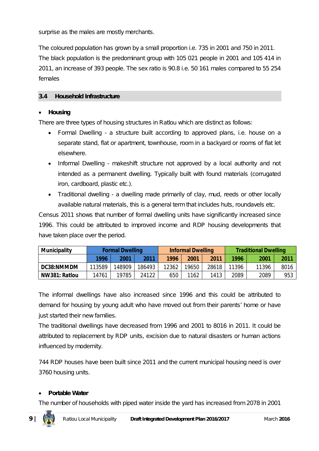surprise as the males are mostly merchants.

The coloured population has grown by a small proportion i.e. 735 in 2001 and 750 in 2011. The black population is the predominant group with 105 021 people in 2001 and 105 414 in 2011, an increase of 393 people. The sex ratio is 90.8 i.e. 50 161 males compared to 55 254 females

## **3.4 Household Infrastructure**

#### **Housing**

There are three types of housing structures in Ratlou which are distinct as follows:

- Formal Dwelling a structure built according to approved plans, i.e. house on a separate stand, flat or apartment, townhouse, room in a backyard or rooms of flat let elsewhere.
- Informal Dwelling makeshift structure not approved by a local authority and not intended as a permanent dwelling. Typically built with found materials (corrugated iron, cardboard, plastic etc.).
- Traditional dwelling a dwelling made primarily of clay, mud, reeds or other locally available natural materials, this is a general term that includes huts, roundavels etc.

Census 2011 shows that number of formal dwelling units have significantly increased since 1996. This could be attributed to improved income and RDP housing developments that have taken place over the period.

| <b>Municipality</b> | <b>Formal Dwelling</b> |        |        | <b>Informal Dwelling</b> |       |       | <b>Traditional Dwelling</b> |       |      |
|---------------------|------------------------|--------|--------|--------------------------|-------|-------|-----------------------------|-------|------|
|                     | 1996                   | 2001   | 2011   | 1996                     | 2001  | 2011  | 1996                        | 2001  | 2011 |
| DC38:NMMDM          | 113589                 | 148909 | 186493 | 12362                    | 19650 | 28618 | 11396                       | 11396 | 8016 |
| NW381: Ratlou       | 14761                  | 19785  | 24122  | 650                      | 1162  | 1413  | 2089                        | 2089  | 953  |

The informal dwellings have also increased since 1996 and this could be attributed to demand for housing by young adult who have moved out from their parents' home or have just started their new families.

The traditional dwellings have decreased from 1996 and 2001 to 8016 in 2011. It could be attributed to replacement by RDP units, excision due to natural disasters or human actions influenced by modernity.

744 RDP houses have been built since 2011 and the current municipal housing need is over 3760 housing units.

#### **Portable Water**

The number of households with piped water inside the yard has increased from 2078 in 2001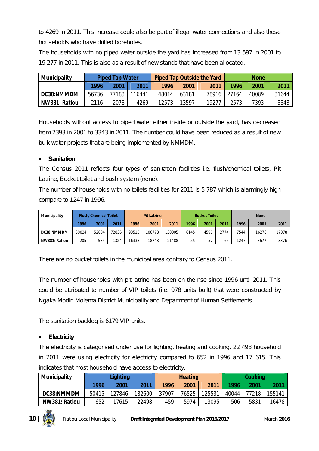to 4269 in 2011. This increase could also be part of illegal water connections and also those households who have drilled boreholes.

The households with no piped water outside the yard has increased from 13 597 in 2001 to 19 277 in 2011. This is also as a result of new stands that have been allocated.

| <b>Municipality</b> | <b>Piped Tap Water</b> |       |        | <b>Piped Tap Outside the Yard</b> |       |       | <b>None</b> |       |       |
|---------------------|------------------------|-------|--------|-----------------------------------|-------|-------|-------------|-------|-------|
|                     | 1996                   | 2001  | 2011   | 1996                              | 2001  | 2011  | 1996        | 2001  | 2011  |
| DC38:NMMDM          | 56736                  | 77183 | 116441 | 48014                             | 63181 | 78916 | 27164       | 40089 | 31644 |
| NW381: Ratlou       | 2116                   | 2078  | 4269   | 12573                             | 13597 | 1927. | 2573        | 7393  | 3343  |

Households without access to piped water either inside or outside the yard, has decreased from 7393 in 2001 to 3343 in 2011. The number could have been reduced as a result of new bulk water projects that are being implemented by NMMDM.

# **Sanitation**

The Census 2011 reflects four types of sanitation facilities i.e. flush/chemical toilets, Pit Latrine, Bucket toilet and bush system (none).

The number of households with no toilets facilities for 2011 is 5 787 which is alarmingly high compare to 1247 in 1996.

| <b>Municipality</b> | <b>Flush/Chemical Toilet</b> |       | <b>Pit Latrine</b> |       | <b>Bucket Toilet</b> |        |      | <b>None</b> |      |      |       |       |
|---------------------|------------------------------|-------|--------------------|-------|----------------------|--------|------|-------------|------|------|-------|-------|
|                     | 1996                         | 2001  | 2011               | 1996  | 2001                 | 2011   | 1996 | 2001        | 2011 | 1996 | 2001  | 2011  |
| DC38:NMMDM          | 30024                        | 52804 | 72836              | 93515 | 106778               | 130005 | 6145 | 4596        | 2774 | 7544 | 16276 | 17078 |
| NW381: Ratlou       | 205                          | 585   | 1324               | 16338 | 18748                | 21488  | 55   | 57          | 65   | 1247 | 3677  | 3376  |

There are no bucket toilets in the municipal area contrary to Census 2011.

The number of households with pit latrine has been on the rise since 1996 until 2011. This could be attributed to number of VIP toilets (i.e. 978 units built) that were constructed by Ngaka Modiri Molema District Municipality and Department of Human Settlements.

The sanitation backlog is 6179 VIP units.

## **Electricity**

The electricity is categorised under use for lighting, heating and cooking. 22 498 household in 2011 were using electricity for electricity compared to 652 in 1996 and 17 615. This indicates that most household have access to electricity.

| <b>Municipality</b> | Lighting |        |        | <b>Heating</b> |       |        | <b>Cooking</b> |       |        |
|---------------------|----------|--------|--------|----------------|-------|--------|----------------|-------|--------|
|                     | 1996     | 2001   | 2011   | 1996           | 2001  | 2011   | 1996           | 2001  | 2011   |
| DC38:NMMDM          | 50415    | 127846 | 182600 | 37907          | 76525 | 125531 | 40044          | 77218 | 155141 |
| NW381: Ratlou       | 652      | 17615  | 22498  | 459            | 5974  | 13095  | 506            | 5831  | 16478  |

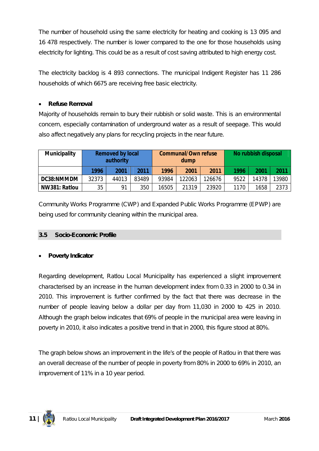The number of household using the same electricity for heating and cooking is 13 095 and 16 478 respectively. The number is lower compared to the one for those households using electricity for lighting. This could be as a result of cost saving attributed to high energy cost.

The electricity backlog is 4 893 connections. The municipal Indigent Register has 11 286 households of which 6675 are receiving free basic electricity.

## **Refuse Removal**

Majority of households remain to bury their rubbish or solid waste. This is an environmental concern, especially contamination of underground water as a result of seepage. This would also affect negatively any plans for recycling projects in the near future.

| <b>Municipality</b> | <b>Removed by local</b><br>authority |       |       | <b>Communal/Own refuse</b><br>dump |        |        | No rubbish disposal |       |       |
|---------------------|--------------------------------------|-------|-------|------------------------------------|--------|--------|---------------------|-------|-------|
|                     | 1996                                 | 2001  | 2011  | 1996                               | 2001   | 2011   | 1996                | 2001  | 2011  |
| DC38:NMMDM          | 32373                                | 44013 | 83489 | 93984                              | 122063 | 126676 | 9522                | 14378 | 13980 |
| NW381: Ratlou       | 35                                   | 91    | 350   | 16505                              | 21319  | 23920  | 1170                | 1658  | 2373  |

Community Works Programme (CWP) and Expanded Public Works Programme (EPWP) are being used for community cleaning within the municipal area.

## **3.5 Socio-Economic Profile**

## **Poverty Indicator**

Regarding development, Ratlou Local Municipality has experienced a slight improvement characterised by an increase in the human development index from 0.33 in 2000 to 0.34 in 2010. This improvement is further confirmed by the fact that there was decrease in the number of people leaving below a dollar per day from 11,030 in 2000 to 425 in 2010. Although the graph below indicates that 69% of people in the municipal area were leaving in poverty in 2010, it also indicates a positive trend in that in 2000, this figure stood at 80%.

The graph below shows an improvement in the life's of the people of Ratlou in that there was an overall decrease of the number of people in poverty from 80% in 2000 to 69% in 2010, an improvement of 11% in a 10 year period.

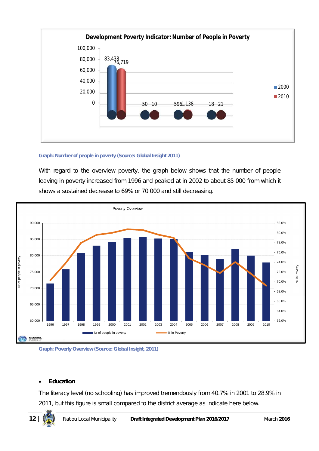

#### **Graph: Number of people in poverty (Source: Global Insight 2011)**

With regard to the overview poverty, the graph below shows that the number of people leaving in poverty increased from 1996 and peaked at in 2002 to about 85 000 from which it shows a sustained decrease to 69% or 70 000 and still decreasing.





## **Education**

The literacy level (no schooling) has improved tremendously from 40.7% in 2001 to 28.9% in 2011, but this figure is small compared to the district average as indicate here below.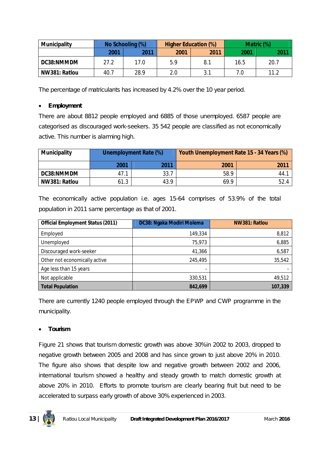| <b>Municipality</b> |      | No Schooling (%) | <b>Higher Education (%)</b> |      | Matric (%) |      |  |
|---------------------|------|------------------|-----------------------------|------|------------|------|--|
|                     | 2001 | 2011             | 2001                        | 2011 | 2001       | 2011 |  |
| DC38:NMMDM          | 27.2 | 17.0             | 5.9                         | 8.1  | 16.5       | 20.7 |  |
| NW381: Ratlou       | 40.7 | 28.9             | 2.0                         | 3.1  | 7.0        | 11.2 |  |

The percentage of matriculants has increased by 4.2% over the 10 year period.

## **Employment**

There are about 8812 people employed and 6885 of those unemployed. 6587 people are categorised as discouraged work-seekers. 35 542 people are classified as not economically active. This number is alarming high.

| <b>Municipality</b> | <b>Unemployment Rate (%)</b> |      | Youth Unemployment Rate 15 - 34 Years (%) |      |  |
|---------------------|------------------------------|------|-------------------------------------------|------|--|
|                     | 2001                         | 2011 | 2001                                      | 2011 |  |
| DC38:NMMDM          | 47.1                         | 33.7 | 58.9                                      | 44.  |  |
| NW381: Ratlou       | 61.3                         | 43.9 | 69.9                                      | 52.4 |  |

The economically active population i.e. ages 15-64 comprises of 53.9% of the total population in 2011 same percentage as that of 2001.

| <b>Official Employment Status (2011)</b> | DC38: Ngaka Modiri Molema | NW381: Ratlou |  |  |
|------------------------------------------|---------------------------|---------------|--|--|
| Employed                                 | 149,334                   | 8,812         |  |  |
| Unemployed                               | 75,973                    | 6,885         |  |  |
| Discouraged work-seeker                  | 41,366                    | 6,587         |  |  |
| Other not economically active            | 245,495                   | 35,542        |  |  |
| Age less than 15 years                   | $\overline{\phantom{a}}$  |               |  |  |
| Not applicable                           | 330,531                   | 49,512        |  |  |
| <b>Total Population</b>                  | 842,699                   | 107,339       |  |  |

There are currently 1240 people employed through the EPWP and CWP programme in the municipality.

# **Tourism**

Figure 21 shows that tourism domestic growth was above 30%in 2002 to 2003, dropped to negative growth between 2005 and 2008 and has since grown to just above 20% in 2010. The figure also shows that despite low and negative growth between 2002 and 2006, international tourism showed a healthy and steady growth to match domestic growth at above 20% in 2010. Efforts to promote tourism are clearly bearing fruit but need to be accelerated to surpass early growth of above 30% experienced in 2003.

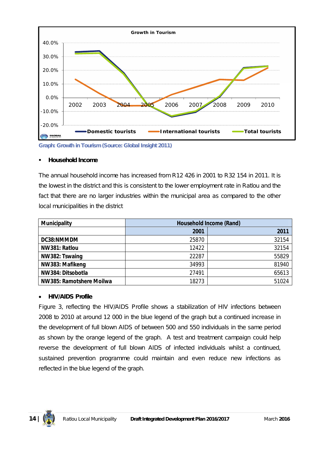

**Graph: Growth in Tourism (Source: Global Insight 2011)**

## **Household Income**

The annual household income has increased from R12 426 in 2001 to R32 154 in 2011. It is the lowest in the district and this is consistent to the lower employment rate in Ratlou and the fact that there are no larger industries within the municipal area as compared to the other local municipalities in the district

| <b>Municipality</b>      |       | <b>Household Income (Rand)</b> |
|--------------------------|-------|--------------------------------|
|                          | 2001  | 2011                           |
| DC38:NMMDM               | 25870 | 32154                          |
| NW381: Ratlou            | 12422 | 32154                          |
| NW382: Tswaing           | 22287 | 55829                          |
| NW383: Mafikeng          | 34993 | 81940                          |
| NW384: Ditsobotla        | 27491 | 65613                          |
| NW385: Ramotshere Moilwa | 18273 | 51024                          |

# **HIV/AIDS Profile**

Figure 3, reflecting the HIV/AIDS Profile shows a stabilization of HIV infections between 2008 to 2010 at around 12 000 in the blue legend of the graph but a continued increase in the development of full blown AIDS of between 500 and 550 individuals in the same period as shown by the orange legend of the graph. A test and treatment campaign could help reverse the development of full blown AIDS of infected individuals whilst a continued, sustained prevention programme could maintain and even reduce new infections as reflected in the blue legend of the graph.

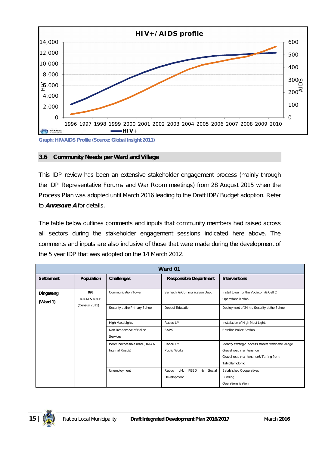

## **3.6 Community Needs per Ward and Village**

This IDP review has been an extensive stakeholder engagement process (mainly through the IDP Representative Forums and War Room meetings) from 28 August 2015 when the Process Plan was adopted until March 2016 leading to the Draft IDP/ Budget adoption. Refer to *Annexure A* for details.

The table below outlines comments and inputs that community members had raised across all sectors during the stakeholder engagement sessions indicated here above. The comments and inputs are also inclusive of those that were made during the development of the 5 year IDP that was adopted on the 14 March 2012.

| Ward 01               |                                             |                                                    |                                                     |                                                                                                                                            |  |
|-----------------------|---------------------------------------------|----------------------------------------------------|-----------------------------------------------------|--------------------------------------------------------------------------------------------------------------------------------------------|--|
| <b>Settlement</b>     | Population                                  | Challenges                                         | <b>Responsible Department</b>                       | <b>Interventions</b>                                                                                                                       |  |
| Dingateng<br>(Ward 1) | 898<br>404 M & 494 F                        | <b>Communication Tower</b>                         | Sentech & Communication Dept.                       | Install tower for the Vodacom & Cell C<br>Operationalization                                                                               |  |
|                       | (Census 2011)                               | Security at the Primary School                     | Dept of Education                                   | Deployment of 24 hrs Security at the School                                                                                                |  |
|                       |                                             | High Mast Lights                                   | Ratlou LM                                           | Installation of High Mast Lights                                                                                                           |  |
|                       | Non Responsive of Police<br><b>Services</b> | <b>SAPS</b>                                        | Satellite Police Station                            |                                                                                                                                            |  |
|                       |                                             | Poor/ inaccessible road (D414 &<br>Internal Roads) | Ratlou LM<br>Public Works                           | Identify strategic access streets within the village<br>Gravel road maintenance<br>Gravel road maintenance& Tarring from<br>Tshidilamolomo |  |
|                       |                                             | Unemployment                                       | FEED<br>LM,<br>&<br>Social<br>Ratlou<br>Development | <b>Established Cooperatives</b><br>Funding<br>Operationalization                                                                           |  |

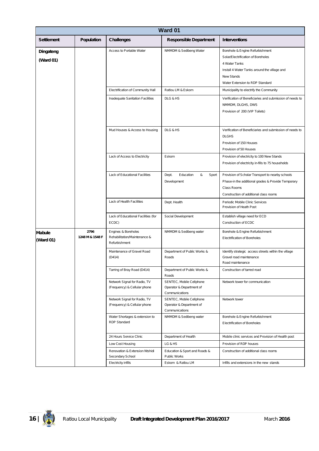| Ward 01                    |                         |                                                                      |                                                                        |                                                                                                                                                                                                |
|----------------------------|-------------------------|----------------------------------------------------------------------|------------------------------------------------------------------------|------------------------------------------------------------------------------------------------------------------------------------------------------------------------------------------------|
| <b>Settlement</b>          | Population              | <b>Challenges</b>                                                    | <b>Responsible Department</b>                                          | <b>Interventions</b>                                                                                                                                                                           |
| Dingateng<br>(Ward 01)     |                         | Access to Portable Water                                             | NMMDM & Sedibeng Water                                                 | Borehole & Engine Refurbishment<br>Solar/Electrification of Boreholes<br>4 Water Tanks<br>Install 4 Water Tanks around the village and<br><b>New Stands</b><br>Water Extension to RDP Standard |
|                            |                         | Electrification of Community Hall                                    | Ratlou LM & Eskom                                                      | Municipality to electrify the Community                                                                                                                                                        |
|                            |                         | Inadequate Sanitation Facilities                                     | DLG & HS                                                               | Verification of Beneficiaries and submission of needs to<br>NMMDM, DLGHS, DWS<br>Provision of 200 (VIP Toilets)                                                                                |
|                            |                         | Mud Houses & Access to Housing                                       | DLG & HS                                                               | Verification of Beneficiaries and submission of needs to<br><b>DLGHS</b><br>Provision of 150 Houses<br>Provision of 50 Houses                                                                  |
|                            |                         | Lack of Access to Electricity                                        | Eskom                                                                  | Provision of electricity to 100 New Stands<br>Provision of electricity in-fills to 75 households                                                                                               |
|                            |                         | Lack of Educational Facilities                                       | Dept.<br>Education<br>&<br>Sport<br>Development                        | Provision of Scholar Transport to nearby schools<br>Phase-in the additional grades & Provide Temporary<br>Class Rooms<br>Construction of additional class rooms                                |
|                            |                         | Lack of Health Facilities                                            | Dept. Health                                                           | Periodic Mobile Clinic Services<br>Provision of Heath Post                                                                                                                                     |
|                            |                         | Lack of Educational Facilities (for<br>ECDC)                         | Social Development                                                     | Establish village need for ECD<br>Construction of ECDC                                                                                                                                         |
| <b>Mabule</b><br>(Ward 01) | 2796<br>1248 M & 1548 F | Engines & Boreholes<br>Rehabilitation/Maintenance &<br>Refurbishment | NMMDM & Sedibeng water                                                 | Borehole & Engine Refurbishment<br>Electrification of Boreholes                                                                                                                                |
|                            |                         | Maintenance of Gravel Road<br>(D414)                                 | Department of Public Works &<br>Roads                                  | Identify strategic access streets within the village<br>Gravel road maintenance<br>Road maintenance                                                                                            |
|                            |                         | Tarring of Bray Road (D414)                                          | Department of Public Works &<br>Roads                                  | Construction of tarred road                                                                                                                                                                    |
|                            |                         | Network Signal for Radio, TV<br>(Frequency) & Cellular phone         | SENTEC, Mobile Cellphone<br>Operator & Department of<br>Communications | Network tower for communication                                                                                                                                                                |
|                            |                         | Network Signal for Radio, TV<br>(Frequency) & Cellular phone         | SENTEC, Mobile Cellphone<br>Operator & Department of<br>Communications | Network tower                                                                                                                                                                                  |
|                            |                         | Water Shortages & extension to<br>RDP Standard                       | NMMDM & Sedibeng water                                                 | Borehole & Engine Refurbishment<br><b>Electrification of Boreholes</b>                                                                                                                         |
|                            |                         | 24 Hours Service Clinic                                              | Department of Health                                                   | Mobile clinic services and Provision of Health post                                                                                                                                            |
|                            |                         | Low Cost Housing                                                     | LG & HS                                                                | Provision of RDP houses                                                                                                                                                                        |
|                            |                         | Renovation & Extension Ntshidi<br>Secondary School                   | Education & Sport and Roads &<br>Public Works                          | Construction of additional class rooms                                                                                                                                                         |
|                            |                         | Electricity infills                                                  | Eskom & Ratlou LM                                                      | Infills and extensions in the new stands                                                                                                                                                       |

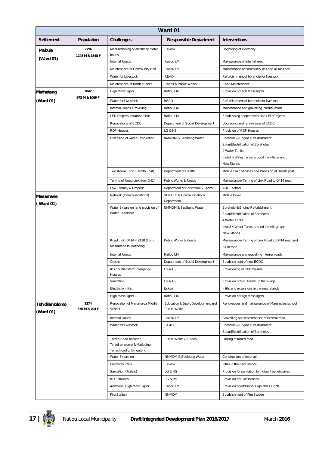|                             | Ward 01                 |                                                        |                                    |                                                                       |  |  |
|-----------------------------|-------------------------|--------------------------------------------------------|------------------------------------|-----------------------------------------------------------------------|--|--|
| <b>Settlement</b>           | Population              | <b>Challenges</b>                                      | <b>Responsible Department</b>      | <b>Interventions</b>                                                  |  |  |
| <b>Mabule</b>               | 2796<br>1248 M & 1548 F | Malfunctioning of electricity meter<br>boxes           | Eskom                              | Upgrading of electricity                                              |  |  |
| (Ward 01)                   |                         | Internal Roads                                         | Ratlou LM                          | Maintenance of internal road                                          |  |  |
|                             |                         | Maintenance of Community Hall                          | Ratlou LM                          | Maintenance of community hall and all facilities                      |  |  |
|                             |                         | Water for Livestock                                    | <b>READ</b>                        | Refurbishment of borehole for livestock                               |  |  |
|                             |                         | Maintenance of Border Fence                            | Roads & Public Works               | Road Maintenance                                                      |  |  |
| Mathateng                   | 2042                    | High Mast Lights                                       | Ratlou LM                          | Provision of High Mass lights                                         |  |  |
| (Ward 01)                   | 973 M & 1069 F          | Water for Livestock                                    | <b>READ</b>                        | Refurbishment of borehole for livestock                               |  |  |
|                             |                         | Internal Roads Gravelling                              | Ratlou LM                          | Maintenance and gravelling internal roads                             |  |  |
|                             |                         | LED Projects establishment                             | Ratlou LM                          | Establishing cooperatives and LED Projects                            |  |  |
|                             |                         | Renovations of ECDC                                    | Department of Social Development   | Upgrading and renovations of ECDC                                     |  |  |
|                             |                         | <b>RDP Houses</b>                                      | LG & HS                            | Provision of RDP Houses                                               |  |  |
|                             |                         | <b>Extension of water Reticulation</b>                 | NMMDM & Sedibeng Water             | Borehole & Engine Refurbishment                                       |  |  |
|                             |                         |                                                        |                                    | Solar/Electrification of Boreholes                                    |  |  |
|                             |                         |                                                        |                                    | 4 Water Tanks                                                         |  |  |
|                             |                         |                                                        |                                    | Install 4 Water Tanks around the village and                          |  |  |
|                             |                         |                                                        |                                    | <b>New Stands</b>                                                     |  |  |
|                             |                         | Two Room Clinic (Health Post)                          | Department of Health               | Mobile clinic services and Provision of Health post                   |  |  |
|                             |                         | Tarring of Road-Link from D414                         | Public Works & Roads               | Maintenance/ Tarring of Link Road to D414 road                        |  |  |
|                             |                         | Low Literacy & Dropout                                 | Department of Education & Sports   | <b>ABET</b> school                                                    |  |  |
| Masamane                    |                         | Network (Communications)                               | <b>SENTEC &amp; Communications</b> | Mobile tower                                                          |  |  |
| (Ward 01)                   |                         |                                                        | Department                         |                                                                       |  |  |
|                             |                         | Water Extension (and provision of<br>Water Reservoir)  | NMMDM & Sedibeng Water             | Borehole & Engine Refurbishment<br>Solar/Electrification of Boreholes |  |  |
|                             |                         |                                                        |                                    | 4 Water Tanks                                                         |  |  |
|                             |                         |                                                        |                                    | Install 4 Water Tanks around the village and                          |  |  |
|                             |                         |                                                        |                                    | <b>New Stands</b>                                                     |  |  |
|                             |                         | Road Link: D414 - Z438 (from                           | Public Works & Roads               | Maintenance/ Tarring of Link Road to D414 road and                    |  |  |
|                             |                         | Masamane to Matloding)                                 |                                    | Z438 road                                                             |  |  |
|                             |                         | Internal Roads                                         | Ratlou LM                          | Maintenance and gravelling internal roads                             |  |  |
|                             |                         | Crèche                                                 | Department of Social Development   | Establishment of new ECDC                                             |  |  |
|                             |                         | RDP & Disaster/ Emergency                              | LG & HS                            | Provisioning of RDP houses                                            |  |  |
|                             |                         | Houses<br>Sanitation                                   | LG & HS                            | Provision of VIP Toilets in the village                               |  |  |
|                             |                         | <b>Electricity infills</b>                             | Eskom                              | Infills and extensions in the new stands                              |  |  |
|                             |                         | High Mast Lights                                       | Ratlou LM                          | Provision of High Mass lights                                         |  |  |
|                             | 1274                    | Renovation of Marumuloa Middle                         | Education & Sport Development and  | Renovations and maintenance of Marumoloa school                       |  |  |
| Tshidilamolomo<br>(Ward 01) | 570 M & 704 F           | School                                                 | Public Works                       |                                                                       |  |  |
|                             |                         | Internal Roads                                         | Ratlou LM                          | Gravelling and maintenance of internal road                           |  |  |
|                             |                         | Water for Livestock                                    | READ                               | Borehole & Engine Refurbishment                                       |  |  |
|                             |                         |                                                        |                                    | Solar/Electrification of Boreholes                                    |  |  |
|                             |                         | Tarred Road between                                    | Public Works & Roads               | Linking of tarred road                                                |  |  |
|                             |                         | Tshidilamolomo & Matloding<br>Tarred road to Dingateng |                                    |                                                                       |  |  |
|                             |                         | Water Extension                                        | NMMDM & Sedibeng Water             | Construction of reservoir                                             |  |  |
|                             |                         | <b>Electricity infills</b>                             | Eskom                              | Infills in the new stands                                             |  |  |
|                             |                         | Sanitation (Toilets)                                   | LG & HS                            | Provision for sanitation to Indigent beneficiaries                    |  |  |
|                             |                         | <b>RDP Houses</b>                                      | LG & HS                            | Provision of RDP Houses                                               |  |  |
|                             |                         |                                                        |                                    |                                                                       |  |  |
|                             |                         | Additional High Mast Lights                            | Ratlou LM                          | Provision of additional High Mass Lights                              |  |  |
|                             |                         | <b>Fire Station</b>                                    | NMMDM                              | <b>Establishment of Fire Station</b>                                  |  |  |

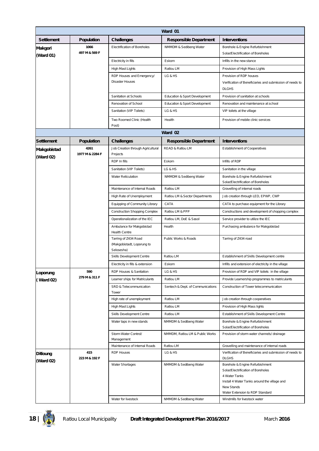|                              |                         |                                                                  | Ward 01                           |                                                                                                                                                                                         |
|------------------------------|-------------------------|------------------------------------------------------------------|-----------------------------------|-----------------------------------------------------------------------------------------------------------------------------------------------------------------------------------------|
| <b>Settlement</b>            | <b>Population</b>       | <b>Challenges</b>                                                | <b>Responsible Department</b>     | <b>Interventions</b>                                                                                                                                                                    |
| Makgori                      | 1066                    | Electrification of Boreholes                                     | NMMDM & Sedibeng Water            | Borehole & Engine Refurbishment                                                                                                                                                         |
| (Ward 01)                    | 497 M & 569 F           |                                                                  |                                   | Solar/Electrification of Boreholes                                                                                                                                                      |
|                              |                         | Electricity in fills                                             | Eskom                             | Infills in the new stance                                                                                                                                                               |
|                              |                         | High Mast Lights                                                 | Ratlou LM                         | Provision of High Mass Lights                                                                                                                                                           |
|                              |                         | RDP Houses and Emergency/<br><b>Disaster Houses</b>              | LG & HS                           | Provision of RDP houses<br>Verification of Beneficiaries and submission of needs to<br><b>DLGHS</b>                                                                                     |
|                              |                         | Sanitation at Schools                                            | Education & Sport Development     | Provision of sanitation at schools                                                                                                                                                      |
|                              |                         | Renovation of School                                             | Education & Sport Development     | Renovation and maintenance at school                                                                                                                                                    |
|                              |                         | Sanitation (VIP Toilets)                                         | LG & HS                           | VIP toilets at the village                                                                                                                                                              |
|                              |                         | Two Roomed Clinic (Health<br>Post)                               | Health                            | Provision of mobile clinic services                                                                                                                                                     |
|                              |                         |                                                                  | Ward 02                           |                                                                                                                                                                                         |
| <b>Settlement</b>            | Population              | <b>Challenges</b>                                                | <b>Responsible Department</b>     | <b>Interventions</b>                                                                                                                                                                    |
| Makgobistad<br>(Ward 02)     | 4261<br>1977 M & 2284 F | Job Creation through Agricultural<br>Projects                    | READ & Ratlou LM                  | <b>Establishment of Cooperatives</b>                                                                                                                                                    |
|                              |                         | RDP In fills                                                     | Eskom                             | Infills of RDP                                                                                                                                                                          |
|                              |                         | Sanitation (VIP Toilets)                                         | LG & HS                           | Sanitation in the village                                                                                                                                                               |
|                              |                         | <b>Water Reticulation</b>                                        | NMMDM & Sedibeng Water            | Borehole & Engine Refurbishment<br>Solar/Electrification of Boreholes                                                                                                                   |
|                              |                         | Maintenance of Internal Roads                                    | Ratlou LM                         | Gravelling of internal roads                                                                                                                                                            |
|                              |                         | High Rate of Unemployment                                        | Ratlou LM & Sector Departments    | Job creation through LED, EPWP, CWP                                                                                                                                                     |
|                              |                         | Equipping of Community Library                                   | CATA                              | CATA to purchase equipment for the Library                                                                                                                                              |
|                              |                         | <b>Construction Shopping Complex</b>                             | Ratlou LM & PPP                   | Constructions and development of shopping complex                                                                                                                                       |
|                              |                         | Operationalization of the IEC                                    | Ratlou LM, DoE & Sasol            | Service provider to utilize the IEC                                                                                                                                                     |
|                              |                         | Ambulance for Makgobistad<br><b>Health Centre</b>                | Health                            | Purchasing ambulance for Makgobistad                                                                                                                                                    |
|                              |                         | Tarring of Z434 Road<br>(Makgobistadt, Loporung to<br>Selosesha) | Public Works & Roads              | Tarring of Z434 road                                                                                                                                                                    |
|                              |                         | Skills Development Centre                                        | Ratlou LM                         | Establishment of Skills Development centre                                                                                                                                              |
|                              |                         | Electricity in fills & extension                                 | Eskom                             | Infills and extension of electricity in the village                                                                                                                                     |
| Loporung                     | 590                     | RDP Houses & Sanitation                                          | LG & HS                           | Provision of RDP and VIP toilets in the village                                                                                                                                         |
| (Ward 02)                    | 279 M & 311 F           | Learner ships for Matriculants                                   | Ratlou LM                         | Provide Learnership programmes to matriculants                                                                                                                                          |
|                              |                         | SRD & Telecommunication<br>Tower                                 | Sentech & Dept. of Communications | Construction of Tower telecommunication                                                                                                                                                 |
|                              |                         | High rate of unemployment                                        | Ratlou LM                         | Job creation through cooperatives                                                                                                                                                       |
|                              |                         | High Mast Lights                                                 | Ratlou LM                         | Provision of High Mass lights                                                                                                                                                           |
|                              |                         | Skills Development Centre                                        | Ratlou LM                         | Establishment of Skills Development Centre                                                                                                                                              |
|                              |                         | Water taps in new stands                                         | NMMDM & Sedibeng Water            | Borehole & Engine Refurbishment<br>Solar/Electrification of Boreholes                                                                                                                   |
|                              |                         | Storm Water Control/<br>Management                               | NMMDM, Ratlou LM & Public Works   | Provision of storm water channels/ drainage                                                                                                                                             |
|                              |                         | Maintenance of Internal Roads                                    | Ratlou LM                         | Gravelling and maintenance of internal roads                                                                                                                                            |
| <b>Ditloung</b><br>(Ward 02) | 415<br>223 M & 192 F    | <b>RDP Houses</b>                                                | LG & HS                           | Verification of Beneficiaries and submission of needs to<br><b>DLGHS</b>                                                                                                                |
|                              |                         | <b>Water Shortages</b>                                           | NMMDM & Sedibeng Water            | Borehole & Engine Refurbishment<br>Solar/Electrification of Boreholes<br>4 Water Tanks<br>Install 4 Water Tanks around the village and<br>New Stands<br>Water Extension to RDP Standard |
|                              |                         | Water for livestock                                              | NMMDM & Sedibeng Water            | Windmills for livestock water                                                                                                                                                           |

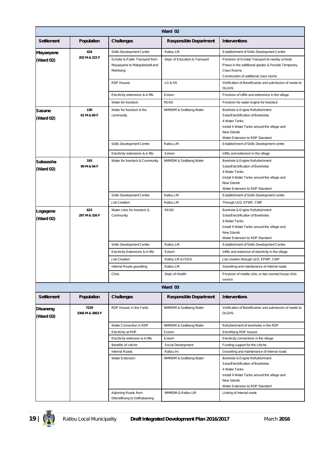|                              |                         |                                                                              | Ward 02                        |                                                                                                                                                                                                |
|------------------------------|-------------------------|------------------------------------------------------------------------------|--------------------------------|------------------------------------------------------------------------------------------------------------------------------------------------------------------------------------------------|
| <b>Settlement</b>            | Population              | <b>Challenges</b>                                                            | <b>Responsible Department</b>  | <b>Interventions</b>                                                                                                                                                                           |
| Mayaeyane                    | 424                     | Skills Development Centre                                                    | Ratlou LM                      | Establishment of Skills Development Centre                                                                                                                                                     |
| (Ward 02)                    | 202 M & 222 F           | Scholar & Public Transport from<br>Mayaeyane to Makgobistadt and<br>Mahikeng | Dept. of Education & Transport | Provision of Scholar Transport to nearby schools<br>Phase-in the additional grades & Provide Temporary<br>Class Rooms<br>Construction of additional class rooms                                |
|                              |                         | <b>RDP Houses</b>                                                            | LG & HS                        | Verification of Beneficiaries and submission of needs to<br><b>DLGHS</b>                                                                                                                       |
|                              |                         | Electricity extensions & in fills                                            | Eskom                          | Provision of infills and extensions in the village                                                                                                                                             |
|                              |                         | Water for livestock                                                          | READ                           | Provision for water engine for livestock                                                                                                                                                       |
| <b>Sasane</b><br>(Ward 02)   | 130<br>61 M & 69 F      | Water for livestock & the<br>community                                       | NMMDM & Sedibeng Water         | Borehole & Engine Refurbishment<br>Solar/Electrification of Boreholes<br>4 Water Tanks<br>Install 4 Water Tanks around the village and<br><b>New Stands</b><br>Water Extension to RDP Standard |
|                              |                         | Skills Development Centre                                                    | Ratlou LM                      | Establishment of Skills Development centre                                                                                                                                                     |
|                              |                         | Electricity extensions & in fills                                            | Eskom                          | Infills and extension in the village                                                                                                                                                           |
| Selosesha<br>(Ward 02)       | 193<br>99 M & 94 F      | Water for livestock & Community                                              | NMMDM & Sedibeng Water         | Borehole & Engine Refurbishment<br>Solar/Electrification of Boreholes<br>4 Water Tanks<br>Install 4 Water Tanks around the village and<br>New Stands<br>Water Extension to RDP Standard        |
|                              |                         | Skills Development Centre                                                    | Ratlou LM                      | Establishment of Skills Development centre                                                                                                                                                     |
|                              |                         | Job Creation                                                                 | Ratlou LM                      | Through LED, EPWP, CWP                                                                                                                                                                         |
| 623<br>Logagane<br>(Ward 02) | 297 M & 326 F           | Water crisis for livestock &<br>Community                                    | <b>READ</b>                    | Borehole & Engine Refurbishment<br>Solar/Electrification of Boreholes<br>4 Water Tanks<br>Install 4 Water Tanks around the village and<br>New Stands<br>Water Extension to RDP Standard        |
|                              |                         | Skills Development Centre                                                    | Ratlou LM                      | Establishment of Skills Development Centre                                                                                                                                                     |
|                              |                         | Electricity Extensions & In fills                                            | Eskom                          | Infills and extension of electricity in the village                                                                                                                                            |
|                              |                         | Job Creation                                                                 | Ratlou LM & FEED               | Job creation through LED, EPWP, CWP                                                                                                                                                            |
|                              |                         | Internal Roads gravelling                                                    | Ratlou LM                      | Gravelling and maintenance of internal roads                                                                                                                                                   |
|                              |                         | Clinic                                                                       | Dept. of Health                | Provision of mobile clinic or two roomed house clinic<br>service                                                                                                                               |
|                              |                         |                                                                              | Ward 03                        |                                                                                                                                                                                                |
| <b>Settlement</b>            | Population              | <b>Challenges</b>                                                            | <b>Responsible Department</b>  | <b>Interventions</b>                                                                                                                                                                           |
| Disaneng<br>(Ward 03)        | 7229<br>3366 M & 3863 F | RDP Houses in the Yards                                                      | NMMDM & Sedibeng Water         | Verification of Beneficiaries and submission of needs to<br><b>DLGHS</b>                                                                                                                       |
|                              |                         | Water Connection in RDP                                                      | NMMDM & Sedibeng Water         | Refurbishment of boreholes in the RDP                                                                                                                                                          |
|                              |                         | Electricity at RDP                                                           | Eskom                          | Electrifying RDP houses                                                                                                                                                                        |
|                              |                         | Electricity extension & in fills                                             | Eskom                          | Electricity connections in the village                                                                                                                                                         |
|                              |                         | Benefits of crèche                                                           | Social Development             | Funding support for the creche                                                                                                                                                                 |
|                              |                         | Internal Roads                                                               | Ratlou Im                      | Gravelling and maintenance of internal roads                                                                                                                                                   |
|                              |                         | Water Extension                                                              | NMMDM & Sedibeng Water         | Borehole & Engine Refurbishment<br>Solar/Electrification of Boreholes<br>4 Water Tanks<br>Install 4 Water Tanks around the village and<br>New Stands<br>Water Extension to RDP Standard        |
|                              |                         | Adjoining Roads from<br>Ditshetlhong to Setlhabaneng                         | NMMDM & Ratlou LM              | Linking of internal roads                                                                                                                                                                      |

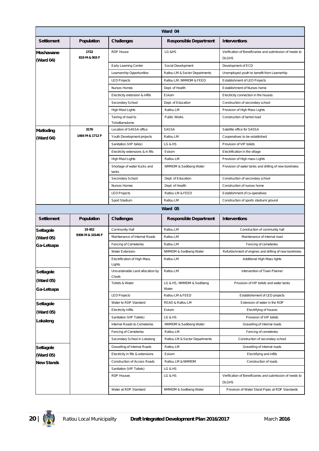|                         |                       |                                               | Ward 04                            |                                                                          |
|-------------------------|-----------------------|-----------------------------------------------|------------------------------------|--------------------------------------------------------------------------|
| <b>Settlement</b>       | <b>Population</b>     | <b>Challenges</b>                             | <b>Responsible Department</b>      | <b>Interventions</b>                                                     |
| Moshawane<br>(Ward 04)  | 1722<br>819 M & 903 F | <b>RDP House</b>                              | LG &HS                             | Verification of Beneficiaries and submission of needs to<br><b>DLGHS</b> |
|                         |                       | Early Learning Centre                         | Social Development                 | Development of ECD                                                       |
|                         |                       | Learnership Opportunities                     | Ratlou LM & Sector Departments     | Unemployed youth to benefit from Learnerhip                              |
|                         |                       | <b>LED Projects</b>                           | Ratlou LM, NMMDM & FEED            | Establishment of LED Projects                                            |
|                         |                       | Nurses Homes                                  | Dept. of Health                    | Establishment of Nurses home                                             |
|                         |                       | Electricity extension & infills               | Eskom                              | Electricity connection in the houses                                     |
|                         |                       | Secondary School                              | Dept. of Education                 | Construction of secondary school                                         |
|                         |                       | High Mast Lights                              | Ratlou LM                          | Provision of High Mass Lights                                            |
|                         |                       | Tarring of road to<br>Tshidilamolomo          | Public Works                       | Construction of tarred road                                              |
| Matloding               | 3176                  | Location of SASSA office                      | <b>SASSA</b>                       | Satellite office for SASSA                                               |
| (Ward 04)               | 1464 M & 1712 F       | Youth Development projects                    | Ratlou LM                          | Cooperatives to be established                                           |
|                         |                       | Sanitation (VIP toiles)                       | LG & HS                            | Provision of VIP toilets                                                 |
|                         |                       | Electricity extensions & in fills             | Eskom                              | Electrification in the village                                           |
|                         |                       | High Mast Lights                              | Ratlou LM                          | Provision of High mass Lights                                            |
|                         |                       | Shortage of water trucks and<br>tanks         | NMMDM & Sedibeng Water             | Provision of water tanks and drilling of new boreholes                   |
|                         |                       | Secondary School                              | Dept. of Education                 | Construction of secondary school                                         |
|                         |                       | Nurses Homes                                  | Dept. of Health                    | Construction of nurses home                                              |
|                         |                       | <b>LED Projects</b>                           | Ratlou LM & FEED                   | Establishment of co-operatives                                           |
|                         |                       | Sport Stadium                                 | Ratlou LM                          | Construction of sports stadium/ ground                                   |
|                         |                       |                                               | Ward 05                            |                                                                          |
| <b>Settlement</b>       | Population            | <b>Challenges</b>                             | <b>Responsible Department</b>      | <b>Interventions</b>                                                     |
| <b>Setlagole</b>        | 19 452                | Community Hall                                | Ratlou LM                          | Construction of community hall                                           |
| (Ward 05)               | 9306 M & 10146 F      | Maintenance of Internal Roads                 | Ratlou LM                          | Maintenance of internal road                                             |
| Ga-Letsapa              |                       | Fencing of Cemeteries                         | Ratlou LM                          | Fencing of cemeteries                                                    |
|                         |                       | <b>Water Extension</b>                        | NMMDM & Sedibeng Water             | Refurbishment of engines and drilling of new boreholes                   |
|                         |                       | <b>Electrification of High Mass</b><br>Lights | Ratlou LM                          | Additional High Mass lights                                              |
| Setlagole               |                       | Unsustainable Land allocation by<br>Chiefs    | Ratlou LM                          | Intervention of Town Planner                                             |
| (Ward 05)<br>Ga-Letsapa |                       | Toilets & Water                               | LG & HS, NMMDM & Sedibeng<br>Water | Provision of VIP toilets and water tanks                                 |
|                         |                       | <b>LED Projects</b>                           | Ratlou LM & FEED                   | Establishement of LED projects                                           |
| <b>Setlagole</b>        |                       | Water to RDP Standard                         | READ & Ratlou LM                   | Extension of water in the RDP                                            |
| (Ward 05)               |                       | <b>Electricity infills</b>                    | Eskom                              | Electrifying of houses                                                   |
| Lokaleng                |                       | Sanitation (VIP Toilets)                      | LG & HS                            | Provision of VIP toilets                                                 |
|                         |                       | Internal Roads to Cemeteries                  | NMMDM & Sedibeng Water             | Gravelling of internal roads                                             |
|                         |                       | Fencing of Cemeteries                         | Ratlou LM                          | Fencing of cemeteries                                                    |
|                         |                       | Secondary School in Lokaleng                  | Ratlou LM & Sector Departments     | Construction of secondary school                                         |
| Setlagole               |                       | Gravelling of Internal Roads                  | Ratlou LM                          | Gravelling of internal roads                                             |
| (Ward 05)               |                       | Electricity in fills & extensions             | Eskom                              | Electrifying and infills                                                 |
| <b>New Stands</b>       |                       | Construction of Access Roads                  | Ratlou LM & NMMDM                  | Construction of roads                                                    |
|                         |                       | Sanitation (VIP Toilets)                      | LG & HS                            |                                                                          |
|                         |                       | RDP Houses                                    | LG & HS                            | Verification of Beneficiaries and submission of needs to<br><b>DLGHS</b> |
|                         |                       | Water at RDP Standard                         | NMMDM & Sedibeng Water             | Provision of Water Stand Pipes at RDP Standards                          |

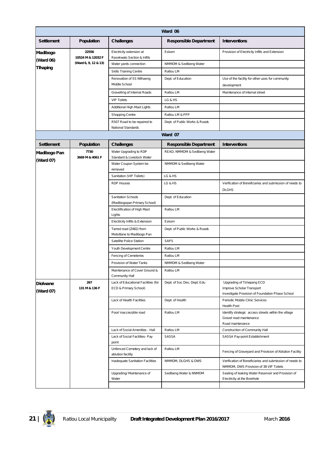|                              |                            |                                                              | Ward 06                       |                                                                                                            |
|------------------------------|----------------------------|--------------------------------------------------------------|-------------------------------|------------------------------------------------------------------------------------------------------------|
| <b>Settlement</b>            | Population                 | <b>Challenges</b>                                            | <b>Responsible Department</b> | <b>Interventions</b>                                                                                       |
| Madibogo                     | 22556<br>10524 M & 12032 F | Electricity extension at<br>Rasekwalo Section & Infills      | Eskom                         | Provision of Electricity Infills and Extension                                                             |
| (Ward 06)                    | (Ward 6, 9, 12 & 13)       | Water yards connection                                       | NMMDM & Sedibeng Water        |                                                                                                            |
| <b>T</b> lhaping             |                            | Skills Training Centre                                       | Ratlou LM                     |                                                                                                            |
|                              |                            | Renovation of SS Ntlhaeng<br>Middle School                   | Dept. of Education            | Use of the facility for other uses for community<br>development                                            |
|                              |                            | Gravelling of Internal Roads                                 | Ratlou LM                     | Maintenance of internal street                                                                             |
|                              |                            | <b>VIP Toilets</b>                                           | LG & HS                       |                                                                                                            |
|                              |                            | Additional High Mast Lights                                  | Ratlou LM                     |                                                                                                            |
|                              |                            | Shopping Centre                                              | Ratlou LM & PPP               |                                                                                                            |
|                              |                            | R507 Road to be repaired to<br>National Standards            | Dept. of Public Works & Roads |                                                                                                            |
|                              |                            |                                                              | Ward 07                       |                                                                                                            |
| <b>Settlement</b>            | Population                 | <b>Challenges</b>                                            | <b>Responsible Department</b> | <b>Interventions</b>                                                                                       |
| Madibogo Pan<br>(Ward 07)    | 7730<br>3669 M & 4061 F    | Water Upgrading to RDP<br>Standard & Livestock Water         | READ, NMMDM & Sedibeng Water  |                                                                                                            |
|                              |                            | Water Coupon System be<br>removed                            | NMMDM & Sedibeng Water        |                                                                                                            |
|                              |                            | Sanitation (VIP Toilets)                                     | LG & HS                       |                                                                                                            |
|                              |                            | <b>RDP Houses</b>                                            | LG & HS                       | Verification of Beneficiaries and submission of needs to<br><b>DLGHS</b>                                   |
|                              |                            | Sanitation Schools<br>(Madibogopan Primary School)           | Dept. of Education            |                                                                                                            |
|                              |                            | Electrification of High Mast<br>Lights                       | Ratlou LM                     |                                                                                                            |
|                              |                            | Electricity Infills & Extension                              | Eskom                         |                                                                                                            |
|                              |                            | Tarred road (Z482) from<br>Motsitlane to Madibogo Pan        | Dept. of Public Works & Roads |                                                                                                            |
|                              |                            | Satellite Police Station                                     | <b>SAPS</b>                   |                                                                                                            |
|                              |                            | Youth Development Centre                                     | Ratlou LM                     |                                                                                                            |
|                              |                            | Fencing of Cemeteries                                        | Ratlou LM                     |                                                                                                            |
|                              |                            | Provision of Water Tanks                                     | NMMDM & Sedibeng Water        |                                                                                                            |
|                              |                            | Maintenance of Cover Ground &<br>Community Hall              | Ratlou LM                     |                                                                                                            |
| <b>Diolwane</b><br>(Ward 07) | 267<br>131 M & 136 F       | Lack of Educational Facilities (for<br>ECD & Primary School) | Dept. of Soc Dev, Dept. Edu   | Upgrading of Tshepang ECD<br>Improve Scholar Transport<br>Investigate Provision of Foundation Phase School |
|                              |                            | Lack of Health Facilities                                    | Dept. of Health               | Periodic Mobile Clinic Services<br><b>Health Post</b>                                                      |
|                              |                            | Poor/ inaccessible road                                      | Ratlou LM                     | Identify strategic access streets within the village<br>Gravel road maintenance<br>Road maintenance        |
|                              |                            | Lack of Social Amenities - Hall                              | Ratlou LM                     | Construction of Community Hall                                                                             |
|                              |                            | Lack of Social Facilities- Pay<br>point                      | SASSA                         | SASSA Pay-point Establishment                                                                              |
|                              |                            | Unfenced Cemetery and lack of<br>ablution facility           | Ratlou LM                     | Fencing of Graveyard and Provision of Ablution Facility                                                    |
|                              |                            | Inadequate Sanitation Facilities                             | NMMDM, DLGHS & DWS            | Verification of Beneficiaries and submission of needs to<br>NMMDM, DWS Provision of 38 VIP Toilets         |
|                              |                            | Upgrading/ Maintenance of<br>Water                           | Sedibeng Water & NNMDM        | Sealing of leaking Water Reservoir and Provision of<br>Electricity at the Borehole                         |
|                              |                            |                                                              |                               |                                                                                                            |

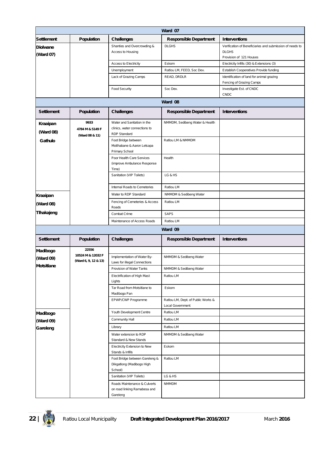|                 | Ward 07                                                                  |                                                                                                                                                                                                                                                                                                   |                                                                                                                                                                              |  |  |
|-----------------|--------------------------------------------------------------------------|---------------------------------------------------------------------------------------------------------------------------------------------------------------------------------------------------------------------------------------------------------------------------------------------------|------------------------------------------------------------------------------------------------------------------------------------------------------------------------------|--|--|
|                 |                                                                          |                                                                                                                                                                                                                                                                                                   | <b>Interventions</b>                                                                                                                                                         |  |  |
|                 | Shanties and Overcrowding &                                              | <b>DLGHS</b>                                                                                                                                                                                                                                                                                      | Verification of Beneficiaries and submission of needs to                                                                                                                     |  |  |
|                 | Access to Housing                                                        |                                                                                                                                                                                                                                                                                                   | <b>DLGHS</b>                                                                                                                                                                 |  |  |
|                 |                                                                          |                                                                                                                                                                                                                                                                                                   | Provision of 121 Houses                                                                                                                                                      |  |  |
|                 |                                                                          | Eskom                                                                                                                                                                                                                                                                                             | Electricity Infills (30) & Extensions (3)                                                                                                                                    |  |  |
|                 |                                                                          |                                                                                                                                                                                                                                                                                                   | Establish Cooperatives Provide funding                                                                                                                                       |  |  |
|                 |                                                                          |                                                                                                                                                                                                                                                                                                   | Identification of land for animal grazing<br>Fencing of Grazing Camps                                                                                                        |  |  |
|                 | <b>Food Security</b>                                                     | Soc Dev.                                                                                                                                                                                                                                                                                          | Investigate Est. of CNDC<br>CNDC                                                                                                                                             |  |  |
|                 |                                                                          | Ward 08                                                                                                                                                                                                                                                                                           |                                                                                                                                                                              |  |  |
| Population      | Challenges                                                               | <b>Responsible Department</b>                                                                                                                                                                                                                                                                     | <b>Interventions</b>                                                                                                                                                         |  |  |
| 9933            | Water and Sanitation in the                                              | NMMDM, Sedibeng Water & Health                                                                                                                                                                                                                                                                    |                                                                                                                                                                              |  |  |
| 4784 M & 5149 F | clinics, water connections to                                            |                                                                                                                                                                                                                                                                                                   |                                                                                                                                                                              |  |  |
| (Ward 08 & 11)  |                                                                          |                                                                                                                                                                                                                                                                                                   |                                                                                                                                                                              |  |  |
|                 | Motlhabane & Aaron Letsapa<br>Primary School                             |                                                                                                                                                                                                                                                                                                   |                                                                                                                                                                              |  |  |
|                 | Poor Health Care Services                                                | Health                                                                                                                                                                                                                                                                                            |                                                                                                                                                                              |  |  |
|                 | (improve Ambulance Response                                              |                                                                                                                                                                                                                                                                                                   |                                                                                                                                                                              |  |  |
|                 |                                                                          |                                                                                                                                                                                                                                                                                                   |                                                                                                                                                                              |  |  |
|                 |                                                                          |                                                                                                                                                                                                                                                                                                   |                                                                                                                                                                              |  |  |
|                 | Internal Roads to Cemeteries                                             | Ratlou LM                                                                                                                                                                                                                                                                                         |                                                                                                                                                                              |  |  |
|                 | Water to RDP Standard                                                    | NMMDM & Sedibeng Water                                                                                                                                                                                                                                                                            |                                                                                                                                                                              |  |  |
|                 | Fencing of Cemeteries & Access                                           | Ratlou LM                                                                                                                                                                                                                                                                                         |                                                                                                                                                                              |  |  |
|                 | Roads                                                                    |                                                                                                                                                                                                                                                                                                   |                                                                                                                                                                              |  |  |
|                 | Combat Crime                                                             |                                                                                                                                                                                                                                                                                                   |                                                                                                                                                                              |  |  |
|                 |                                                                          |                                                                                                                                                                                                                                                                                                   |                                                                                                                                                                              |  |  |
|                 |                                                                          | Ward 09                                                                                                                                                                                                                                                                                           |                                                                                                                                                                              |  |  |
| Population      | Challenges                                                               | <b>Responsible Department</b>                                                                                                                                                                                                                                                                     | <b>Interventions</b>                                                                                                                                                         |  |  |
| 22556           |                                                                          |                                                                                                                                                                                                                                                                                                   |                                                                                                                                                                              |  |  |
|                 | Implementation of Water By-                                              | NMMDM & Sedibeng Water                                                                                                                                                                                                                                                                            |                                                                                                                                                                              |  |  |
|                 |                                                                          |                                                                                                                                                                                                                                                                                                   |                                                                                                                                                                              |  |  |
|                 |                                                                          |                                                                                                                                                                                                                                                                                                   |                                                                                                                                                                              |  |  |
|                 | Lights                                                                   |                                                                                                                                                                                                                                                                                                   |                                                                                                                                                                              |  |  |
|                 | Tar Road from Motsitlane to<br>Madibogo Pan                              | Eskom                                                                                                                                                                                                                                                                                             |                                                                                                                                                                              |  |  |
|                 | EPWP/CWP Programme                                                       | Ratlou LM, Dept. of Public Works &<br>Local Government                                                                                                                                                                                                                                            |                                                                                                                                                                              |  |  |
|                 | Youth Development Centre                                                 | Ratlou LM                                                                                                                                                                                                                                                                                         |                                                                                                                                                                              |  |  |
|                 | Community Hall                                                           | Ratlou LM                                                                                                                                                                                                                                                                                         |                                                                                                                                                                              |  |  |
|                 | Library                                                                  | Ratlou LM                                                                                                                                                                                                                                                                                         |                                                                                                                                                                              |  |  |
|                 | Water extension to RDP<br>Standard & New Stands                          | NMMDM & Sedibeng Water                                                                                                                                                                                                                                                                            |                                                                                                                                                                              |  |  |
|                 | Electricity Extension to New<br>Stands & Infills                         | Eskom                                                                                                                                                                                                                                                                                             |                                                                                                                                                                              |  |  |
|                 | Foot Bridge between Gareleng &<br>Dikgatlong (Madibogo High<br>School)   | Ratlou LM                                                                                                                                                                                                                                                                                         |                                                                                                                                                                              |  |  |
|                 | Sanitation (VIP Toilets)                                                 | LG & HS                                                                                                                                                                                                                                                                                           |                                                                                                                                                                              |  |  |
|                 | Roads Maintenance & Culverts<br>on road linking Ramabesa and<br>Gareleng | <b>NMMDM</b>                                                                                                                                                                                                                                                                                      |                                                                                                                                                                              |  |  |
|                 | Population<br>10524 M & 12032 F<br>(Ward 6, 9, 12 & 13)                  | <b>Challenges</b><br>Access to Electricity<br>Unemployment<br>Lack of Grazing Camps<br><b>RDP Standard</b><br>Foot Bridge between<br>Time)<br>Sanitation (VIP Toilets)<br>Maintenance of Access Roads<br>Laws for illegal Connections<br>Provision of Water Tanks<br>Electrification of High Mast | <b>Responsible Department</b><br>Ratlou LM, FEED, Soc Dev.<br>READ, DRDLR<br>Ratlou LM & NMMDM<br>LG & HS<br><b>SAPS</b><br>Ratlou LM<br>NMMDM & Sedibeng Water<br>Ratlou LM |  |  |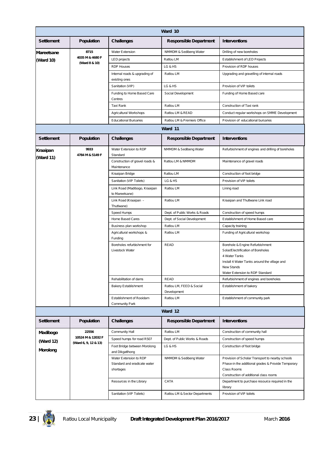|                              | Ward 10                 |                                                                     |                                         |                                                                                                                                                                                         |  |  |
|------------------------------|-------------------------|---------------------------------------------------------------------|-----------------------------------------|-----------------------------------------------------------------------------------------------------------------------------------------------------------------------------------------|--|--|
| <b>Settlement</b>            | Population              | <b>Challenges</b>                                                   | <b>Responsible Department</b>           | <b>Interventions</b>                                                                                                                                                                    |  |  |
| Mareetsane                   | 8715                    | <b>Water Extension</b>                                              | NMMDM & Sedibeng Water                  | Drilling of new boreholes                                                                                                                                                               |  |  |
| (Ward 10)                    | 4035 M & 4680 F         | LED projects                                                        | Ratlou LM                               | Establishment of LED Projects                                                                                                                                                           |  |  |
|                              | (Ward 8 & 10)           | <b>RDP Houses</b>                                                   | LG & HS                                 | Provision of RDP houses                                                                                                                                                                 |  |  |
|                              |                         | Internal roads & upgrading of<br>existing ones                      | Ratlou LM                               | Upgrading and gravelling of internal roads                                                                                                                                              |  |  |
|                              |                         | Sanitation (VIP)                                                    | LG & HS                                 | Provision of VIP toilets                                                                                                                                                                |  |  |
|                              |                         | Funding to Home Based Care<br>Centres                               | Social Development                      | Funding of Home Based care                                                                                                                                                              |  |  |
|                              |                         | Taxi Rank                                                           | Ratlou LM                               | Construction of Taxi rank                                                                                                                                                               |  |  |
|                              |                         | Agricultural Workshops                                              | Ratlou LM & READ                        | Conduct regular workshops on SMME Development                                                                                                                                           |  |  |
|                              |                         | <b>Educational Bursaries</b>                                        | Ratlou LM & Premiers Office             | Provision of educational bursaries                                                                                                                                                      |  |  |
|                              |                         |                                                                     | Ward 11                                 |                                                                                                                                                                                         |  |  |
| <b>Settlement</b>            | <b>Population</b>       | <b>Challenges</b>                                                   | <b>Responsible Department</b>           | <b>Interventions</b>                                                                                                                                                                    |  |  |
| <b>Kraaipan</b><br>(Ward 11) | 9933<br>4784 M & 5149 F | Water Extension to RDP<br>Standard                                  | NMMDM & Sedibeng Water                  | Refurbishment of engines and drilling of boreholes                                                                                                                                      |  |  |
|                              |                         | Construction of gravel roads &<br>Maintenance                       | Ratlou LM & NMMDM                       | Maintenance of gravel roads                                                                                                                                                             |  |  |
|                              |                         | Kraaipan Bridge                                                     | Ratlou LM                               | Construction of foot bridge                                                                                                                                                             |  |  |
|                              |                         | Sanitation (VIP Toilets)                                            | LG & HS                                 | Provision of VIP toilets                                                                                                                                                                |  |  |
|                              |                         | Link Road (Madibogo, Kraaipan<br>to Mareetsane)                     | Ratlou LM                               | Lining road                                                                                                                                                                             |  |  |
|                              |                         | Link Road (Kraaipan -<br>ThutIwane)                                 | Ratlou LM                               | Kraaipan and Thutlwane Link road                                                                                                                                                        |  |  |
|                              |                         | Speed Humps                                                         | Dept. of Public Works & Roads           | Construction of speed humps                                                                                                                                                             |  |  |
|                              |                         | Home Based Cares                                                    | Dept. of Social Development             | Establishment of Home Based care                                                                                                                                                        |  |  |
|                              |                         | Business plan workshop                                              | Ratlou LM                               | Capacity training                                                                                                                                                                       |  |  |
|                              |                         | Agricultural workshops &<br>Funding                                 | Ratlou LM                               | Funding of Agricultural workshop                                                                                                                                                        |  |  |
|                              |                         | Boreholes refurbishment for<br>Livestock Water                      | <b>READ</b>                             | Borehole & Engine Refurbishment<br>Solar/Electrification of Boreholes<br>4 Water Tanks<br>Install 4 Water Tanks around the village and<br>New Stands<br>Water Extension to RDP Standard |  |  |
|                              |                         | Rehabilitation of dams                                              | <b>READ</b>                             | Refurbishment of engines and boreholes                                                                                                                                                  |  |  |
|                              |                         | <b>Bakery Establishment</b>                                         | Ratlou LM, FEED & Social<br>Development | Establishment of bakery                                                                                                                                                                 |  |  |
|                              |                         | Establishment of Rooldam<br>Community Park                          | Ratlou LM                               | Establishment of community park                                                                                                                                                         |  |  |
|                              |                         |                                                                     | Ward 12                                 |                                                                                                                                                                                         |  |  |
| <b>Settlement</b>            | Population              | <b>Challenges</b>                                                   | <b>Responsible Department</b>           | <b>Interventions</b>                                                                                                                                                                    |  |  |
| Madibogo                     | 22556                   | Community Hall                                                      | Ratlou LM                               | Construction of community hall                                                                                                                                                          |  |  |
| (Ward 12)                    | 10524 M & 12032 F       | Speed humps for road R507                                           | Dept. of Public Works & Roads           | Construction of speed humps                                                                                                                                                             |  |  |
| Morolong                     | (Ward 6, 9, 12 & 13)    | Foot Bridge between Morolong<br>and Dikgatlhong                     | LG & HS                                 | Construction of foot bridge                                                                                                                                                             |  |  |
|                              |                         | Water Extension to RDP<br>Standard and eradicate water<br>shortages | NMMDM & Sedibeng Water                  | Provision of Scholar Transport to nearby schools<br>Phase-in the additional grades & Provide Temporary<br>Class Rooms<br>Construction of additional class rooms                         |  |  |
|                              |                         | Resources in the Library                                            | CATA                                    | Department to purchase resource required in the<br>library                                                                                                                              |  |  |
|                              |                         | Sanitation (VIP Toilets)                                            | Ratlou LM & Sector Departments          | Provision of VIP toilets                                                                                                                                                                |  |  |

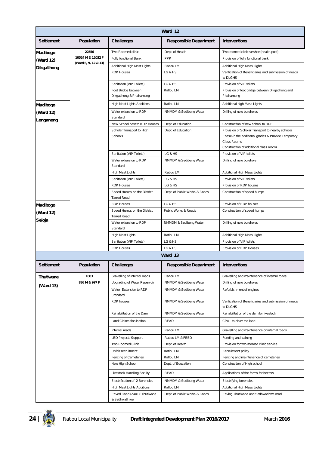|                   | Ward 12              |                                                   |                               |                                                                                                                       |  |  |
|-------------------|----------------------|---------------------------------------------------|-------------------------------|-----------------------------------------------------------------------------------------------------------------------|--|--|
| <b>Settlement</b> | Population           | <b>Challenges</b>                                 | <b>Responsible Department</b> | <b>Interventions</b>                                                                                                  |  |  |
| Madibogo          | 22556                | Two Roomed clinic                                 | Dept. of Health               | Two roomed clinic service (health post)                                                                               |  |  |
| (Ward 12)         | 10524 M & 12032 F    | Fully functional Bank                             | PPP                           | Provision of fully functional bank                                                                                    |  |  |
| Dikgatlhong       | (Ward 6, 9, 12 & 13) | Additional High Mast Lights                       | Ratlou LM                     | Additional High Mass Lights                                                                                           |  |  |
|                   |                      | <b>RDP Houses</b>                                 | LG & HS                       | Verification of Beneficiaries and submission of needs<br>to DLGHS                                                     |  |  |
|                   |                      | Sanitation (VIP Toilets)                          | LG & HS                       | Provision of VIP toilets                                                                                              |  |  |
|                   |                      | Foot Bridge between<br>Dikgatlhong & Phahameng    | Ratlou LM                     | Provision of foot bridge between Dikgatlhong and<br>Phahameng                                                         |  |  |
| Madibogo          |                      | High Mast Lights Additions                        | Ratlou LM                     | Additional high Mass Lights                                                                                           |  |  |
| (Ward 12)         |                      | Water extension to RDP                            | NMMDM & Sedibeng Water        | Drilling of new boreholes                                                                                             |  |  |
| Lenganeng         |                      | Standard                                          |                               |                                                                                                                       |  |  |
|                   |                      | New School next to RDP Houses                     | Dept. of Education            | Construction of new school to RDP                                                                                     |  |  |
|                   |                      | Scholar Transport to High<br>Schools              | Dept. of Education            | Provision of Scholar Transport to nearby schools<br>Phase-in the additional grades & Provide Temporary<br>Class Rooms |  |  |
|                   |                      |                                                   |                               | Construction of additional class rooms                                                                                |  |  |
|                   |                      | Sanitation (VIP Toilets)                          | LG & HS                       | Provision of VIP toilets                                                                                              |  |  |
|                   |                      | Water extension to RDP<br>Standard                | NMMDM & Sedibeng Water        | Drilling of new borehole                                                                                              |  |  |
|                   |                      | High Mast Lights                                  | Ratlou LM                     | Additional High Mass Lights                                                                                           |  |  |
|                   |                      | Sanitation (VIP Toilets)                          | LG & HS                       | Provision of VIP toilets                                                                                              |  |  |
|                   |                      | <b>RDP Houses</b>                                 | LG & HS                       | Provision of RDP houses                                                                                               |  |  |
|                   |                      | Speed Humps on the District<br><b>Tarred Road</b> | Dept. of Public Works & Roads | Construction of speed humps                                                                                           |  |  |
| Madibogo          |                      | <b>RDP Houses</b>                                 | LG & HS                       | Provision of RDP houses                                                                                               |  |  |
| (Ward 12)         |                      | Speed Humps on the District<br><b>Tarred Road</b> | Public Works & Roads          | Construction of speed humps                                                                                           |  |  |
| Seloja            |                      | Water extension to RDP<br>Standard                | NMMDM & Sedibeng Water        | Drilling of new boreholes                                                                                             |  |  |
|                   |                      | High Mast Lights                                  | Ratlou LM                     | Additional High Mass Lights                                                                                           |  |  |
|                   |                      | Sanitation (VIP Toilets)                          | LG & HS                       | Provision of VIP toilets                                                                                              |  |  |
|                   |                      | <b>RDP Houses</b>                                 | LG & HS                       | Provision of RDP Houses                                                                                               |  |  |
|                   |                      |                                                   | Ward 13                       |                                                                                                                       |  |  |
| <b>Settlement</b> | Population           | Challenges                                        | <b>Responsible Department</b> | <b>Interventions</b>                                                                                                  |  |  |
| <b>ThutIwane</b>  | 1883                 | Gravelling of internal roads                      | Ratlou LM                     | Gravelling and maintenance of internal roads                                                                          |  |  |
| (Ward 13)         | 886 M & 997 F        | Upgrading of Water Reservoir                      | NMMDM & Sedibeng Water        | Drilling of new boreholes                                                                                             |  |  |
|                   |                      | Water Extension to RDP<br>Standard                | NMMDM & Sedibeng Water        | Refurbishment of engines                                                                                              |  |  |
|                   |                      | RDP houses                                        | NMMDM & Sedibeng Water        | Verification of Beneficiaries and submission of needs<br>to DLGHS                                                     |  |  |
|                   |                      | Rehabilitation of the Dam                         | NMMDM & Sedibeng Water        | Rehabilitation of the dam for livestock                                                                               |  |  |
|                   |                      | Land Claims finalisation                          | READ                          | CPA to claim the land                                                                                                 |  |  |
|                   |                      | Internal roads                                    | Ratlou LM                     | Gravelling and maintenance or internal roads                                                                          |  |  |
|                   |                      | <b>LED Projects Support</b>                       | Ratlou LM & FEED              | Funding and training                                                                                                  |  |  |
|                   |                      | Two Roomed Clinic                                 | Dept. of Health               | Provision for two roomed clinic service                                                                               |  |  |
|                   |                      | Unfair recruitment                                | Ratlou LM                     | Recruitment policy                                                                                                    |  |  |
|                   |                      | Fencing of Cemeteries                             | Ratlou LM                     | Fencing and maintenance of cemeteries                                                                                 |  |  |
|                   |                      | New High School                                   | Dept. of Education            | Construction of High school                                                                                           |  |  |
|                   |                      | Livestock Handling Facility                       | READ                          | Applications of the farms for hectors                                                                                 |  |  |
|                   |                      | Electrification of 2 Boreholes                    | NMMDM & Sedibeng Water        | Electrifying boreholes                                                                                                |  |  |
|                   |                      | High Mast Lights Additions                        | Ratlou LM                     | Additional High Mass Lights                                                                                           |  |  |
|                   |                      | Paved Road (Z401): Thutlwane<br>& SetIhwatIhwe    | Dept. of Public Works & Roads | Paving Thutlwane and Setlhwatlhwe road                                                                                |  |  |

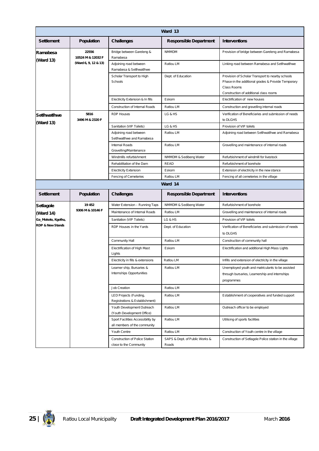|                             | Ward 13                    |                                                                   |                                         |                                                                                                                                                                 |  |
|-----------------------------|----------------------------|-------------------------------------------------------------------|-----------------------------------------|-----------------------------------------------------------------------------------------------------------------------------------------------------------------|--|
| <b>Settlement</b>           | Population                 | <b>Challenges</b>                                                 | <b>Responsible Department</b>           | <b>Interventions</b>                                                                                                                                            |  |
| Ramabesa                    | 22556<br>10524 M & 12032 F | Bridge between Gareleng &<br>Ramabesa                             | <b>NMMDM</b>                            | Provision of bridge between Gareleng and Ramabesa                                                                                                               |  |
| (Ward 13)                   | (Ward 6, 9, 12 & 13)       | Adjoining road between<br>Ramabesa & Setlhwatlhwe                 | Ratlou LM                               | Linking road between Ramabesa and Setlhwatlhwe                                                                                                                  |  |
|                             |                            | Scholar Transport to High<br>Schools                              | Dept. of Education                      | Provision of Scholar Transport to nearby schools<br>Phase-in the additional grades & Provide Temporary<br>Class Rooms<br>Construction of additional class rooms |  |
|                             |                            | Electricity Extension & In fills                                  | Eskom                                   | Electrification of new houses                                                                                                                                   |  |
|                             |                            | Construction of Internal Roads                                    | Ratlou LM                               | Construction and gravelling internal roads                                                                                                                      |  |
| <b>SetIhwatIhwe</b>         | 5816<br>3496 M & 2320 F    | <b>RDP Houses</b>                                                 | LG & HS                                 | Verification of Beneficiaries and submission of needs<br>to DLGHS                                                                                               |  |
| (Ward 13)                   |                            | Sanitation (VIP Toilets)                                          | LG & HS                                 | Provision of VIP toilets                                                                                                                                        |  |
|                             |                            | Adjoining road between<br>Setlhwatlhwe and Ramabesa               | Ratlou LM                               | Adjoining road between Setlhwatlhwe and Ramabesa                                                                                                                |  |
|                             |                            | Internal Roads<br>Gravelling/Maintenance                          | Ratlou LM                               | Gravelling and maintenance of internal roads                                                                                                                    |  |
|                             |                            | Windmills refurbishment                                           | NMMDM & Sedibeng Water                  | Refurbishment of windmill for livestock                                                                                                                         |  |
|                             |                            | Rehabilitation of the Dam                                         | READ                                    | Refurbishment of borehole                                                                                                                                       |  |
|                             |                            | <b>Electricity Extension</b>                                      | Eskom                                   | Extension of electricity in the new stance                                                                                                                      |  |
|                             |                            | Fencing of Cemeteries                                             | Ratlou LM                               | Fencing of all cemeteries in the village                                                                                                                        |  |
|                             |                            |                                                                   | Ward 14                                 |                                                                                                                                                                 |  |
| <b>Settlement</b>           | Population                 | <b>Challenges</b>                                                 | <b>Responsible Department</b>           | <b>Interventions</b>                                                                                                                                            |  |
| Setlagole                   | 19 452                     | Water Extension - Running Taps                                    | NMMDM & Sedibeng Water                  | Refurbishment of borehole                                                                                                                                       |  |
| (Ward 14)                   | 9306 M & 10146 F           | Maintenance of Internal Roads                                     | Ratlou LM                               | Gravelling and maintenance of internal roads                                                                                                                    |  |
| Ga_Mokoto, Kgothu,          |                            | Sanitation (VIP Toilets)                                          | LG & HS                                 | Provision of VIP toilets                                                                                                                                        |  |
| <b>RDP &amp; New Stands</b> |                            | RDP Houses in the Yards                                           | Dept. of Education                      | Verification of Beneficiaries and submission of needs<br>to DLGHS                                                                                               |  |
|                             |                            | Community Hall                                                    | Ratlou LM                               | Construction of community hall                                                                                                                                  |  |
|                             |                            | Electrification of High Mast<br>Lights                            | Eskom                                   | Electrification and additional High Mass Lights                                                                                                                 |  |
|                             |                            | Electricity in fills & extensions                                 | Ratlou LM                               | Infills and extension of electricity in the village                                                                                                             |  |
|                             |                            | Learner ship, Bursaries &<br>Internships Opportunities            | Ratlou LM                               | Unemployed youth and matriculants to be assisted<br>through bursaries, Learnership and internships<br>programmes                                                |  |
|                             |                            | Job Creation                                                      | Ratlou LM                               |                                                                                                                                                                 |  |
|                             |                            | LED Projects (Funding,<br>Registrations & Establishment)          | Ratlou LM                               | Establishment of cooperatives and funded support                                                                                                                |  |
|                             |                            | Youth Development Outreach<br>(Youth Development Office)          | Ratlou LM                               | Outreach officer to be employed                                                                                                                                 |  |
|                             |                            | Sport Facilities Accessibility by<br>all members of the community | Ratlou LM                               | Utilising of sports facilities                                                                                                                                  |  |
|                             |                            | Youth Centre                                                      | Ratlou LM                               | Construction of Youth centre in the village                                                                                                                     |  |
|                             |                            | Construction of Police Station<br>close to the Community          | SAPS & Dept. of Public Works &<br>Roads | Construction of Setlagole Police station in the village                                                                                                         |  |

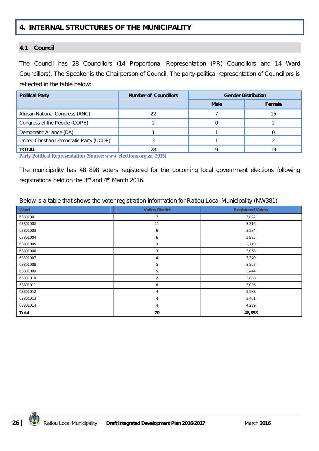# **4. INTERNAL STRUCTURES OF THE MUNICIPALITY**

#### **4.1 Council**

The Council has 28 Councillors (14 Proportional Representation (PR) Councillors and 14 Ward Councillors). The Speaker is the Chairperson of Council. The party-political representation of Councillors is reflected in the table below:

| <b>Political Party</b>                   | <b>Number of Councillors</b> | <b>Gender Distribution</b> |        |
|------------------------------------------|------------------------------|----------------------------|--------|
|                                          |                              | <b>Male</b>                | Female |
| African National Congress (ANC)          | 22                           |                            | 15     |
| Congress of the People (COPE)            |                              |                            |        |
| Democratic Alliance (DA)                 |                              |                            |        |
| United Christian Democratic Party (UCDP) |                              |                            |        |
| <b>TOTAL</b>                             | 28                           |                            | 19     |

**Party Political Representation (Source: www.elections.org.za, 2015)**

The municipality has 48 898 voters registered for the upcoming local government elections following registrations held on the 3rd and 4 th March 2016.

Below is a table that shows the voter registration information for Ratlou Local Municipality (NW381)

| Ward         | <b>Voting District</b> | <b>Registered Voters</b> |
|--------------|------------------------|--------------------------|
| 63801001     |                        | 3,822                    |
| 63801002     | 11                     | 3,816                    |
| 63801003     | 6                      | 3,534                    |
| 63801004     | 6                      | 3,985                    |
| 63801005     | 3                      | 2,710                    |
| 63801006     | 3                      | 3,068                    |
| 63801007     | 4                      | 3,340                    |
| 63801008     | 5                      | 3,867                    |
| 63801009     | 5                      | 3,444                    |
| 63801010     | $\overline{2}$         | 2,888                    |
| 63801011     | 6                      | 3,086                    |
| 63801012     | 4                      | 3,588                    |
| 63801013     | 4                      | 3,461                    |
| 63801014     | 4                      | 4,289                    |
| <b>Total</b> | 70                     | 48,898                   |

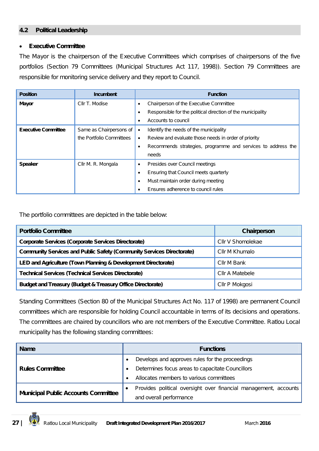#### **4.2 Political Leadership**

#### **Executive Committee**

The Mayor is the chairperson of the Executive Committees which comprises of chairpersons of the five portfolios (Section 79 Committees (Municipal Structures Act 117, 1998)). Section 79 Committees are responsible for monitoring service delivery and they report to Council.

| <b>Position</b>            | <b>Incumbent</b>         | <b>Function</b>                                                           |
|----------------------------|--------------------------|---------------------------------------------------------------------------|
| Mayor                      | Cllr T. Modise           | Chairperson of the Executive Committee<br>$\bullet$                       |
|                            |                          | Responsible for the political direction of the municipality<br>$\bullet$  |
|                            |                          | Accounts to council<br>$\bullet$                                          |
| <b>Executive Committee</b> | Same as Chairpersons of  | Identify the needs of the municipality<br>$\bullet$                       |
|                            | the Portfolio Committees | Review and evaluate those needs in order of priority<br>$\bullet$         |
|                            |                          | Recommends strategies, programme and services to address the<br>$\bullet$ |
|                            |                          | needs                                                                     |
| <b>Speaker</b>             | Cllr M. R. Mongala       | Presides over Council meetings<br>$\bullet$                               |
|                            |                          | Ensuring that Council meets quarterly<br>٠                                |
|                            |                          | Must maintain order during meeting<br>$\bullet$                           |
|                            |                          | Ensures adherence to council rules                                        |

The portfolio committees are depicted in the table below:

| <b>Portfolio Committee</b>                                                   | Chairperson       |
|------------------------------------------------------------------------------|-------------------|
| <b>Corporate Services (Corporate Services Directorate)</b>                   | Cllr V Shomolekae |
| <b>Community Services and Public Safety (Community Services Directorate)</b> | Cllr M Khumalo    |
| LED and Agriculture (Town Planning & Development Directorate)                | Cllr M Bank       |
| <b>Technical Services (Technical Services Directorate)</b>                   | Cllr A Matebele   |
| <b>Budget and Treasury (Budget &amp; Treasury Office Directorate)</b>        | Cllr P Mokgosi    |

Standing Committees (Section 80 of the Municipal Structures Act No. 117 of 1998) are permanent Council committees which are responsible for holding Council accountable in terms of its decisions and operations. The committees are chaired by councillors who are not members of the Executive Committee. Ratlou Local municipality has the following standing committees:

| <b>Name</b>                                | <b>Functions</b>                                                 |  |
|--------------------------------------------|------------------------------------------------------------------|--|
|                                            | Develops and approves rules for the proceedings                  |  |
| <b>Rules Committee</b>                     | Determines focus areas to capacitate Councillors                 |  |
|                                            | Allocates members to various committees                          |  |
|                                            | Provides political oversight over financial management, accounts |  |
| <b>Municipal Public Accounts Committee</b> | and overall performance                                          |  |

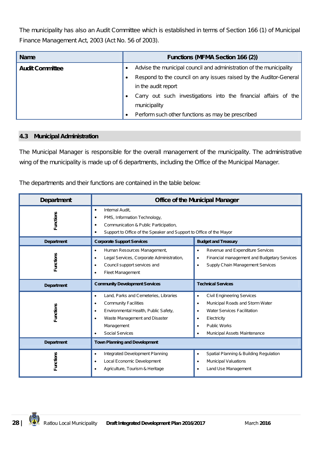The municipality has also an Audit Committee which is established in terms of Section 166 (1) of Municipal Finance Management Act, 2003 (Act No. 56 of 2003).

| <b>Name</b>            | <b>Functions (MFMA Section 166 (2))</b>                             |
|------------------------|---------------------------------------------------------------------|
| <b>Audit Committee</b> | Advise the municipal council and administration of the municipality |
|                        | Respond to the council on any issues raised by the Auditor-General  |
|                        | in the audit report                                                 |
|                        | Carry out such investigations into the financial affairs of the     |
|                        | municipality                                                        |
|                        | Perform such other functions as may be prescribed                   |

#### **4.3 Municipal Administration**

The Municipal Manager is responsible for the overall management of the municipality. The administrative wing of the municipality is made up of 6 departments, including the Office of the Municipal Manager.

The departments and their functions are contained in the table below:

| <b>Department</b> | <b>Office of the Municipal Manager</b>                                                                                                                                                                                                    |                                                                                                                                                                                                                   |  |
|-------------------|-------------------------------------------------------------------------------------------------------------------------------------------------------------------------------------------------------------------------------------------|-------------------------------------------------------------------------------------------------------------------------------------------------------------------------------------------------------------------|--|
| -unctions         | Internal Audit,<br>$\bullet$<br>PMS, Information Technology,<br>٠<br>Communication & Public Participation,<br>٠<br>Support to Office of the Speaker and Support to Office of the Mayor                                                    |                                                                                                                                                                                                                   |  |
| <b>Department</b> | <b>Corporate Support Services</b>                                                                                                                                                                                                         | <b>Budget and Treasury</b>                                                                                                                                                                                        |  |
| Functions         | Human Resources Management,<br>$\bullet$<br>Legal Services, Corporate Administration,<br>$\bullet$<br>Council support services and<br>$\bullet$<br><b>Fleet Management</b>                                                                | Revenue and Expenditure Services<br>$\bullet$<br>Financial management and Budgetary Services<br>$\bullet$<br>Supply Chain Management Services                                                                     |  |
| <b>Department</b> | <b>Technical Services</b><br><b>Community Development Services</b>                                                                                                                                                                        |                                                                                                                                                                                                                   |  |
| Functions         | Land, Parks and Cemeteries, Libraries<br>$\bullet$<br><b>Community Facilities</b><br>$\bullet$<br>Environmental Health, Public Safety,<br>$\bullet$<br>Waste Management and Disaster<br>$\bullet$<br>Management<br><b>Social Services</b> | <b>Civil Engineering Services</b><br>٠<br>Municipal Roads and Storm Water<br>$\bullet$<br><b>Water Services Facilitation</b><br>٠<br>Electricity<br>٠<br><b>Public Works</b><br>٠<br>Municipal Assets Maintenance |  |
| <b>Department</b> | <b>Town Planning and Development</b>                                                                                                                                                                                                      |                                                                                                                                                                                                                   |  |
| <b>Functions</b>  | Integrated Development Planning<br>$\bullet$<br>Local Economic Development<br>$\bullet$<br>Agriculture, Tourism & Heritage                                                                                                                | Spatial Planning & Building Regulation<br>$\bullet$<br><b>Municipal Valuations</b><br>٠<br>Land Use Management                                                                                                    |  |

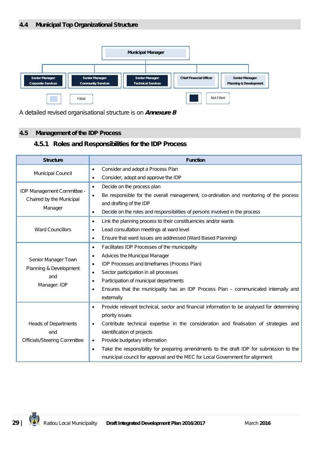

A detailed revised organisational structure is on *Annexure B*

## **4.5 Management of the IDP Process**

## **4.5.1 Roles and Responsibilities for the IDP Process**

| <b>Structure</b>                                       | <b>Function</b>                                                                                          |
|--------------------------------------------------------|----------------------------------------------------------------------------------------------------------|
|                                                        | Consider and adopt a Process Plan<br>٠                                                                   |
| Municipal Council                                      | Consider, adopt and approve the IDP<br>٠                                                                 |
|                                                        | Decide on the process plan<br>$\bullet$                                                                  |
| IDP Management Committee -<br>Chaired by the Municipal | Be responsible for the overall management, co-ordination and monitoring of the process<br>$\bullet$      |
| Manager                                                | and drafting of the IDP                                                                                  |
|                                                        | Decide on the roles and responsibilities of persons involved in the process<br>$\bullet$                 |
|                                                        | Link the planning process to their constituencies and/or wards<br>$\bullet$                              |
| <b>Ward Councillors</b>                                | Lead consultation meetings at ward level<br>$\bullet$                                                    |
|                                                        | Ensure that ward issues are addressed (Ward Based Planning)<br>٠                                         |
|                                                        | Facilitates IDP Processes of the municipality<br>$\bullet$                                               |
| Senior Manager Town                                    | Advices the Municipal Manager<br>٠                                                                       |
| Planning & Development                                 | IDP Processes and timeframes (Process Plan)<br>٠                                                         |
| and                                                    | Sector participation in all processes<br>٠                                                               |
| Manager: IDP                                           | Participation of municipal departments<br>٠                                                              |
|                                                        | Ensures that the municipality has an IDP Process Plan - communicated internally and<br>٠                 |
|                                                        | externally                                                                                               |
|                                                        | Provide relevant technical, sector and financial information to be analysed for determining<br>$\bullet$ |
|                                                        | priority issues                                                                                          |
| <b>Heads of Departments</b>                            | Contribute technical expertise in the consideration and finalisation of strategies and<br>٠              |
| and                                                    | identification of projects                                                                               |
| <b>Officials/Steering Committee</b>                    | Provide budgetary information<br>$\bullet$                                                               |
|                                                        | Take the responsibility for preparing amendments to the draft IDP for submission to the<br>$\bullet$     |
|                                                        | municipal council for approval and the MEC for Local Government for alignment                            |

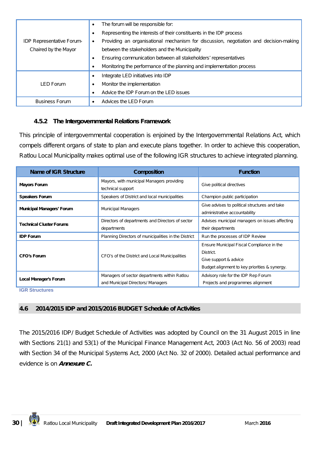|                                  | The forum will be responsible for:<br>$\bullet$                                       |
|----------------------------------|---------------------------------------------------------------------------------------|
|                                  | Representing the interests of their constituents in the IDP process                   |
| <b>IDP Representative Forum-</b> | Providing an organisational mechanism for discussion, negotiation and decision-making |
| Chaired by the Mayor             | between the stakeholders and the Municipality                                         |
|                                  | Ensuring communication between all stakeholders' representatives                      |
|                                  | Monitoring the performance of the planning and implementation process                 |
|                                  | Integrate LED initiatives into IDP<br>$\bullet$                                       |
| LED Forum                        | Monitor the implementation<br>$\bullet$                                               |
|                                  | Advice the IDP Forum on the LED issues                                                |
| <b>Business Forum</b>            | Advices the LED Forum                                                                 |

## **4.5.2 The Intergovernmental Relations Framework**

This principle of intergovernmental cooperation is enjoined by the Intergovernmental Relations Act, which compels different organs of state to plan and execute plans together. In order to achieve this cooperation, Ratlou Local Municipality makes optimal use of the following IGR structures to achieve integrated planning.

| Name of IGR Structure                                                                              | <b>Composition</b>                                                                | <b>Function</b>                                                                                                                  |
|----------------------------------------------------------------------------------------------------|-----------------------------------------------------------------------------------|----------------------------------------------------------------------------------------------------------------------------------|
| Mayors, with municipal Managers providing<br><b>Mayors Forum</b><br>technical support              |                                                                                   | Give political directives                                                                                                        |
| <b>Speakers Forum</b>                                                                              | Speakers of District and local municipalities                                     | Champion public participation                                                                                                    |
| <b>Municipal Managers' Forum</b>                                                                   | <b>Municipal Managers</b>                                                         | Give advises to political structures and take<br>administrative accountability                                                   |
| Directors of departments and Directors of sector<br><b>Technical Cluster Forums</b><br>departments |                                                                                   | Advises municipal managers on issues affecting<br>their departments                                                              |
| <b>IDP Forum</b>                                                                                   | Planning Directors of municipalities in the District                              | Run the processes of IDP Review                                                                                                  |
| <b>CFO's Forum</b>                                                                                 | CFO's of the District and Local Municipalities                                    | Ensure Municipal Fiscal Compliance in the<br>District.<br>Give support & advice<br>Budget alignment to key priorities & synergy. |
| Local Manager's Forum                                                                              | Managers of sector departments within Ratlou<br>and Municipal Directors/ Managers | Advisory role for the IDP Rep Forum<br>Projects and programmes alignment                                                         |

**IGR Structures**

## **4.6 2014/2015 IDP and 2015/2016 BUDGET Schedule of Activities**

The 2015/2016 IDP/ Budget Schedule of Activities was adopted by Council on the 31 August 2015 in line with Sections 21(1) and 53(1) of the Municipal Finance Management Act, 2003 (Act No. 56 of 2003) read with Section 34 of the Municipal Systems Act, 2000 (Act No. 32 of 2000). Detailed actual performance and evidence is on *Annexure C.*

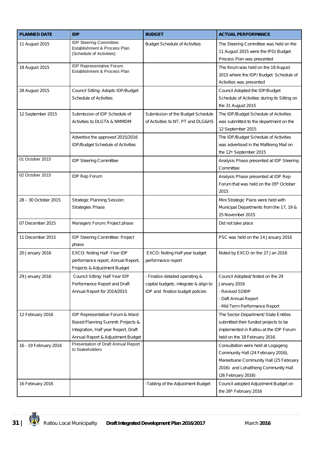| <b>PLANNED DATE</b>   | <b>IDP</b>                                                                                                                                        | <b>BUDGET</b>                                                                                                | <b>ACTUAL PERFORMANCE</b>                                                                                                                                                       |
|-----------------------|---------------------------------------------------------------------------------------------------------------------------------------------------|--------------------------------------------------------------------------------------------------------------|---------------------------------------------------------------------------------------------------------------------------------------------------------------------------------|
| 11 August 2015        | IDP Steering Committee:<br>Establishment & Process Plan<br>(Schedule of Activities)                                                               | <b>Budget Schedule of Activities</b>                                                                         | The Steering Committee was held on the<br>11 August 2015 were the IPD/ Budget<br>Process Plan was presented                                                                     |
| 18 August 2015        | IDP Representative Forum:<br>Establishment & Process Plan                                                                                         |                                                                                                              | The forum was held on the 18 August<br>2015 where the IDP/ Budget Schedule of<br>Activities was presented                                                                       |
| 28 August 2015        | Council Sitting: Adopts IDP/Budget<br><b>Schedule of Activities</b>                                                                               |                                                                                                              | Council Adopted the IDP/Budget<br>Schedule of Activities during its Sitting on<br>the 31 August 2015                                                                            |
| 12 September 2015     | Submission of IDP Schedule of<br>Activities to DLGTA & NMMDM                                                                                      | Submission of the Budget Schedule<br>of Activities to NT, PT and DLG&HS                                      | The IDP/Budget Schedule of Activities<br>was submitted to the department on the<br>12 September 2015                                                                            |
|                       | Advertise the approved 2015/2016<br>IDP/Budget Schedule of Activities                                                                             |                                                                                                              | The IDP/Budget Schedule of Activities<br>was advertised in the Mafikeng Mail on<br>the 12 <sup>th</sup> September 2015                                                          |
| 01 October 2015       | <b>IDP Steering Committee</b>                                                                                                                     |                                                                                                              | Analysis Phase presented at IDP Steering<br>Committee                                                                                                                           |
| 02 October 2015       | <b>IDP Rep Forum</b>                                                                                                                              |                                                                                                              | Analysis Phase presented at IDP Rep<br>Forum that was held on the 05th October<br>2015                                                                                          |
| 28 - 30 October 2015  | <b>Strategic Planning Session:</b><br>Strategies Phase                                                                                            |                                                                                                              | Mini Strategic Plans were held with<br>Municipal Departments from the 17, 19 &<br>25 November 2015                                                                              |
| 07 December 2015      | Managers Forum: Project phase                                                                                                                     |                                                                                                              | Did not take place                                                                                                                                                              |
| 11 December 2015      | IDP Steering Committee: Project<br>phase                                                                                                          |                                                                                                              | PSC was held on the 14 January 2016                                                                                                                                             |
| 20 January 2016       | EXCO: Noting Half - Year IDP<br>performance report, Annual Report,<br>Projects & Adjustment Budget                                                | EXCO: Noting Half year budget<br>performance report                                                          | Noted by EXCO on the 27 Jan 2016                                                                                                                                                |
| 29 January 2016       | Council Sitting: Half Year IDP<br>Performance Report and Draft<br>Annual Report for 2014/2015                                                     | - Finalize detailed operating &<br>capital budgets, integrate & align to<br>IDP and finalize budget policies | Council Adopted/ Noted on the 29<br>January 2016<br>- Revised SDBIP<br>- Daft Annual Report<br>- Mid Term Performance Report                                                    |
| 12 February 2016      | IDP Representative Forum & Ward<br>Based Planning Summit: Projects &<br>Integration, Half year Report, Draft<br>Annual Report & Adjustment Budget |                                                                                                              | The Sector Department/ State Entities<br>submitted their funded projects to be<br>implemented in Ratlou at the IDP Forum<br>held on the 18 February 2016.                       |
| 16 - 19 February 2016 | Presentation of Draft Annual Report<br>to Stakeholders                                                                                            |                                                                                                              | Consultation were held at Logageng<br>Community Hall (24 February 2016),<br>Mareetsane Community Hall (25 February<br>2016) and Lohatlheng Community Hall<br>(26 February 2016) |
| 16 February 2016      |                                                                                                                                                   | -Tabling of the Adjustment Budget                                                                            | Council adopted Adjustment Budget on<br>the 26th February 2016                                                                                                                  |

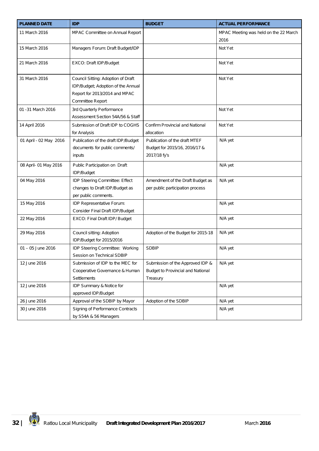| <b>PLANNED DATE</b>    | <b>IDP</b>                          | <b>BUDGET</b>                            | <b>ACTUAL PERFORMANCE</b>             |
|------------------------|-------------------------------------|------------------------------------------|---------------------------------------|
| 11 March 2016          | MPAC Committee on Annual Report     |                                          | MPAC Meeting was held on the 22 March |
|                        |                                     |                                          | 2016                                  |
| 15 March 2016          | Managers Forum: Draft Budget/IDP    |                                          | Not Yet                               |
|                        |                                     |                                          |                                       |
| 21 March 2016          | EXCO: Draft IDP/Budget              |                                          | Not Yet                               |
|                        |                                     |                                          |                                       |
| 31 March 2016          | Council Sitting: Adoption of Draft  |                                          | Not Yet                               |
|                        | IDP/Budget; Adoption of the Annual  |                                          |                                       |
|                        | Report for 2013/2014 and MPAC       |                                          |                                       |
|                        | Committee Report                    |                                          |                                       |
| 01 - 31 March 2016     | 3rd Quarterly Performance           |                                          | Not Yet                               |
|                        | Assessment Section 54A/56 & Staff   |                                          |                                       |
| 14 April 2016          | Submission of Draft IDP to COGHS    | Confirm Provincial and National          | Not Yet                               |
|                        | for Analysis                        | allocation                               |                                       |
| 01 April - 02 May 2016 | Publication of the draft IDP/Budget | Publication of the draft MTEF            | N/A yet                               |
|                        | documents for public comments/      | Budget for 2015/16, 2016/17 &            |                                       |
|                        | inputs                              | 2017/18 fy's                             |                                       |
| 08 April- 01 May 2016  | Public Participation on Draft       |                                          | N/A yet                               |
|                        | IDP/Budget                          |                                          |                                       |
| 04 May 2016            | IDP Steering Committee: Effect      | Amendment of the Draft Budget as         | N/A yet                               |
|                        | changes to Draft IDP/Budget as      | per public participation process         |                                       |
|                        | per public comments.                |                                          |                                       |
| 15 May 2016            | IDP Representative Forum:           |                                          | N/A yet                               |
|                        | Consider Final Draft IDP/Budget     |                                          |                                       |
| 22 May 2016            | EXCO: Final Draft IDP/ Budget       |                                          | N/A yet                               |
|                        |                                     |                                          |                                       |
| 29 May 2016            | Council sitting: Adoption           | Adoption of the Budget for 2015-18       | N/A yet                               |
|                        | IDP/Budget for 2015/2016            |                                          |                                       |
| 01 - 05 June 2016      | IDP Steering Committee: Working     | <b>SDBIP</b>                             | N/A yet                               |
|                        | Session on Technical SDBIP          |                                          |                                       |
| 12 June 2016           | Submission of IDP to the MEC for    | Submission of the Approved IDP &         | N/A yet                               |
|                        | Cooperative Governance & Human      | <b>Budget to Provincial and National</b> |                                       |
|                        | Settlements                         | Treasury                                 |                                       |
| 12 June 2016           | IDP Summary & Notice for            |                                          | N/A yet                               |
|                        | approved IDP/Budget                 |                                          |                                       |
| 26 June 2016           | Approval of the SDBIP by Mayor      | Adoption of the SDBIP                    | N/A yet                               |
| 30 June 2016           | Signing of Performance Contracts    |                                          | N/A yet                               |
|                        | by S54A & 56 Managers               |                                          |                                       |

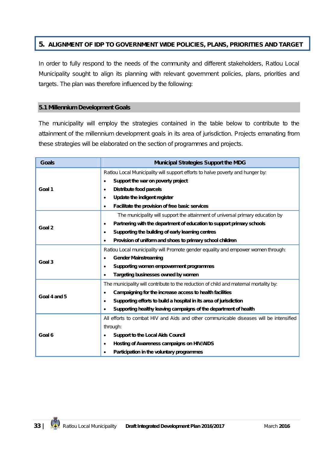## **5. ALIGNMENT OF IDP TO GOVERNMENT WIDE POLICIES, PLANS, PRIORITIES AND TARGET**

In order to fully respond to the needs of the community and different stakeholders, Ratlou Local Municipality sought to align its planning with relevant government policies, plans, priorities and targets. The plan was therefore influenced by the following:

#### **5.1 Millennium Development Goals**

The municipality will employ the strategies contained in the table below to contribute to the attainment of the millennium development goals in its area of jurisdiction. Projects emanating from these strategies will be elaborated on the section of programmes and projects.

| <b>Goals</b> | <b>Municipal Strategies Support the MDG</b>                                            |  |
|--------------|----------------------------------------------------------------------------------------|--|
|              | Ratlou Local Municipality will support efforts to halve poverty and hunger by:         |  |
| Goal 1       | Support the war on poverty project<br>$\bullet$                                        |  |
|              | <b>Distribute food parcels</b><br>$\bullet$                                            |  |
|              | Update the indigent register<br>$\bullet$                                              |  |
|              | Facilitate the provision of free basic services<br>$\bullet$                           |  |
|              | The municipality will support the attainment of universal primary education by         |  |
| Goal 2       | Partnering with the department of education to support primary schools<br>$\bullet$    |  |
|              | Supporting the building of early learning centres<br>٠                                 |  |
|              | Provision of uniform and shoes to primary school children<br>$\bullet$                 |  |
|              | Ratlou Local municipality will Promote gender equality and empower women through:      |  |
| Goal 3       | <b>Gender Mainstreaming</b><br>$\bullet$                                               |  |
|              | Supporting women empowerment programmes<br>$\bullet$                                   |  |
|              | Targeting businesses owned by women                                                    |  |
|              | The municipality will contribute to the reduction of child and maternal mortality by:  |  |
| Goal 4 and 5 | Campaigning for the increase access to health facilities<br>$\bullet$                  |  |
|              | Supporting efforts to build a hospital in its area of jurisdiction<br>$\bullet$        |  |
|              | Supporting healthy leaving campaigns of the department of health<br>$\bullet$          |  |
|              | All efforts to combat HIV and Aids and other communicable diseases will be intensified |  |
|              | through:                                                                               |  |
| Goal 6       | <b>Support to the Local Aids Council</b><br>$\bullet$                                  |  |
|              | Hosting of Awareness campaigns on HIV/AIDS<br>$\bullet$                                |  |
|              | Participation in the voluntary programmes                                              |  |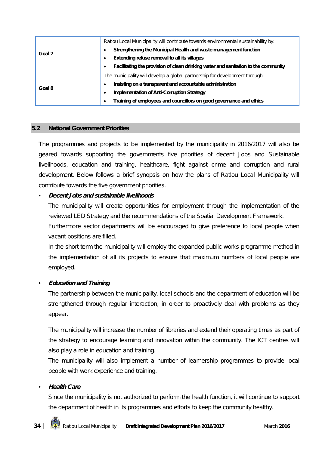| Goal 7 | Ratiou Local Municipality will contribute towards environmental sustainability by:              |
|--------|-------------------------------------------------------------------------------------------------|
|        | Strengthening the Municipal Health and waste management function                                |
|        | Extending refuse removal to all its villages<br>٠                                               |
|        | Facilitating the provision of clean drinking water and sanitation to the community<br>$\bullet$ |
| Goal 8 | The municipality will develop a global partnership for development through:                     |
|        | Insisting on a transparent and accountable administration<br>٠                                  |
|        | <b>Implementation of Anti-Corruption Strategy</b><br>٠                                          |
|        | Training of employees and councillors on good governance and ethics<br>٠                        |

#### **5.2 National Government Priorities**

The programmes and projects to be implemented by the municipality in 2016/2017 will also be geared towards supporting the governments five priorities of decent Jobs and Sustainable livelihoods, education and training, healthcare, fight against crime and corruption and rural development. Below follows a brief synopsis on how the plans of Ratlou Local Municipality will contribute towards the five government priorities.

## • *Decent Jobs and sustainable livelihoods*

The municipality will create opportunities for employment through the implementation of the reviewed LED Strategy and the recommendations of the Spatial Development Framework.

Furthermore sector departments will be encouraged to give preference to local people when vacant positions are filled.

In the short term the municipality will employ the expanded public works programme method in the implementation of all its projects to ensure that maximum numbers of local people are employed.

## • *Education and Training*

The partnership between the municipality, local schools and the department of education will be strengthened through regular interaction, in order to proactively deal with problems as they appear.

The municipality will increase the number of libraries and extend their operating times as part of the strategy to encourage learning and innovation within the community. The ICT centres will also play a role in education and training.

The municipality will also implement a number of learnership programmes to provide local people with work experience and training.

## • *Health Care*

Since the municipality is not authorized to perform the health function, it will continue to support the department of health in its programmes and efforts to keep the community healthy.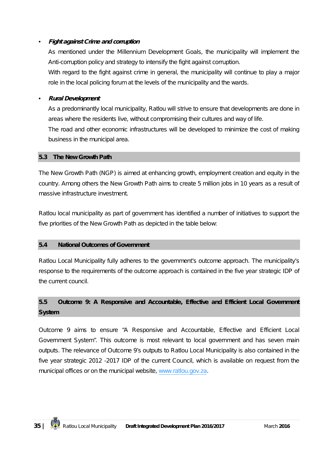## • *Fight against Crime and corruption*

As mentioned under the Millennium Development Goals, the municipality will implement the Anti-corruption policy and strategy to intensify the fight against corruption.

With regard to the fight against crime in general, the municipality will continue to play a major role in the local policing forum at the levels of the municipality and the wards.

#### • *Rural Development*

As a predominantly local municipality, Ratlou will strive to ensure that developments are done in areas where the residents live, without compromising their cultures and way of life.

The road and other economic infrastructures will be developed to minimize the cost of making business in the municipal area.

#### **5.3 The New Growth Path**

The New Growth Path (NGP) is aimed at enhancing growth, employment creation and equity in the country. Among others the New Growth Path aims to create 5 million jobs in 10 years as a result of massive infrastructure investment.

Ratlou local municipality as part of government has identified a number of initiatives to support the five priorities of the New Growth Path as depicted in the table below:

#### **5.4 National Outcomes of Government**

Ratlou Local Municipality fully adheres to the government's outcome approach. The municipality's response to the requirements of the outcome approach is contained in the five year strategic IDP of the current council.

# **5.5 Outcome 9: A Responsive and Accountable, Effective and Efficient Local Government System**

Outcome 9 aims to ensure "A Responsive and Accountable, Effective and Efficient Local Government System". This outcome is most relevant to local government and has seven main outputs. The relevance of Outcome 9's outputs to Ratlou Local Municipality is also contained in the five year strategic 2012 -2017 IDP of the current Council, which is available on request from the municipal offices or on the municipal website, www.ratlou.gov.za.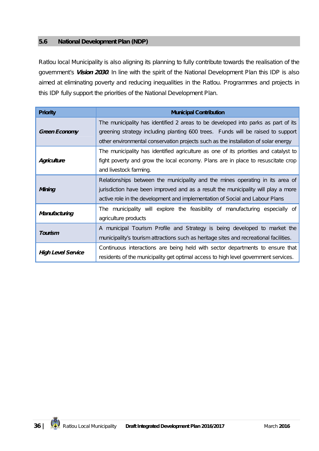#### **5.6 National Development Plan (NDP)**

Ratlou local Municipality is also aligning its planning to fully contribute towards the realisation of the government's *Vision 2030*. In line with the spirit of the National Development Plan this IDP is also aimed at eliminating poverty and reducing inequalities in the Ratlou. Programmes and projects in this IDP fully support the priorities of the National Development Plan.

| <b>Priority</b>      | <b>Municipal Contribution</b>                                                          |
|----------------------|----------------------------------------------------------------------------------------|
| <b>Green Economy</b> | The municipality has identified 2 areas to be developed into parks as part of its      |
|                      | greening strategy including planting 600 trees. Funds will be raised to support        |
|                      | other environmental conservation projects such as the installation of solar energy     |
| Agriculture          | The municipality has identified agriculture as one of its priorities and catalyst to   |
|                      | fight poverty and grow the local economy. Plans are in place to resuscitate crop       |
|                      | and livestock farming.                                                                 |
| Mining               | Relationships between the municipality and the mines operating in its area of          |
|                      | jurisdiction have been improved and as a result the municipality will play a more      |
|                      | active role in the development and implementation of Social and Labour Plans           |
| Manufacturing        | The municipality will explore the feasibility of manufacturing especially of           |
|                      | agriculture products                                                                   |
| Tourism              | A municipal Tourism Profile and Strategy is being developed to market the              |
|                      | municipality's tourism attractions such as heritage sites and recreational facilities. |
| High Level Service   | Continuous interactions are being held with sector departments to ensure that          |
|                      | residents of the municipality get optimal access to high level government services.    |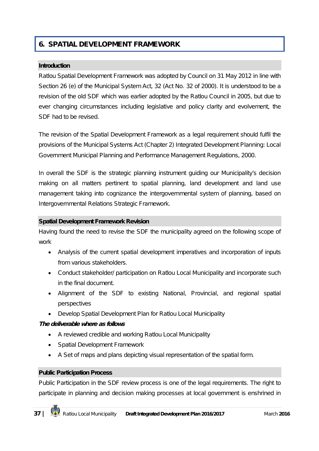### **6. SPATIAL DEVELOPMENT FRAMEWORK**

#### **Introduction**

Ratlou Spatial Development Framework was adopted by Council on 31 May 2012 in line with Section 26 (e) of the Municipal System Act, 32 (Act No. 32 of 2000). It is understood to be a revision of the old SDF which was earlier adopted by the Ratlou Council in 2005, but due to ever changing circumstances including legislative and policy clarity and evolvement, the SDF had to be revised.

The revision of the Spatial Development Framework as a legal requirement should fulfil the provisions of the Municipal Systems Act (Chapter 2) Integrated Development Planning: Local Government Municipal Planning and Performance Management Regulations, 2000.

In overall the SDF is the strategic planning instrument guiding our Municipality's decision making on all matters pertinent to spatial planning, land development and land use management taking into cognizance the intergovernmental system of planning, based on Intergovernmental Relations Strategic Framework.

#### **Spatial Development Framework Revision**

Having found the need to revise the SDF the municipality agreed on the following scope of work

- Analysis of the current spatial development imperatives and incorporation of inputs from various stakeholders.
- Conduct stakeholder/ participation on Ratlou Local Municipality and incorporate such in the final document.
- Alignment of the SDF to existing National, Provincial, and regional spatial perspectives
- Develop Spatial Development Plan for Ratlou Local Municipality

#### *The deliverable where as follows*

- A reviewed credible and working Ratlou Local Municipality
- Spatial Development Framework
- A Set of maps and plans depicting visual representation of the spatial form.

#### **Public Participation Process**

Public Participation in the SDF review process is one of the legal requirements. The right to participate in planning and decision making processes at local government is enshrined in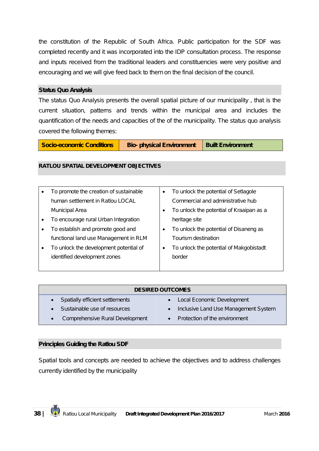the constitution of the Republic of South Africa. Public participation for the SDF was completed recently and it was incorporated into the IDP consultation process. The response and inputs received from the traditional leaders and constituencies were very positive and encouraging and we will give feed back to them on the final decision of the council.

#### **Status Quo Analysis**

The status Quo Analysis presents the overall spatial picture of our municipality , that is the current situation, patterns and trends within the municipal area and includes the quantification of the needs and capacities of the of the municipality. The status quo analysis covered the following themes:

**Socio-economic Conditions | Bio-** physical Environment | Built Environment

#### **RATLOU SPATIAL DEVELOPMENT OBJECTIVES**

|           | To promote the creation of sustainable | $\bullet$ | To unlock the potential of Setlagole     |
|-----------|----------------------------------------|-----------|------------------------------------------|
|           | human settlement in Ratlou LOCAL       |           | Commercial and administrative hub        |
|           | Municipal Area                         |           | To unlock the potential of Kraaipan as a |
|           | To encourage rural Urban Integration   |           | heritage site                            |
|           | To establish and promote good and      |           | To unlock the potential of Disaneng as   |
|           | functional land use Management in RLM  |           | Tourism destination                      |
| $\bullet$ | To unlock the development potential of |           | To unlock the potential of Makgobistadt  |
|           | identified development zones           |           | border                                   |
|           |                                        |           |                                          |

| <b>DESIRED OUTCOMES</b>         |                                      |  |  |
|---------------------------------|--------------------------------------|--|--|
| Spatially efficient settlements | Local Economic Development           |  |  |
| Sustainable use of resources    | Inclusive Land Use Management System |  |  |
| Comprehensive Rural Development | Protection of the environment        |  |  |

#### **Principles Guiding the Ratlou SDF**

Spatial tools and concepts are needed to achieve the objectives and to address challenges currently identified by the municipality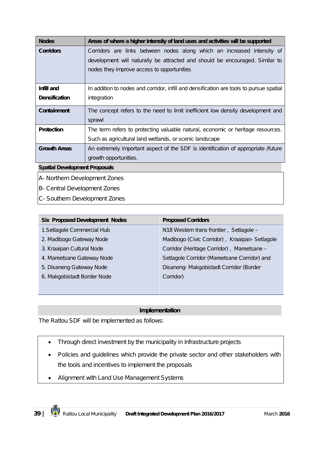| <b>Nodes</b>                         | Areas of where a higher intensity of land uses and activities will be supported         |  |  |
|--------------------------------------|-----------------------------------------------------------------------------------------|--|--|
| <b>Corridors</b>                     | Corridors are links between nodes along which an increased intensity of                 |  |  |
|                                      | development will naturally be attracted and should be encouraged. Similar to            |  |  |
|                                      | nodes they improve access to opportunities                                              |  |  |
|                                      |                                                                                         |  |  |
| Infill and                           | In addition to nodes and corridor, infill and densification are tools to pursue spatial |  |  |
| <b>Densification</b>                 | integration                                                                             |  |  |
| <b>Containment</b>                   | The concept refers to the need to limit inefficient low density development and         |  |  |
|                                      | sprawl                                                                                  |  |  |
| <b>Protection</b>                    | The term refers to protecting valuable natural, economic or heritage resources.         |  |  |
|                                      | Such as agricultural land wetlands, or scenic landscape                                 |  |  |
| <b>Growth Areas</b>                  | An extremely important aspect of the SDF is identification of appropriate /future       |  |  |
|                                      | growth opportunities.                                                                   |  |  |
| <b>Spatial Development Proposals</b> |                                                                                         |  |  |
| A- Northern Development Zones        |                                                                                         |  |  |

- B- Central Development Zones
- C- Southern Development Zones

| <b>Proposed Corridors</b>                     |
|-----------------------------------------------|
| N18 Western trans frontier, Setlagole -       |
| Madibogo (Civic Corridor), Kraaipan-Setlagole |
| Corridor (Heritage Corridor), Mareetsane -    |
| Setlagole Corridor (Mareetsane Corridor) and  |
| Disaneng-Makgobistadt Corridor (Border        |
| Corridor)                                     |
|                                               |

#### **Implementation**

The Ratlou SDF will be implemented as follows:

- Through direct investment by the municipality in infrastructure projects
- Policies and quidelines which provide the private sector and other stakeholders with the tools and incentives to implement the proposals
- Alignment with Land Use Management Systems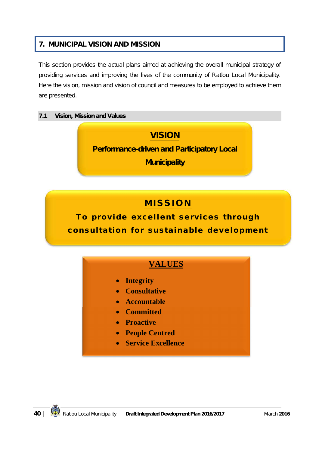### **7. MUNICIPAL VISION AND MISSION**

This section provides the actual plans aimed at achieving the overall municipal strategy of providing services and improving the lives of the community of Ratlou Local Municipality. Here the vision, mission and vision of council and measures to be employed to achieve them are presented.

### **7.1 Vision, Mission and Values**

## **VISION**

**Performance-driven and Participatory Local** 

**Municipality**

# **M I S S I O N**

To provide excellent services through consultation for sustainable development

### **VALUES**

- **Integrity**
- **Consultative**
- **Accountable**
- **Committed**
- **•** Proactive
- **People Centred**
- **Service Excellence**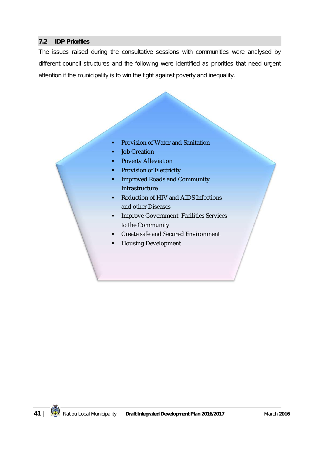#### **7.2 IDP Priorities**

The issues raised during the consultative sessions with communities were analysed by different council structures and the following were identified as priorities that need urgent attention if the municipality is to win the fight against poverty and inequality.

- **Provision of Water and Sanitation**
- **Job Creation**
- **Poverty Alleviation**
- **Provision of Electricity**
- **Improved Roads and Community Infrastructure**
- Reduction of HIV and AIDS Infections and other Diseases
- **Improve Government Facilities Services** to the Community
- **•** Create safe and Secured Environment
- Housing Development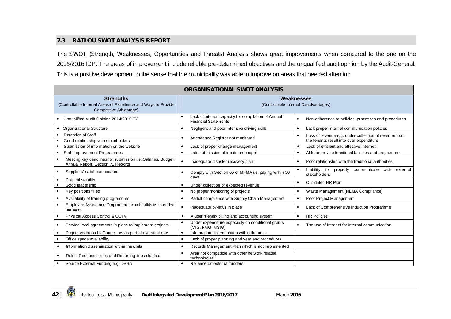#### **7.3 RATLOU SWOT ANALYSIS REPORT**

The SWOT (Strength, Weaknesses, Opportunities and Threats) Analysis shows great improvements when compared to the one on the 2015/2016 IDP. The areas of improvement include reliable pre-determined objectives and the unqualified audit opinion by the Audit-General. This is a positive development in the sense that the municipality was able to improve on areas that needed attention.

| <b>ORGANISATIONAL SWOT ANALYSIS</b>                                                                          |                                                                                    |                                                                                                                |  |  |  |
|--------------------------------------------------------------------------------------------------------------|------------------------------------------------------------------------------------|----------------------------------------------------------------------------------------------------------------|--|--|--|
| <b>Strengths</b><br>(Controllable Internal Areas of Excellence and Ways to Provide<br>Competitive Advantage) | Weaknesses<br>(Controllable Internal Disadvantages)                                |                                                                                                                |  |  |  |
| Unqualified Audit Opinion 2014/2015 FY<br>$\bullet$                                                          | Lack of internal capacity for compilation of Annual<br><b>Financial Statements</b> | Non-adherence to policies, processes and procedures                                                            |  |  |  |
| • Organizational Structure                                                                                   | Negligent and poor intensive driving skills                                        | Lack proper internal communication policies<br>$\bullet$                                                       |  |  |  |
| <b>Retention of Staff</b><br>Good relationship with stakeholders                                             | Attendance Register not monitored                                                  | Loss of revenue e.g. under collection of revenue from<br>$\bullet$<br>the tenants result into over expenditure |  |  |  |
| Submission of information on the website                                                                     | Lack of proper change management                                                   | Lack of efficient and effective Internet<br>$\bullet$                                                          |  |  |  |
| <b>Staff Improvement Programmes</b>                                                                          | Late submission of inputs on budget                                                | Able to provide functional facilities and programmes<br>$\bullet$                                              |  |  |  |
| Meeting key deadlines for submission i.e. Salaries, Budget,<br>Annual Report, Section 71 Reports             | Inadequate disaster recovery plan                                                  | Poor relationship with the traditional authorities<br>$\bullet$                                                |  |  |  |
| Suppliers' database updated                                                                                  | Comply with Section 65 of MFMA i.e. paying within 30                               | Inability to<br>properly<br>communicate<br>with<br>external<br>stakeholders                                    |  |  |  |
| Political stability                                                                                          | days                                                                               | Out-dated HR Plan                                                                                              |  |  |  |
| Good leadership                                                                                              | Under collection of expected revenue                                               |                                                                                                                |  |  |  |
| Key positions filled                                                                                         | No proper monitoring of projects                                                   | Waste Management (NEMA Compliance)<br>$\bullet$                                                                |  |  |  |
| Availability of training programmes                                                                          | Partial compliance with Supply Chain Management                                    | Poor Project Management<br>$\bullet$                                                                           |  |  |  |
| Employee Assistance Programme which fulfils its intended<br>purpose                                          | Inadequate by-laws in place                                                        | Lack of Comprehensive Induction Programme<br>$\bullet$                                                         |  |  |  |
| Physical Access Control & CCTV                                                                               | A user friendly billing and accounting system                                      | <b>HR Policies</b><br>$\bullet$                                                                                |  |  |  |
| Service level agreements in place to implement projects                                                      | Under expenditure especially on conditional grants<br>(MIG, FMG, MSIG)             | The use of Intranet for internal communication<br>$\bullet$                                                    |  |  |  |
| Project visitation by Councillors as part of oversight role                                                  | Information dissemination within the units                                         |                                                                                                                |  |  |  |
| Office space availability<br>٠                                                                               | Lack of proper planning and year end procedures<br>$\bullet$                       |                                                                                                                |  |  |  |
| Information dissemination within the units                                                                   | Records Management Plan which is not implemented                                   |                                                                                                                |  |  |  |
| Roles, Responsibilities and Reporting lines clarified<br>٠                                                   | Area not compatible with other network related<br>technologies                     |                                                                                                                |  |  |  |
| Source External Funding e.g. DBSA                                                                            | Reliance on external funders                                                       |                                                                                                                |  |  |  |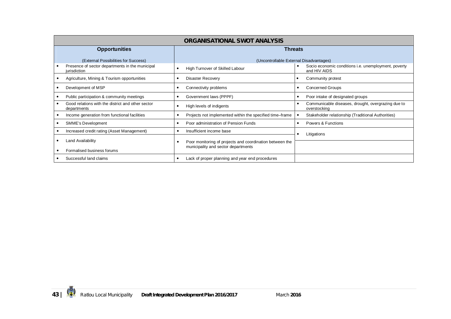| <b>ORGANISATIONAL SWOT ANALYSIS</b>                              |                                                          |                                                                             |  |  |  |
|------------------------------------------------------------------|----------------------------------------------------------|-----------------------------------------------------------------------------|--|--|--|
| <b>Opportunities</b>                                             | <b>Threats</b>                                           |                                                                             |  |  |  |
| (External Possibilities for Success)                             | (Uncontrollable External Disadvantages)                  |                                                                             |  |  |  |
| Presence of sector departments in the municipal<br>jurisdiction  | High Turnover of Skilled Labour                          | Socio economic conditions <i>i.e.</i> unemployment, poverty<br>and HIV AIDS |  |  |  |
| Agriculture, Mining & Tourism opportunities                      | <b>Disaster Recovery</b>                                 | Community protest                                                           |  |  |  |
| Development of MSP                                               | Connectivity problems                                    | <b>Concerned Groups</b>                                                     |  |  |  |
| Public participation & community meetings                        | Government laws (PPPF)                                   | Poor intake of designated groups                                            |  |  |  |
| Good relations with the district and other sector<br>departments | High levels of indigents                                 | Communicable diseases, drought, overgrazing due to<br>overstocking          |  |  |  |
| Income generation from functional facilities                     | Projects not implemented within the specified time-frame | Stakeholder relationship (Traditional Authorities)                          |  |  |  |
| <b>SMME's Development</b>                                        | Poor administration of Pension Funds                     | Powers & Functions                                                          |  |  |  |
| Increased credit rating (Asset Management)                       | Insufficient income base                                 | Litigations                                                                 |  |  |  |
| Land Availability                                                | Poor monitoring of projects and coordination between the |                                                                             |  |  |  |
| Formalised business forums                                       | municipality and sector departments                      |                                                                             |  |  |  |
| Successful land claims                                           | Lack of proper planning and year end procedures          |                                                                             |  |  |  |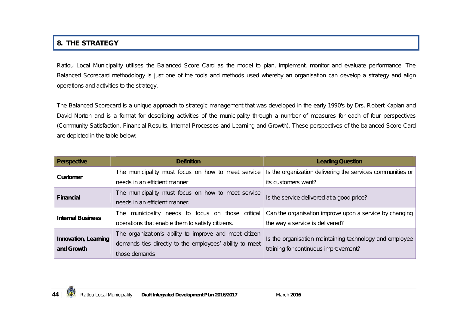### **8. THE STRATEGY**

Ratlou Local Municipality utilises the Balanced Score Card as the model to plan, implement, monitor and evaluate performance. The Balanced Scorecard methodology is just one of the tools and methods used whereby an organisation can develop a strategy and align operations and activities to the strategy.

The Balanced Scorecard is a unique approach to strategic management that was developed in the early 1990's by Drs. Robert Kaplan and David Norton and is a format for describing activities of the municipality through a number of measures for each of four perspectives (Community Satisfaction, Financial Results, Internal Processes and Learning and Growth). These perspectives of the balanced Score Card are depicted in the table below:

| <b>Perspective</b>       | <b>Definition</b>                                                                               | <b>Leading Question</b>                                    |  |
|--------------------------|-------------------------------------------------------------------------------------------------|------------------------------------------------------------|--|
| <b>Customer</b>          | The municipality must focus on how to meet service                                              | Is the organization delivering the services communities or |  |
|                          | needs in an efficient manner                                                                    | its customers want?                                        |  |
| <b>Financial</b>         | The municipality must focus on how to meet service<br>Is the service delivered at a good price? |                                                            |  |
|                          | needs in an efficient manner.                                                                   |                                                            |  |
| <b>Internal Business</b> | The municipality needs to focus on those critical                                               | Can the organisation improve upon a service by changing    |  |
|                          | operations that enable them to satisfy citizens.                                                | the way a service is delivered?                            |  |
| Innovation, Learning     | The organization's ability to improve and meet citizen                                          | Is the organisation maintaining technology and employee    |  |
| and Growth               | demands ties directly to the employees' ability to meet                                         | training for continuous improvement?                       |  |
|                          | those demands                                                                                   |                                                            |  |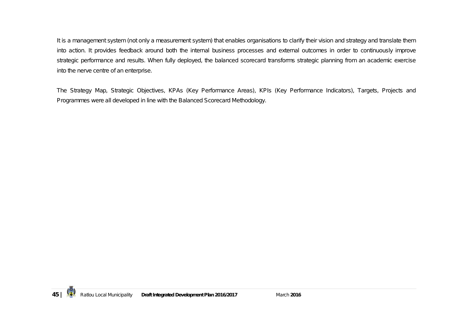It is a management system (not only a measurement system) that enables organisations to clarify their vision and strategy and translate them into action. It provides feedback around both the internal business processes and external outcomes in order to continuously improve strategic performance and results. When fully deployed, the balanced scorecard transforms strategic planning from an academic exercise into the nerve centre of an enterprise.

The Strategy Map, Strategic Objectives, KPAs (Key Performance Areas), KPIs (Key Performance Indicators), Targets, Projects and Programmes were all developed in line with the Balanced Scorecard Methodology.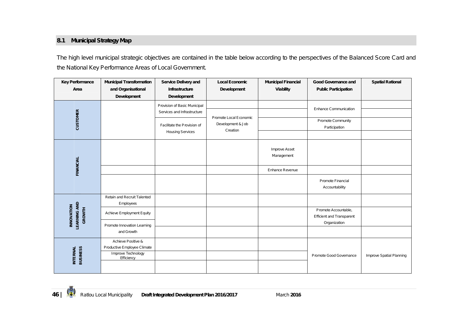### **8.1 Municipal Strategy Map**

The high level municipal strategic objectives are contained in the table below according to the perspectives of the Balanced Score Card and the National Key Performance Areas of Local Government.

| <b>Key Performance</b>                                    | <b>Municipal Transformation</b>                          | Service Delivery and                                                                       | <b>Local Economic</b>                       | <b>Municipal Financial</b>         | Good Governance and                                                      | <b>Spatial Rational</b>  |
|-----------------------------------------------------------|----------------------------------------------------------|--------------------------------------------------------------------------------------------|---------------------------------------------|------------------------------------|--------------------------------------------------------------------------|--------------------------|
| Area                                                      | and Organisational<br><b>Development</b>                 | Infrastructure<br>Development                                                              | <b>Development</b>                          | Viability                          | <b>Public Participation</b>                                              |                          |
| <b>CUSTOMER</b>                                           |                                                          | Provision of Basic Municipal<br>Services and Infrastructure<br>Facilitate the Provision of | Promote Local Economic<br>Development & Job |                                    | Enhance Communication<br>Promote Community<br>Participation              |                          |
|                                                           |                                                          | <b>Housing Services</b>                                                                    | Creation                                    |                                    |                                                                          |                          |
|                                                           |                                                          |                                                                                            |                                             | <b>Improve Asset</b><br>Management |                                                                          |                          |
| <b>FINANCIAL</b>                                          |                                                          |                                                                                            |                                             | Enhance Revenue                    |                                                                          |                          |
|                                                           |                                                          |                                                                                            |                                             |                                    | Promote Financial<br>Accountability                                      |                          |
|                                                           | Retain and Recruit Talented<br>Employees                 |                                                                                            |                                             |                                    |                                                                          |                          |
| <b>LEARNING AND</b><br><b>INNOVATION</b><br><b>GROWTH</b> | Achieve Employment Equity<br>Promote Innovation Learning |                                                                                            |                                             |                                    | Promote Accountable,<br><b>Efficient and Transparent</b><br>Organization |                          |
|                                                           | and Growth                                               |                                                                                            |                                             |                                    |                                                                          |                          |
|                                                           | Achieve Positive &<br>Productive Employee Climate        |                                                                                            |                                             |                                    |                                                                          |                          |
| <b>BUSINESS</b><br><b>INTERNAL</b>                        | Improve Technology<br>Efficiency                         |                                                                                            |                                             |                                    | Promote Good Governance                                                  | Improve Spatial Planning |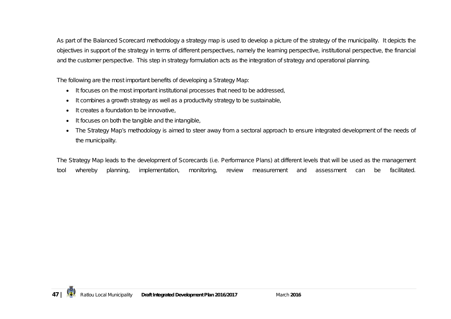As part of the Balanced Scorecard methodology a strategy map is used to develop a picture of the strategy of the municipality. It depicts the objectives in support of the strategy in terms of different perspectives, namely the learning perspective, institutional perspective, the financial and the customer perspective. This step in strategy formulation acts as the integration of strategy and operational planning.

The following are the most important benefits of developing a Strategy Map:

- It focuses on the most important institutional processes that need to be addressed,
- It combines a growth strategy as well as a productivity strategy to be sustainable,
- It creates a foundation to be innovative,
- It focuses on both the tangible and the intangible,
- The Strategy Map's methodology is aimed to steer away from a sectoral approach to ensure integrated development of the needs of the municipality.

The Strategy Map leads to the development of Scorecards (i.e. Performance Plans) at different levels that will be used as the management tool whereby planning, implementation, monitoring, review measurement and assessment can be facilitated.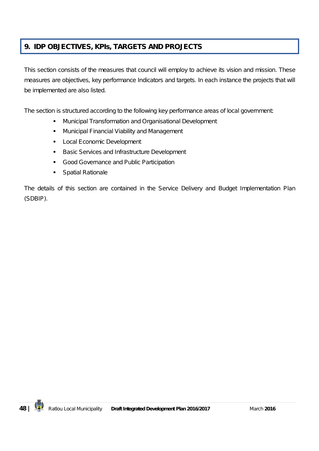### **9. IDP OBJECTIVES, KPIs, TARGETS AND PROJECTS**

This section consists of the measures that council will employ to achieve its vision and mission. These measures are objectives, key performance Indicators and targets. In each instance the projects that will be implemented are also listed.

The section is structured according to the following key performance areas of local government:

- **Municipal Transformation and Organisational Development**
- **Municipal Financial Viability and Management**
- **Local Economic Development**
- **Basic Services and Infrastructure Development**
- **Good Governance and Public Participation**
- **Spatial Rationale**

The details of this section are contained in the Service Delivery and Budget Implementation Plan (SDBIP).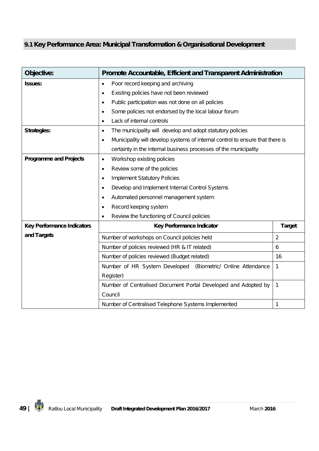## **9.1 Key Performance Area: Municipal Transformation & Organisational Development**

| Objective:                        | Promote Accountable, Efficient and Transparent Administration                              |                |  |  |
|-----------------------------------|--------------------------------------------------------------------------------------------|----------------|--|--|
| <b>Issues:</b>                    | Poor record keeping and archiving<br>$\bullet$                                             |                |  |  |
|                                   | Existing policies have not been reviewed<br>$\bullet$                                      |                |  |  |
|                                   | Public participation was not done on all policies<br>$\bullet$                             |                |  |  |
|                                   | Some policies not endorsed by the local labour forum<br>$\bullet$                          |                |  |  |
|                                   | Lack of internal controls<br>$\bullet$                                                     |                |  |  |
| <b>Strategies:</b>                | The municipality will develop and adopt statutory policies<br>$\bullet$                    |                |  |  |
|                                   | Municipality will develop systems of internal control to ensure that there is<br>$\bullet$ |                |  |  |
|                                   | certainty in the internal business processes of the municipality                           |                |  |  |
| <b>Programme and Projects</b>     | Workshop existing policies<br>$\bullet$                                                    |                |  |  |
|                                   | Review some of the policies<br>$\bullet$                                                   |                |  |  |
|                                   | <b>Implement Statutory Policies</b><br>$\bullet$                                           |                |  |  |
|                                   | Develop and Implement Internal Control Systems<br>$\bullet$                                |                |  |  |
|                                   | Automated personnel management system<br>$\bullet$                                         |                |  |  |
|                                   | Record keeping system<br>$\bullet$                                                         |                |  |  |
|                                   | Review the functioning of Council policies<br>$\bullet$                                    |                |  |  |
| <b>Key Performance Indicators</b> | Key Performance Indicator                                                                  | <b>Target</b>  |  |  |
| and Targets                       | Number of workshops on Council policies held                                               | $\overline{2}$ |  |  |
|                                   | Number of policies reviewed (HR & IT related)                                              | 6              |  |  |
|                                   | Number of policies reviewed (Budget related)<br>16                                         |                |  |  |
|                                   | Number of HR System Developed (Biometric/ Online Attendance<br>1                           |                |  |  |
|                                   | Register)                                                                                  |                |  |  |
|                                   | Number of Centralised Document Portal Developed and Adopted by<br>$\mathbf{1}$             |                |  |  |
|                                   | Council                                                                                    |                |  |  |
|                                   | Number of Centralised Telephone Systems Implemented                                        | 1              |  |  |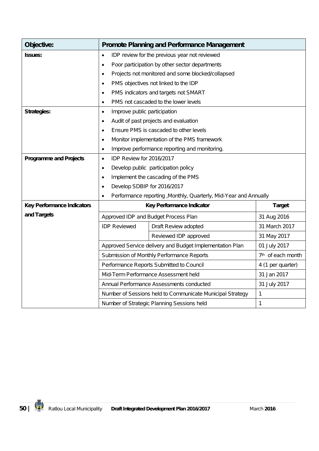| Objective:                        | <b>Promote Planning and Performance Management</b>                         |                                                                   |               |  |
|-----------------------------------|----------------------------------------------------------------------------|-------------------------------------------------------------------|---------------|--|
| <b>Issues:</b>                    | IDP review for the previous year not reviewed<br>$\bullet$                 |                                                                   |               |  |
|                                   | Poor participation by other sector departments<br>$\bullet$                |                                                                   |               |  |
|                                   | $\bullet$                                                                  | Projects not monitored and some blocked/collapsed                 |               |  |
|                                   | $\bullet$                                                                  | PMS objectives not linked to the IDP                              |               |  |
|                                   | $\bullet$                                                                  | PMS indicators and targets not SMART                              |               |  |
|                                   | $\bullet$                                                                  | PMS not cascaded to the lower levels                              |               |  |
| <b>Strategies:</b>                | Improve public participation<br>$\bullet$                                  |                                                                   |               |  |
|                                   | $\bullet$                                                                  | Audit of past projects and evaluation                             |               |  |
|                                   | $\bullet$                                                                  | Ensure PMS is cascaded to other levels                            |               |  |
|                                   | ٠                                                                          | Monitor implementation of the PMS framework                       |               |  |
|                                   | $\bullet$                                                                  | Improve performance reporting and monitoring.                     |               |  |
| <b>Programme and Projects</b>     | IDP Review for 2016/2017<br>$\bullet$                                      |                                                                   |               |  |
|                                   | $\bullet$                                                                  | Develop public participation policy                               |               |  |
|                                   | Implement the cascading of the PMS<br>$\bullet$                            |                                                                   |               |  |
|                                   | Develop SDBIP for 2016/2017<br>$\bullet$                                   |                                                                   |               |  |
|                                   | $\bullet$                                                                  | Performance reporting , Monthly, Quarterly, Mid-Year and Annually |               |  |
| <b>Key Performance Indicators</b> |                                                                            | Key Performance Indicator                                         | <b>Target</b> |  |
| and Targets                       |                                                                            | Approved IDP and Budget Process Plan                              | 31 Aug 2016   |  |
|                                   | <b>IDP Reviewed</b>                                                        | Draft Review adopted                                              | 31 March 2017 |  |
|                                   |                                                                            | Reviewed IDP approved                                             | 31 May 2017   |  |
|                                   |                                                                            | Approved Service delivery and Budget Implementation Plan          | 01 July 2017  |  |
|                                   | 7 <sup>th</sup> of each month<br>Submission of Monthly Performance Reports |                                                                   |               |  |
|                                   | Performance Reports Submitted to Council<br>4 (1 per quarter)              |                                                                   |               |  |
|                                   | 31 Jan 2017<br>Mid-Term Performance Assessment held                        |                                                                   |               |  |
|                                   | Annual Performance Assessments conducted<br>31 July 2017                   |                                                                   |               |  |
|                                   |                                                                            | Number of Sessions held to Communicate Municipal Strategy         | 1             |  |
|                                   |                                                                            | Number of Strategic Planning Sessions held                        | 1             |  |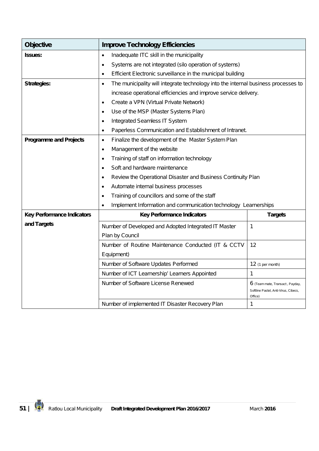| <b>Objective</b>                  | <b>Improve Technology Efficiencies</b>                                                          |                                                                                           |  |
|-----------------------------------|-------------------------------------------------------------------------------------------------|-------------------------------------------------------------------------------------------|--|
| <b>Issues:</b>                    | Inadequate ITC skill in the municipality<br>$\bullet$                                           |                                                                                           |  |
|                                   | Systems are not integrated (silo operation of systems)<br>$\bullet$                             |                                                                                           |  |
|                                   | Efficient Electronic surveillance in the municipal building<br>$\bullet$                        |                                                                                           |  |
| <b>Strategies:</b>                | The municipality will integrate technology into the internal business processes to<br>$\bullet$ |                                                                                           |  |
|                                   | increase operational efficiencies and improve service delivery.                                 |                                                                                           |  |
|                                   | Create a VPN (Virtual Private Network)<br>$\bullet$                                             |                                                                                           |  |
|                                   | Use of the MSP (Master Systems Plan)<br>$\bullet$                                               |                                                                                           |  |
|                                   | Integrated Seamless IT System<br>$\bullet$                                                      |                                                                                           |  |
|                                   | Paperless Communication and Establishment of Intranet.<br>$\bullet$                             |                                                                                           |  |
| <b>Programme and Projects</b>     | Finalize the development of the Master System Plan<br>$\bullet$                                 |                                                                                           |  |
|                                   | Management of the website<br>$\bullet$                                                          |                                                                                           |  |
|                                   | Training of staff on information technology<br>$\bullet$                                        |                                                                                           |  |
|                                   | Soft and hardware maintenance<br>$\bullet$                                                      |                                                                                           |  |
|                                   | Review the Operational Disaster and Business Continuity Plan<br>$\bullet$                       |                                                                                           |  |
|                                   | Automate internal business processes<br>$\bullet$                                               |                                                                                           |  |
|                                   | Training of councillors and some of the staff<br>$\bullet$                                      |                                                                                           |  |
|                                   | Implement Information and communication technology Learnerships<br>$\bullet$                    |                                                                                           |  |
| <b>Key Performance Indicators</b> | <b>Key Performance Indicators</b>                                                               | <b>Targets</b>                                                                            |  |
| and Targets                       | Number of Developed and Adopted Integrated IT Master                                            | 1                                                                                         |  |
|                                   | Plan by Council                                                                                 |                                                                                           |  |
|                                   | Number of Routine Maintenance Conducted (IT & CCTV                                              | 12                                                                                        |  |
|                                   | Equipment)                                                                                      |                                                                                           |  |
|                                   | Number of Software Updates Performed                                                            | 12 (1 per month)                                                                          |  |
|                                   | Number of ICT Learnership' Learners Appointed                                                   | 1                                                                                         |  |
|                                   | Number of Software License Renewed                                                              | <b>6</b> (Team mate, Transact, Payday,<br>Softline Pastel, Anti-Virus, Cibecs,<br>Office) |  |
|                                   | Number of implemented IT Disaster Recovery Plan                                                 | 1                                                                                         |  |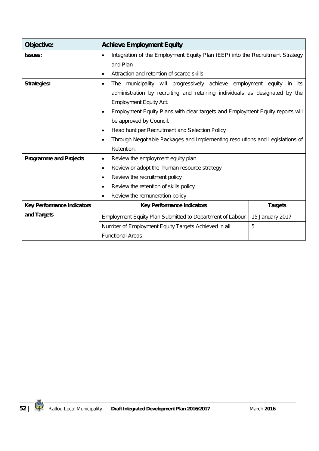| Objective:                        | <b>Achieve Employment Equity</b>                                                           |  |  |  |
|-----------------------------------|--------------------------------------------------------------------------------------------|--|--|--|
| <b>Issues:</b>                    | Integration of the Employment Equity Plan (EEP) into the Recruitment Strategy<br>$\bullet$ |  |  |  |
|                                   | and Plan                                                                                   |  |  |  |
|                                   | Attraction and retention of scarce skills<br>$\bullet$                                     |  |  |  |
| <b>Strategies:</b>                | The municipality will progressively achieve employment equity in its<br>$\bullet$          |  |  |  |
|                                   | administration by recruiting and retaining individuals as designated by the                |  |  |  |
|                                   | <b>Employment Equity Act.</b>                                                              |  |  |  |
|                                   | Employment Equity Plans with clear targets and Employment Equity reports will<br>$\bullet$ |  |  |  |
|                                   | be approved by Council.                                                                    |  |  |  |
|                                   | Head hunt per Recruitment and Selection Policy<br>٠                                        |  |  |  |
|                                   | Through Negotiable Packages and Implementing resolutions and Legislations of<br>$\bullet$  |  |  |  |
|                                   | Retention.                                                                                 |  |  |  |
| <b>Programme and Projects</b>     | Review the employment equity plan<br>$\bullet$                                             |  |  |  |
|                                   | Review or adopt the human resource strategy<br>$\bullet$                                   |  |  |  |
|                                   | Review the recruitment policy<br>$\bullet$                                                 |  |  |  |
|                                   | Review the retention of skills policy<br>$\bullet$                                         |  |  |  |
|                                   | Review the remuneration policy<br>$\bullet$                                                |  |  |  |
| <b>Key Performance Indicators</b> | <b>Key Performance Indicators</b><br><b>Targets</b>                                        |  |  |  |
| and Targets                       | Employment Equity Plan Submitted to Department of Labour<br>15 January 2017                |  |  |  |
|                                   | 5<br>Number of Employment Equity Targets Achieved in all                                   |  |  |  |
|                                   | <b>Functional Areas</b>                                                                    |  |  |  |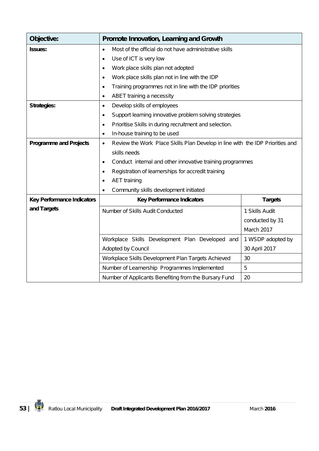| Objective:                        | Promote Innovation, Learning and Growth                                                    |                 |  |  |  |  |  |
|-----------------------------------|--------------------------------------------------------------------------------------------|-----------------|--|--|--|--|--|
| <b>Issues:</b>                    | Most of the official do not have administrative skills<br>$\bullet$                        |                 |  |  |  |  |  |
|                                   | Use of ICT is very low<br>$\bullet$                                                        |                 |  |  |  |  |  |
|                                   | Work place skills plan not adopted<br>$\bullet$                                            |                 |  |  |  |  |  |
|                                   | Work place skills plan not in line with the IDP<br>$\bullet$                               |                 |  |  |  |  |  |
|                                   | Training programmes not in line with the IDP priorities<br>٠                               |                 |  |  |  |  |  |
|                                   | ABET training a necessity<br>$\bullet$                                                     |                 |  |  |  |  |  |
| <b>Strategies:</b>                | Develop skills of employees<br>$\bullet$                                                   |                 |  |  |  |  |  |
|                                   | Support learning innovative problem solving strategies<br>$\bullet$                        |                 |  |  |  |  |  |
|                                   | Prioritise Skills in during recruitment and selection.<br>$\bullet$                        |                 |  |  |  |  |  |
|                                   | In-house training to be used<br>$\bullet$                                                  |                 |  |  |  |  |  |
| <b>Programme and Projects</b>     | Review the Work Place Skills Plan Develop in line with the IDP Priorities and<br>$\bullet$ |                 |  |  |  |  |  |
|                                   | skills needs                                                                               |                 |  |  |  |  |  |
|                                   | Conduct internal and other innovative training programmes<br>$\bullet$                     |                 |  |  |  |  |  |
|                                   | Registration of learnerships for accredit training<br>$\bullet$                            |                 |  |  |  |  |  |
|                                   | <b>AET</b> training<br>$\bullet$                                                           |                 |  |  |  |  |  |
|                                   | Community skills development initiated<br>$\bullet$                                        |                 |  |  |  |  |  |
| <b>Key Performance Indicators</b> | <b>Key Performance Indicators</b>                                                          | <b>Targets</b>  |  |  |  |  |  |
| and Targets                       | Number of Skills Audit Conducted                                                           | 1 Skills Audit  |  |  |  |  |  |
|                                   |                                                                                            | conducted by 31 |  |  |  |  |  |
|                                   | March 2017                                                                                 |                 |  |  |  |  |  |
|                                   | Workplace Skills Development Plan Developed and<br>1 WSDP adopted by                       |                 |  |  |  |  |  |
|                                   | Adopted by Council<br>30 April 2017                                                        |                 |  |  |  |  |  |
|                                   | Workplace Skills Development Plan Targets Achieved                                         | 30              |  |  |  |  |  |
|                                   | Number of Learnership Programmes Implemented                                               | 5               |  |  |  |  |  |
|                                   | Number of Applicants Benefiting from the Bursary Fund                                      | 20              |  |  |  |  |  |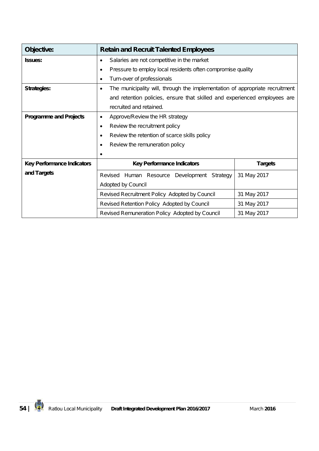| Objective:                        | <b>Retain and Recruit Talented Employees</b>                                              |             |  |  |  |  |  |
|-----------------------------------|-------------------------------------------------------------------------------------------|-------------|--|--|--|--|--|
| <b>Issues:</b>                    | Salaries are not competitive in the market<br>$\bullet$                                   |             |  |  |  |  |  |
|                                   | Pressure to employ local residents often compromise quality<br>$\bullet$                  |             |  |  |  |  |  |
|                                   | Turn-over of professionals<br>$\bullet$                                                   |             |  |  |  |  |  |
| <b>Strategies:</b>                | The municipality will, through the implementation of appropriate recruitment<br>$\bullet$ |             |  |  |  |  |  |
|                                   | and retention policies, ensure that skilled and experienced employees are                 |             |  |  |  |  |  |
|                                   | recruited and retained.                                                                   |             |  |  |  |  |  |
| <b>Programme and Projects</b>     | Approve/Review the HR strategy<br>٠                                                       |             |  |  |  |  |  |
|                                   | Review the recruitment policy<br>$\bullet$                                                |             |  |  |  |  |  |
|                                   | Review the retention of scarce skills policy<br>$\bullet$                                 |             |  |  |  |  |  |
|                                   | Review the remuneration policy<br>٠                                                       |             |  |  |  |  |  |
|                                   | ٠                                                                                         |             |  |  |  |  |  |
| <b>Key Performance Indicators</b> | <b>Key Performance Indicators</b><br><b>Targets</b>                                       |             |  |  |  |  |  |
| and Targets                       | 31 May 2017<br>Revised<br>Human Resource Development Strategy                             |             |  |  |  |  |  |
|                                   | Adopted by Council                                                                        |             |  |  |  |  |  |
|                                   | Revised Recruitment Policy Adopted by Council<br>31 May 2017                              |             |  |  |  |  |  |
|                                   | Revised Retention Policy Adopted by Council                                               | 31 May 2017 |  |  |  |  |  |
|                                   | Revised Remuneration Policy Adopted by Council                                            | 31 May 2017 |  |  |  |  |  |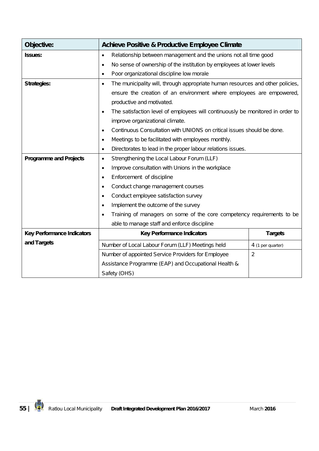| Objective:                        | <b>Achieve Positive &amp; Productive Employee Climate</b>                           |                   |  |  |  |
|-----------------------------------|-------------------------------------------------------------------------------------|-------------------|--|--|--|
| <b>Issues:</b>                    | Relationship between management and the unions not all time good<br>$\bullet$       |                   |  |  |  |
|                                   | No sense of ownership of the institution by employees at lower levels               |                   |  |  |  |
|                                   | Poor organizational discipline low morale                                           |                   |  |  |  |
| <b>Strategies:</b>                | The municipality will, through appropriate human resources and other policies,<br>٠ |                   |  |  |  |
|                                   | ensure the creation of an environment where employees are empowered,                |                   |  |  |  |
|                                   | productive and motivated.                                                           |                   |  |  |  |
|                                   | The satisfaction level of employees will continuously be monitored in order to      |                   |  |  |  |
|                                   | improve organizational climate.                                                     |                   |  |  |  |
|                                   | Continuous Consultation with UNIONS on critical issues should be done.<br>$\bullet$ |                   |  |  |  |
|                                   | Meetings to be facilitated with employees monthly.<br>$\bullet$                     |                   |  |  |  |
|                                   | Directorates to lead in the proper labour relations issues.<br>$\bullet$            |                   |  |  |  |
| <b>Programme and Projects</b>     | Strengthening the Local Labour Forum (LLF)<br>$\bullet$                             |                   |  |  |  |
|                                   | Improve consultation with Unions in the workplace<br>$\bullet$                      |                   |  |  |  |
|                                   | Enforcement of discipline                                                           |                   |  |  |  |
|                                   | Conduct change management courses                                                   |                   |  |  |  |
|                                   | Conduct employee satisfaction survey                                                |                   |  |  |  |
|                                   | Implement the outcome of the survey                                                 |                   |  |  |  |
|                                   | Training of managers on some of the core competency requirements to be              |                   |  |  |  |
|                                   | able to manage staff and enforce discipline                                         |                   |  |  |  |
| <b>Key Performance Indicators</b> | <b>Key Performance Indicators</b><br><b>Targets</b>                                 |                   |  |  |  |
| and Targets                       | Number of Local Labour Forum (LLF) Meetings held                                    | 4 (1 per quarter) |  |  |  |
|                                   | $\overline{2}$<br>Number of appointed Service Providers for Employee                |                   |  |  |  |
|                                   | Assistance Programme (EAP) and Occupational Health &                                |                   |  |  |  |
|                                   | Safety (OHS)                                                                        |                   |  |  |  |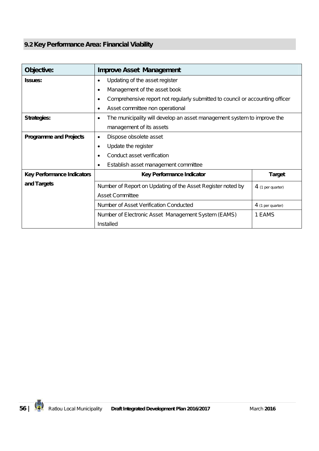## **9.2 Key Performance Area: Financial Viability**

| Objective:                        | <b>Improve Asset Management</b>                                                            |        |  |  |  |  |
|-----------------------------------|--------------------------------------------------------------------------------------------|--------|--|--|--|--|
| <b>Issues:</b>                    | Updating of the asset register<br>$\bullet$                                                |        |  |  |  |  |
|                                   | Management of the asset book<br>$\bullet$                                                  |        |  |  |  |  |
|                                   | Comprehensive report not regularly submitted to council or accounting officer<br>$\bullet$ |        |  |  |  |  |
|                                   | Asset committee non operational<br>$\bullet$                                               |        |  |  |  |  |
| Strategies:                       | The municipality will develop an asset management system to improve the<br>$\bullet$       |        |  |  |  |  |
|                                   | management of its assets                                                                   |        |  |  |  |  |
| <b>Programme and Projects</b>     | Dispose obsolete asset<br>$\bullet$                                                        |        |  |  |  |  |
|                                   | Update the register<br>$\bullet$                                                           |        |  |  |  |  |
|                                   | Conduct asset verification<br>$\bullet$                                                    |        |  |  |  |  |
|                                   | Establish asset management committee<br>$\bullet$                                          |        |  |  |  |  |
| <b>Key Performance Indicators</b> | Key Performance Indicator<br><b>Target</b>                                                 |        |  |  |  |  |
| and Targets                       | Number of Report on Updating of the Asset Register noted by<br>4 (1 per quarter)           |        |  |  |  |  |
|                                   | <b>Asset Committee</b>                                                                     |        |  |  |  |  |
|                                   | Number of Asset Verification Conducted<br>4 (1 per quarter)                                |        |  |  |  |  |
|                                   | Number of Electronic Asset Management System (EAMS)                                        | 1 EAMS |  |  |  |  |
|                                   | Installed                                                                                  |        |  |  |  |  |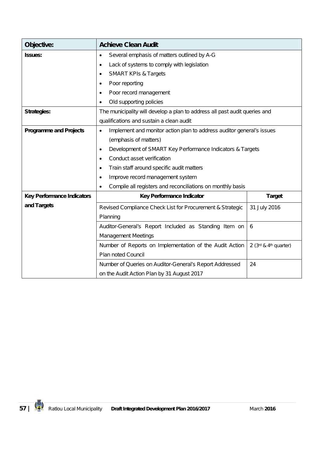| Objective:                        | <b>Achieve Clean Audit</b>                                                         |               |  |  |  |  |
|-----------------------------------|------------------------------------------------------------------------------------|---------------|--|--|--|--|
| <b>Issues:</b>                    | Several emphasis of matters outlined by A-G<br>$\bullet$                           |               |  |  |  |  |
|                                   | Lack of systems to comply with legislation<br>$\bullet$                            |               |  |  |  |  |
|                                   | <b>SMART KPIs &amp; Targets</b><br>٠                                               |               |  |  |  |  |
|                                   | Poor reporting<br>$\bullet$                                                        |               |  |  |  |  |
|                                   | Poor record management<br>٠                                                        |               |  |  |  |  |
|                                   | Old supporting policies                                                            |               |  |  |  |  |
| <b>Strategies:</b>                | The municipality will develop a plan to address all past audit queries and         |               |  |  |  |  |
|                                   | qualifications and sustain a clean audit                                           |               |  |  |  |  |
| <b>Programme and Projects</b>     | Implement and monitor action plan to address auditor general's issues<br>$\bullet$ |               |  |  |  |  |
|                                   | (emphasis of matters)                                                              |               |  |  |  |  |
|                                   | Development of SMART Key Performance Indicators & Targets<br>$\bullet$             |               |  |  |  |  |
|                                   | Conduct asset verification<br>$\bullet$                                            |               |  |  |  |  |
|                                   | Train staff around specific audit matters<br>٠                                     |               |  |  |  |  |
|                                   | Improve record management system<br>$\bullet$                                      |               |  |  |  |  |
|                                   | Compile all registers and reconciliations on monthly basis<br>$\bullet$            |               |  |  |  |  |
| <b>Key Performance Indicators</b> | Key Performance Indicator                                                          | <b>Target</b> |  |  |  |  |
| and Targets                       | Revised Compliance Check List for Procurement & Strategic                          | 31 July 2016  |  |  |  |  |
|                                   | Planning                                                                           |               |  |  |  |  |
|                                   | Auditor-General's Report Included as Standing Item on<br>6                         |               |  |  |  |  |
|                                   | <b>Management Meetings</b>                                                         |               |  |  |  |  |
|                                   | Number of Reports on Implementation of the Audit Action<br>2 (3rd & 4th quarter)   |               |  |  |  |  |
|                                   | Plan noted Council                                                                 |               |  |  |  |  |
|                                   | Number of Queries on Auditor-General's Report Addressed                            | 24            |  |  |  |  |
|                                   | on the Audit Action Plan by 31 August 2017                                         |               |  |  |  |  |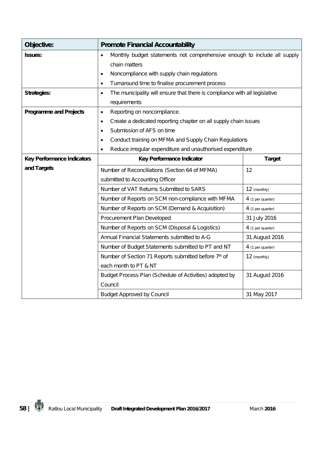| Objective:                        | <b>Promote Financial Accountability</b>                                                 |                   |  |  |  |  |
|-----------------------------------|-----------------------------------------------------------------------------------------|-------------------|--|--|--|--|
| <b>Issues:</b>                    | Monthly budget statements not comprehensive enough to include all supply<br>$\bullet$   |                   |  |  |  |  |
|                                   | chain matters                                                                           |                   |  |  |  |  |
|                                   | Noncompliance with supply chain regulations<br>٠                                        |                   |  |  |  |  |
|                                   | Turnaround time to finalise procurement process<br>$\bullet$                            |                   |  |  |  |  |
| <b>Strategies:</b>                | The municipality will ensure that there is compliance with all legislative<br>$\bullet$ |                   |  |  |  |  |
|                                   | requirements                                                                            |                   |  |  |  |  |
| <b>Programme and Projects</b>     | Reporting on noncompliance.<br>$\bullet$                                                |                   |  |  |  |  |
|                                   | Create a dedicated reporting chapter on all supply chain issues<br>$\bullet$            |                   |  |  |  |  |
|                                   | Submission of AFS on time<br>$\bullet$                                                  |                   |  |  |  |  |
|                                   | Conduct training on MFMA and Supply Chain Regulations<br>$\bullet$                      |                   |  |  |  |  |
|                                   | Reduce irregular expenditure and unauthorised expenditure<br>$\bullet$                  |                   |  |  |  |  |
| <b>Key Performance Indicators</b> | Key Performance Indicator<br><b>Target</b>                                              |                   |  |  |  |  |
| and Targets                       | Number of Reconciliations (Section 64 of MFMA)                                          | 12                |  |  |  |  |
|                                   | submitted to Accounting Officer                                                         |                   |  |  |  |  |
|                                   | Number of VAT Returns Submitted to SARS                                                 | 12 (monthly)      |  |  |  |  |
|                                   | Number of Reports on SCM non-compliance with MFMA<br>4 (1 per quarter)                  |                   |  |  |  |  |
|                                   | Number of Reports on SCM (Demand & Acquisition)<br>4 (1 per quarter)                    |                   |  |  |  |  |
|                                   | 31 July 2016<br>Procurement Plan Developed                                              |                   |  |  |  |  |
|                                   | Number of Reports on SCM (Disposal & Logistics)                                         | 4 (1 per quarter) |  |  |  |  |
|                                   | Annual Financial Statements submitted to A-G                                            | 31 August 2016    |  |  |  |  |
|                                   | Number of Budget Statements submitted to PT and NT<br>4 (1 per quarter)                 |                   |  |  |  |  |
|                                   | Number of Section 71 Reports submitted before 7th of<br>12 (monthly)                    |                   |  |  |  |  |
|                                   | each month to PT & NT                                                                   |                   |  |  |  |  |
|                                   | Budget Process Plan (Schedule of Activities) adopted by                                 | 31 August 2016    |  |  |  |  |
|                                   | Council                                                                                 |                   |  |  |  |  |
|                                   | <b>Budget Approved by Council</b>                                                       | 31 May 2017       |  |  |  |  |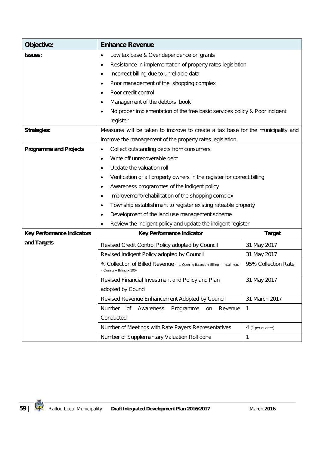| Objective:                        | <b>Enhance Revenue</b>                                                                                                                  |                   |  |  |  |  |  |
|-----------------------------------|-----------------------------------------------------------------------------------------------------------------------------------------|-------------------|--|--|--|--|--|
| <b>Issues:</b>                    | Low tax base & Over dependence on grants<br>٠                                                                                           |                   |  |  |  |  |  |
|                                   | Resistance in implementation of property rates legislation<br>٠                                                                         |                   |  |  |  |  |  |
|                                   | Incorrect billing due to unreliable data<br>$\bullet$                                                                                   |                   |  |  |  |  |  |
|                                   | Poor management of the shopping complex<br>$\bullet$                                                                                    |                   |  |  |  |  |  |
|                                   | Poor credit control<br>$\bullet$                                                                                                        |                   |  |  |  |  |  |
|                                   | Management of the debtors book<br>$\bullet$                                                                                             |                   |  |  |  |  |  |
|                                   | No proper implementation of the free basic services policy & Poor indigent<br>$\bullet$                                                 |                   |  |  |  |  |  |
|                                   | register                                                                                                                                |                   |  |  |  |  |  |
| <b>Strategies:</b>                | Measures will be taken to improve to create a tax base for the municipality and                                                         |                   |  |  |  |  |  |
|                                   | improve the management of the property rates legislation.                                                                               |                   |  |  |  |  |  |
| <b>Programme and Projects</b>     | Collect outstanding debts from consumers<br>$\bullet$                                                                                   |                   |  |  |  |  |  |
|                                   | Write off unrecoverable debt<br>$\bullet$                                                                                               |                   |  |  |  |  |  |
|                                   | Update the valuation roll<br>$\bullet$                                                                                                  |                   |  |  |  |  |  |
|                                   | Verification of all property owners in the register for correct billing<br>$\bullet$                                                    |                   |  |  |  |  |  |
|                                   | Awareness programmes of the indigent policy<br>٠                                                                                        |                   |  |  |  |  |  |
|                                   | Improvement/rehabilitation of the shopping complex<br>$\bullet$                                                                         |                   |  |  |  |  |  |
|                                   | Township establishment to register existing rateable property<br>$\bullet$                                                              |                   |  |  |  |  |  |
|                                   | Development of the land use management scheme<br>٠                                                                                      |                   |  |  |  |  |  |
|                                   | Review the indigent policy and update the indigent register<br>$\bullet$                                                                |                   |  |  |  |  |  |
| <b>Key Performance Indicators</b> | Key Performance Indicator<br><b>Target</b>                                                                                              |                   |  |  |  |  |  |
| and Targets                       | Revised Credit Control Policy adopted by Council                                                                                        | 31 May 2017       |  |  |  |  |  |
|                                   | Revised Indigent Policy adopted by Council                                                                                              | 31 May 2017       |  |  |  |  |  |
|                                   | 95% Collection Rate<br>% Collection of Billed Revenue (i.e. Opening Balance + Billing - Impairment<br>$-$ Closing $\div$ Billing X 100) |                   |  |  |  |  |  |
|                                   | Revised Financial Investment and Policy and Plan<br>31 May 2017                                                                         |                   |  |  |  |  |  |
|                                   | adopted by Council                                                                                                                      |                   |  |  |  |  |  |
|                                   | Revised Revenue Enhancement Adopted by Council<br>31 March 2017                                                                         |                   |  |  |  |  |  |
|                                   | Number<br>Awareness<br>Programme<br>of<br>Revenue<br>on                                                                                 | 1                 |  |  |  |  |  |
|                                   | Conducted                                                                                                                               |                   |  |  |  |  |  |
|                                   | Number of Meetings with Rate Payers Representatives                                                                                     | 4 (1 per quarter) |  |  |  |  |  |
|                                   | Number of Supplementary Valuation Roll done                                                                                             | 1                 |  |  |  |  |  |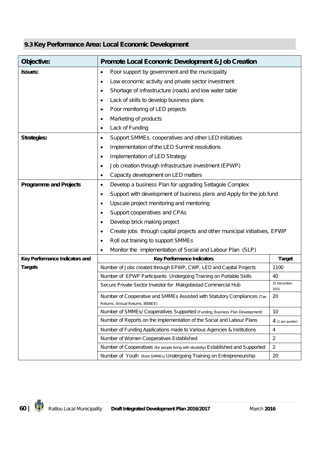## **9.3 Key Performance Area: Local Economic Development**

| Objective:                     | <b>Promote Local Economic Development &amp; Job Creation</b>                                                          |                |  |  |  |  |
|--------------------------------|-----------------------------------------------------------------------------------------------------------------------|----------------|--|--|--|--|
| <b>Issues:</b>                 | Poor support by government and the municipality<br>٠                                                                  |                |  |  |  |  |
|                                | Low economic activity and private sector investment<br>٠                                                              |                |  |  |  |  |
|                                | Shortage of infrastructure (roads) and low water table<br>٠                                                           |                |  |  |  |  |
|                                | Lack of skills to develop business plans<br>٠                                                                         |                |  |  |  |  |
|                                | Poor monitoring of LED projects<br>٠                                                                                  |                |  |  |  |  |
|                                | Marketing of products<br>٠                                                                                            |                |  |  |  |  |
|                                | Lack of Funding<br>٠                                                                                                  |                |  |  |  |  |
| <b>Strategies:</b>             | Support SMMEs, cooperatives and other LED initiatives<br>$\bullet$                                                    |                |  |  |  |  |
|                                | Implementation of the LED Summit resolutions<br>$\bullet$                                                             |                |  |  |  |  |
|                                | Implementation of LED Strategy<br>$\bullet$                                                                           |                |  |  |  |  |
|                                | Job creation through infrastructure investment (EPWP)<br>٠                                                            |                |  |  |  |  |
|                                | Capacity development on LED matters<br>٠                                                                              |                |  |  |  |  |
| <b>Programme and Projects</b>  | Develop a business Plan for upgrading Setlagole Complex<br>٠                                                          |                |  |  |  |  |
|                                | Support with development of business plans and Apply for the job fund<br>٠                                            |                |  |  |  |  |
|                                | Upscale project monitoring and mentoring<br>٠                                                                         |                |  |  |  |  |
|                                | Support cooperatives and CPAs<br>٠                                                                                    |                |  |  |  |  |
|                                | Develop brick making project<br>٠                                                                                     |                |  |  |  |  |
|                                | Create jobs through capital projects and other municipal initiatives, EPWP<br>٠                                       |                |  |  |  |  |
|                                | Roll out training to support SMMEs<br>٠                                                                               |                |  |  |  |  |
|                                | Monitor the implementation of Social and Labour Plan (SLP)<br>٠                                                       |                |  |  |  |  |
| Key Performance Indicators and | Key Performance Indicators                                                                                            | <b>Target</b>  |  |  |  |  |
| <b>Targets</b>                 | Number of Jobs created through EPWP, CWP, LED and Capital Projects                                                    | 1100           |  |  |  |  |
|                                | Number of EPWP Participants Undergoing Training on Portable Skills                                                    | 40             |  |  |  |  |
|                                | 31 December<br>Secure Private Sector Investor for Makgobistad Commercial Hub<br>2015                                  |                |  |  |  |  |
|                                | Number of Cooperative and SMMEs Assisted with Statutory Compliances (Tax<br>20                                        |                |  |  |  |  |
|                                | Returns, Annual Returns, BBBEE)<br>10<br>Number of SMMEs/ Cooperatives Supported (Funding, Business Plan Development) |                |  |  |  |  |
|                                | Number of Reports on the implementation of the Social and Labour Plans<br>4 (1 per quarter)                           |                |  |  |  |  |
|                                | Number of Funding Applications made to Various Agencies & Institutions<br>4                                           |                |  |  |  |  |
|                                | Number of Women Cooperatives Established                                                                              | $\overline{2}$ |  |  |  |  |
|                                | Number of Cooperatives (for people living with disability) Established and Supported                                  | $\overline{2}$ |  |  |  |  |
|                                | Number of Youth (from SMMEs) Undergoing Training on Entrepreneurship                                                  | 20             |  |  |  |  |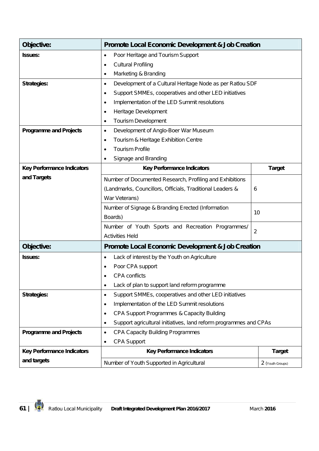| Objective:                        | <b>Promote Local Economic Development &amp; Job Creation</b>           |               |  |  |  |
|-----------------------------------|------------------------------------------------------------------------|---------------|--|--|--|
| <b>Issues:</b>                    | Poor Heritage and Tourism Support<br>٠                                 |               |  |  |  |
|                                   | <b>Cultural Profiling</b><br>$\bullet$                                 |               |  |  |  |
|                                   | Marketing & Branding<br>٠                                              |               |  |  |  |
| <b>Strategies:</b>                | Development of a Cultural Heritage Node as per Ratlou SDF<br>٠         |               |  |  |  |
|                                   | Support SMMEs, cooperatives and other LED initiatives<br>٠             |               |  |  |  |
|                                   | Implementation of the LED Summit resolutions                           |               |  |  |  |
|                                   | Heritage Development<br>٠                                              |               |  |  |  |
|                                   | Tourism Development<br>٠                                               |               |  |  |  |
| <b>Programme and Projects</b>     | Development of Anglo-Boer War Museum<br>٠                              |               |  |  |  |
|                                   | Tourism & Heritage Exhibition Centre<br>$\bullet$                      |               |  |  |  |
|                                   | <b>Tourism Profile</b><br>$\bullet$                                    |               |  |  |  |
|                                   | Signage and Branding<br>٠                                              |               |  |  |  |
| <b>Key Performance Indicators</b> | <b>Key Performance Indicators</b>                                      | <b>Target</b> |  |  |  |
| and Targets                       | Number of Documented Research, Profiling and Exhibitions               |               |  |  |  |
|                                   | (Landmarks, Councillors, Officials, Traditional Leaders &<br>6         |               |  |  |  |
|                                   | War Veterans)                                                          |               |  |  |  |
|                                   | Number of Signage & Branding Erected (Information                      |               |  |  |  |
|                                   | Boards)                                                                | 10            |  |  |  |
|                                   | Number of Youth Sports and Recreation Programmes/                      |               |  |  |  |
|                                   | $\overline{2}$<br><b>Activities Held</b>                               |               |  |  |  |
| Objective:                        | <b>Promote Local Economic Development &amp; Job Creation</b>           |               |  |  |  |
| <b>Issues:</b>                    | Lack of interest by the Youth on Agriculture<br>٠                      |               |  |  |  |
|                                   | Poor CPA support                                                       |               |  |  |  |
|                                   | <b>CPA</b> conflicts                                                   |               |  |  |  |
|                                   | Lack of plan to support land reform programme<br>٠                     |               |  |  |  |
| <b>Strategies:</b>                | Support SMMEs, cooperatives and other LED initiatives<br>٠             |               |  |  |  |
|                                   | Implementation of the LED Summit resolutions<br>٠                      |               |  |  |  |
|                                   | CPA Support Programmes & Capacity Building<br>٠                        |               |  |  |  |
|                                   | Support agricultural initiatives, land reform programmes and CPAs<br>٠ |               |  |  |  |
| <b>Programme and Projects</b>     | <b>CPA Capacity Building Programmes</b><br>$\bullet$                   |               |  |  |  |
|                                   | <b>CPA Support</b><br>$\bullet$                                        |               |  |  |  |
| <b>Key Performance Indicators</b> | <b>Key Performance Indicators</b><br><b>Target</b>                     |               |  |  |  |
| and targets                       | Number of Youth Supported in Agricultural<br>2 (Youth Groups)          |               |  |  |  |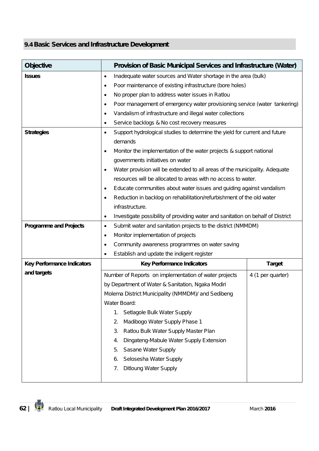### **9.4 Basic Services and Infrastructure Development**

| <b>Objective</b>                  | Provision of Basic Municipal Services and Infrastructure (Water)                       |                   |  |  |  |  |  |
|-----------------------------------|----------------------------------------------------------------------------------------|-------------------|--|--|--|--|--|
| <b>Issues</b>                     | Inadequate water sources and Water shortage in the area (bulk)<br>٠                    |                   |  |  |  |  |  |
|                                   | Poor maintenance of existing infrastructure (bore holes)<br>٠                          |                   |  |  |  |  |  |
|                                   | No proper plan to address water issues in Ratlou<br>٠                                  |                   |  |  |  |  |  |
|                                   | Poor management of emergency water provisioning service (water tankering)<br>$\bullet$ |                   |  |  |  |  |  |
|                                   | Vandalism of infrastructure and illegal water collections<br>$\bullet$                 |                   |  |  |  |  |  |
|                                   | Service backlogs & No cost recovery measures<br>٠                                      |                   |  |  |  |  |  |
| <b>Strategies</b>                 | Support hydrological studies to determine the yield for current and future<br>٠        |                   |  |  |  |  |  |
|                                   | demands                                                                                |                   |  |  |  |  |  |
|                                   | Monitor the implementation of the water projects & support national<br>$\bullet$       |                   |  |  |  |  |  |
|                                   | governments initiatives on water                                                       |                   |  |  |  |  |  |
|                                   | Water provision will be extended to all areas of the municipality. Adequate<br>٠       |                   |  |  |  |  |  |
|                                   | resources will be allocated to areas with no access to water.                          |                   |  |  |  |  |  |
|                                   | Educate communities about water issues and guiding against vandalism<br>٠              |                   |  |  |  |  |  |
|                                   | Reduction in backlog on rehabilitation/refurbishment of the old water<br>٠             |                   |  |  |  |  |  |
|                                   | infrastructure.                                                                        |                   |  |  |  |  |  |
|                                   | Investigate possibility of providing water and sanitation on behalf of District        |                   |  |  |  |  |  |
| <b>Programme and Projects</b>     | Submit water and sanitation projects to the district (NMMDM)<br>$\bullet$              |                   |  |  |  |  |  |
|                                   | Monitor implementation of projects<br>٠                                                |                   |  |  |  |  |  |
|                                   | Community awareness programmes on water saving<br>$\bullet$                            |                   |  |  |  |  |  |
|                                   | Establish and update the indigent register<br>$\bullet$                                |                   |  |  |  |  |  |
| <b>Key Performance Indicators</b> | <b>Key Performance Indicators</b>                                                      | <b>Target</b>     |  |  |  |  |  |
| and targets                       | Number of Reports on implementation of water projects                                  | 4 (1 per quarter) |  |  |  |  |  |
|                                   | by Department of Water & Sanitation, Ngaka Modiri                                      |                   |  |  |  |  |  |
|                                   | Molema District Municipality (NMMDM)/ and Sedibeng                                     |                   |  |  |  |  |  |
|                                   | Water Board:                                                                           |                   |  |  |  |  |  |
|                                   | Setlagole Bulk Water Supply<br>1.                                                      |                   |  |  |  |  |  |
|                                   | Madibogo Water Supply Phase 1<br>2.                                                    |                   |  |  |  |  |  |
|                                   | Ratlou Bulk Water Supply Master Plan<br>3.                                             |                   |  |  |  |  |  |
|                                   | Dingateng-Mabule Water Supply Extension<br>4.                                          |                   |  |  |  |  |  |
|                                   | Sasane Water Supply<br>5.                                                              |                   |  |  |  |  |  |
|                                   | Selosesha Water Supply<br>6.                                                           |                   |  |  |  |  |  |
|                                   | <b>Ditloung Water Supply</b><br>7.                                                     |                   |  |  |  |  |  |
|                                   |                                                                                        |                   |  |  |  |  |  |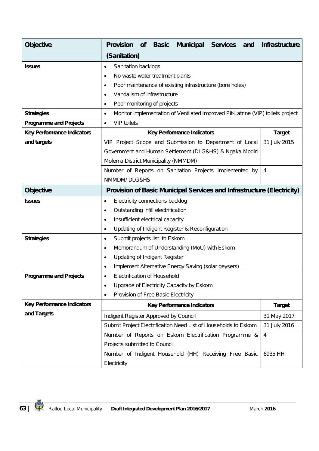| <b>Objective</b>                  | <b>Provision</b>                                                       | <b>of</b>                          | <b>Basic</b>                        | <b>Municipal</b>                                    | <b>Services</b><br>and                                                          | <b>Infrastructure</b> |
|-----------------------------------|------------------------------------------------------------------------|------------------------------------|-------------------------------------|-----------------------------------------------------|---------------------------------------------------------------------------------|-----------------------|
|                                   | (Sanitation)                                                           |                                    |                                     |                                                     |                                                                                 |                       |
| <b>Issues</b>                     | Sanitation backlogs<br>٠                                               |                                    |                                     |                                                     |                                                                                 |                       |
|                                   | No waste water treatment plants<br>$\bullet$                           |                                    |                                     |                                                     |                                                                                 |                       |
|                                   | $\bullet$                                                              |                                    |                                     |                                                     | Poor maintenance of existing infrastructure (bore holes)                        |                       |
|                                   | Vandalism of infrastructure<br>٠                                       |                                    |                                     |                                                     |                                                                                 |                       |
|                                   | Poor monitoring of projects<br>$\bullet$                               |                                    |                                     |                                                     |                                                                                 |                       |
| <b>Strategies</b>                 | $\bullet$                                                              |                                    |                                     |                                                     | Monitor implementation of Ventilated Improved Pit-Latrine (VIP) toilets project |                       |
| <b>Programme and Projects</b>     | <b>VIP</b> toilets<br>$\bullet$                                        |                                    |                                     |                                                     |                                                                                 |                       |
| <b>Key Performance Indicators</b> |                                                                        |                                    |                                     | <b>Key Performance Indicators</b>                   |                                                                                 | <b>Target</b>         |
| and targets                       |                                                                        |                                    |                                     |                                                     | VIP Project Scope and Submission to Department of Local                         | 31 July 2015          |
|                                   |                                                                        |                                    |                                     |                                                     | Government and Human Settlement (DLG&HS) & Ngaka Modiri                         |                       |
|                                   | Molema District Municipality (NMMDM)                                   |                                    |                                     |                                                     |                                                                                 |                       |
|                                   |                                                                        |                                    |                                     |                                                     | Number of Reports on Sanitation Projects Implemented by                         | $\overline{4}$        |
|                                   | NMMDM/DLG&HS                                                           |                                    |                                     |                                                     |                                                                                 |                       |
| <b>Objective</b>                  | Provision of Basic Municipal Services and Infrastructure (Electricity) |                                    |                                     |                                                     |                                                                                 |                       |
| <b>Issues</b>                     | Electricity connections backlog<br>$\bullet$                           |                                    |                                     |                                                     |                                                                                 |                       |
|                                   | ٠                                                                      | Outstanding infill electrification |                                     |                                                     |                                                                                 |                       |
|                                   | Insufficient electrical capacity<br>$\bullet$                          |                                    |                                     |                                                     |                                                                                 |                       |
|                                   | Updating of Indigent Register & Reconfiguration<br>$\bullet$           |                                    |                                     |                                                     |                                                                                 |                       |
| <b>Strategies</b>                 | Submit projects list to Eskom<br>$\bullet$                             |                                    |                                     |                                                     |                                                                                 |                       |
|                                   | $\bullet$                                                              |                                    |                                     | Memorandum of Understanding (MoU) with Eskom        |                                                                                 |                       |
|                                   | <b>Updating of Indigent Register</b><br>$\bullet$                      |                                    |                                     |                                                     |                                                                                 |                       |
|                                   | $\bullet$                                                              |                                    |                                     | Implement Alternative Energy Saving (solar geysers) |                                                                                 |                       |
| <b>Programme and Projects</b>     | ٠                                                                      |                                    | Electrification of Household        |                                                     |                                                                                 |                       |
|                                   | $\bullet$                                                              |                                    |                                     | Upgrade of Electricity Capacity by Eskom            |                                                                                 |                       |
|                                   | $\bullet$                                                              |                                    | Provision of Free Basic Electricity |                                                     |                                                                                 |                       |
| <b>Key Performance Indicators</b> |                                                                        |                                    |                                     | <b>Key Performance Indicators</b>                   |                                                                                 | <b>Target</b>         |
| and Targets                       | Indigent Register Approved by Council                                  |                                    |                                     |                                                     |                                                                                 | 31 May 2017           |
|                                   |                                                                        |                                    |                                     |                                                     | Submit Project Electrification Need List of Households to Eskom                 | 31 July 2016          |
|                                   |                                                                        |                                    |                                     |                                                     | Number of Reports on Eskom Electrification Programme &                          | $\overline{4}$        |
|                                   | Projects submitted to Council                                          |                                    |                                     |                                                     |                                                                                 |                       |
|                                   |                                                                        |                                    |                                     |                                                     | Number of Indigent Household (HH) Receiving Free Basic                          | 6935 HH               |
|                                   | Electricity                                                            |                                    |                                     |                                                     |                                                                                 |                       |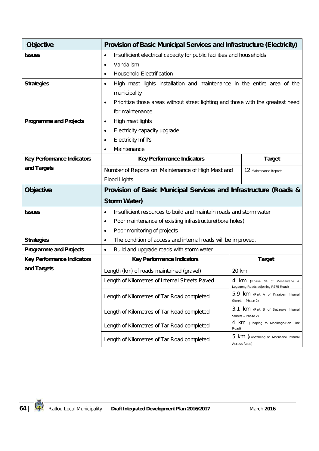| <b>Objective</b>                  | <b>Provision of Basic Municipal Services and Infrastructure (Electricity)</b>                                          |               |  |  |  |  |
|-----------------------------------|------------------------------------------------------------------------------------------------------------------------|---------------|--|--|--|--|
| <b>Issues</b>                     | Insufficient electrical capacity for public facilities and households<br>$\bullet$                                     |               |  |  |  |  |
|                                   | Vandalism<br>Ò                                                                                                         |               |  |  |  |  |
|                                   | <b>Household Electrification</b><br>$\bullet$                                                                          |               |  |  |  |  |
| <b>Strategies</b>                 | High mast lights installation and maintenance in the entire area of the<br>٠                                           |               |  |  |  |  |
|                                   | municipality                                                                                                           |               |  |  |  |  |
|                                   | Prioritize those areas without street lighting and those with the greatest need<br>$\bullet$                           |               |  |  |  |  |
|                                   | for maintenance                                                                                                        |               |  |  |  |  |
| <b>Programme and Projects</b>     | High mast lights<br>$\bullet$                                                                                          |               |  |  |  |  |
|                                   | Electricity capacity upgrade<br>$\bullet$                                                                              |               |  |  |  |  |
|                                   | Electricity Infill's<br>$\bullet$                                                                                      |               |  |  |  |  |
|                                   | Maintenance<br>$\bullet$                                                                                               |               |  |  |  |  |
| <b>Key Performance Indicators</b> | <b>Key Performance Indicators</b>                                                                                      | <b>Target</b> |  |  |  |  |
| and Targets                       | Number of Reports on Maintenance of High Mast and<br>12 Maintenance Reports                                            |               |  |  |  |  |
|                                   | <b>Flood Lights</b>                                                                                                    |               |  |  |  |  |
| <b>Objective</b>                  | Provision of Basic Municipal Services and Infrastructure (Roads &                                                      |               |  |  |  |  |
|                                   | <b>Storm Water)</b>                                                                                                    |               |  |  |  |  |
| <b>Issues</b>                     | Insufficient resources to build and maintain roads and storm water<br>$\bullet$                                        |               |  |  |  |  |
|                                   | Poor maintenance of existing infrastructure(bore holes)<br>$\bullet$                                                   |               |  |  |  |  |
|                                   | Poor monitoring of projects<br>٠                                                                                       |               |  |  |  |  |
| <b>Strategies</b>                 | The condition of access and internal roads will be improved.<br>$\bullet$                                              |               |  |  |  |  |
| <b>Programme and Projects</b>     | Build and upgrade roads with storm water<br>$\bullet$                                                                  |               |  |  |  |  |
| <b>Key Performance Indicators</b> | <b>Key Performance Indicators</b>                                                                                      | <b>Target</b> |  |  |  |  |
| and Targets                       | Length (km) of roads maintained (gravel)                                                                               | 20 km         |  |  |  |  |
|                                   | Length of Kilometres of Internal Streets Paved<br>4 km (Phase 04 of Moshawane &<br>Logageng Roads adjoining R375 Road) |               |  |  |  |  |
|                                   | 5.9 km (Part A of Kraaipan Internal<br>Length of Kilometres of Tar Road completed<br>Streets - Phase 2)                |               |  |  |  |  |
|                                   | 3.1 km (Part B of Setlagole Internal<br>Length of Kilometres of Tar Road completed<br>Streets - Phase 2)               |               |  |  |  |  |
|                                   | 4 km (Tihaping to Madibogo-Pan Link<br>Length of Kilometres of Tar Road completed<br>Road)                             |               |  |  |  |  |
|                                   | 5 km (Lohatlheng to Motsitlane Internal<br>Length of Kilometres of Tar Road completed<br>Access Road)                  |               |  |  |  |  |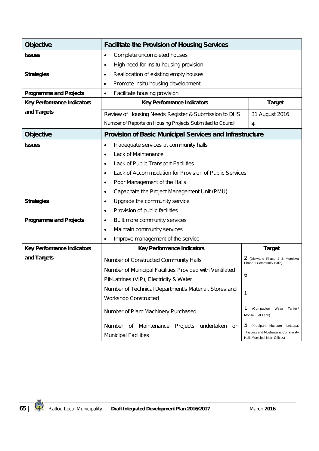| <b>Objective</b>                  | <b>Facilitate the Provision of Housing Services</b>                                              |                                                           |  |  |  |  |
|-----------------------------------|--------------------------------------------------------------------------------------------------|-----------------------------------------------------------|--|--|--|--|
| <b>Issues</b>                     | Complete uncompleted houses<br>$\bullet$                                                         |                                                           |  |  |  |  |
|                                   | High need for insitu housing provision<br>$\bullet$                                              |                                                           |  |  |  |  |
| <b>Strategies</b>                 | Reallocation of existing empty houses<br>٠                                                       |                                                           |  |  |  |  |
|                                   | Promote insitu housing development<br>٠                                                          |                                                           |  |  |  |  |
| <b>Programme and Projects</b>     | Facilitate housing provision<br>$\bullet$                                                        |                                                           |  |  |  |  |
| <b>Key Performance Indicators</b> | <b>Key Performance Indicators</b>                                                                | <b>Target</b>                                             |  |  |  |  |
| and Targets                       | Review of Housing Needs Register & Submission to DHS                                             | 31 August 2016                                            |  |  |  |  |
|                                   | Number of Reports on Housing Projects Submitted to Council                                       | 4                                                         |  |  |  |  |
| <b>Objective</b>                  | <b>Provision of Basic Municipal Services and Infrastructure</b>                                  |                                                           |  |  |  |  |
| <b>Issues</b>                     | Inadequate services at community halls<br>$\bullet$                                              |                                                           |  |  |  |  |
|                                   | Lack of Maintenance<br>$\bullet$                                                                 |                                                           |  |  |  |  |
|                                   | Lack of Public Transport Facilities<br>٠                                                         |                                                           |  |  |  |  |
|                                   | Lack of Accommodation for Provision of Public Services<br>$\bullet$                              |                                                           |  |  |  |  |
|                                   | Poor Management of the Halls<br>٠                                                                |                                                           |  |  |  |  |
|                                   | Capacitate the Project Management Unit (PMU)<br>٠                                                |                                                           |  |  |  |  |
| <b>Strategies</b>                 | Upgrade the community service<br>$\bullet$                                                       |                                                           |  |  |  |  |
|                                   | Provision of public facilities<br>$\bullet$                                                      |                                                           |  |  |  |  |
| <b>Programme and Projects</b>     | Built more community services<br>$\bullet$                                                       |                                                           |  |  |  |  |
|                                   | Maintain community services<br>٠                                                                 |                                                           |  |  |  |  |
|                                   | Improve management of the service<br>$\bullet$                                                   |                                                           |  |  |  |  |
| <b>Key Performance Indicators</b> | <b>Key Performance Indicators</b>                                                                | <b>Target</b>                                             |  |  |  |  |
| and Targets                       | Number of Constructed Community Halls                                                            | 2 (Diolwane Phase 2 & Morokwa<br>Phase 1 Community Halls) |  |  |  |  |
|                                   | Number of Municipal Facilities Provided with Ventilated                                          |                                                           |  |  |  |  |
|                                   | Pit-Latrines (VIP), Electricity & Water                                                          | 6                                                         |  |  |  |  |
|                                   | Number of Technical Department's Material, Stores and                                            | 1                                                         |  |  |  |  |
|                                   | <b>Workshop Constructed</b>                                                                      |                                                           |  |  |  |  |
|                                   | 1<br>(Compactor/<br>Water<br>Tanker/<br>Number of Plant Machinery Purchased<br>Mobile Fuel Tank) |                                                           |  |  |  |  |
|                                   | Number of<br>Maintenance<br>Projects undertaken<br>on                                            | 5<br>(Kraaipan Museum, Letsapa,                           |  |  |  |  |
|                                   | Tlhaping and Moshawane Community<br><b>Municipal Facilities</b><br>Hall, Municipal Main Offices) |                                                           |  |  |  |  |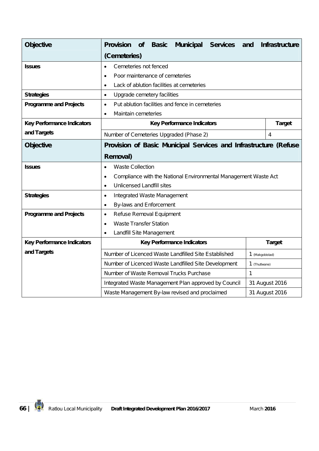| <b>Objective</b>                  | <b>Municipal</b><br><b>Provision</b><br><b>Services</b><br><b>Basic</b><br><b>of</b> | Infrastructure<br>and |  |  |  |
|-----------------------------------|--------------------------------------------------------------------------------------|-----------------------|--|--|--|
|                                   | (Cemeteries)                                                                         |                       |  |  |  |
| <b>Issues</b>                     | Cemeteries not fenced<br>$\bullet$                                                   |                       |  |  |  |
|                                   | Poor maintenance of cemeteries<br>$\bullet$                                          |                       |  |  |  |
|                                   | Lack of ablution facilities at cemeteries<br>$\bullet$                               |                       |  |  |  |
| <b>Strategies</b>                 | Upgrade cemetery facilities<br>$\bullet$                                             |                       |  |  |  |
| <b>Programme and Projects</b>     | Put ablution facilities and fence in cemeteries<br>$\bullet$                         |                       |  |  |  |
|                                   | Maintain cemeteries<br>$\bullet$                                                     |                       |  |  |  |
| <b>Key Performance Indicators</b> | <b>Key Performance Indicators</b>                                                    | <b>Target</b>         |  |  |  |
| and Targets                       | Number of Cemeteries Upgraded (Phase 2)                                              | 4                     |  |  |  |
| <b>Objective</b>                  | Provision of Basic Municipal Services and Infrastructure (Refuse                     |                       |  |  |  |
|                                   | <b>Removal)</b>                                                                      |                       |  |  |  |
| <b>Issues</b>                     | <b>Waste Collection</b><br>$\bullet$                                                 |                       |  |  |  |
|                                   | Compliance with the National Environmental Management Waste Act<br>$\bullet$         |                       |  |  |  |
|                                   | <b>Unlicensed Landfill sites</b><br>$\bullet$                                        |                       |  |  |  |
| <b>Strategies</b>                 | Integrated Waste Management<br>$\bullet$                                             |                       |  |  |  |
|                                   | By-laws and Enforcement<br>$\bullet$                                                 |                       |  |  |  |
| <b>Programme and Projects</b>     | Refuse Removal Equipment<br>$\bullet$                                                |                       |  |  |  |
|                                   | <b>Waste Transfer Station</b><br>$\bullet$                                           |                       |  |  |  |
|                                   | Landfill Site Management<br>$\bullet$                                                |                       |  |  |  |
| <b>Key Performance Indicators</b> | <b>Key Performance Indicators</b><br><b>Target</b>                                   |                       |  |  |  |
| and Targets                       | Number of Licenced Waste Landfilled Site Established                                 | 1 (Makgobistad)       |  |  |  |
|                                   | Number of Licenced Waste Landfilled Site Development<br>1 (Thutlwane)                |                       |  |  |  |
|                                   | Number of Waste Removal Trucks Purchase                                              | $\mathbf{1}$          |  |  |  |
|                                   | 31 August 2016<br>Integrated Waste Management Plan approved by Council               |                       |  |  |  |
|                                   | Waste Management By-law revised and proclaimed                                       | 31 August 2016        |  |  |  |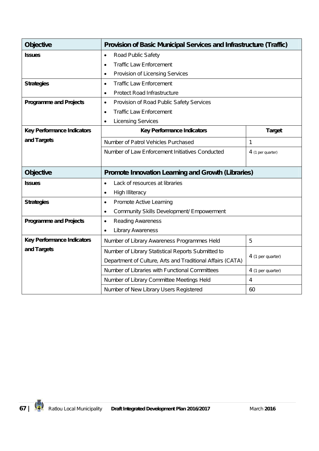| <b>Objective</b>                  | <b>Provision of Basic Municipal Services and Infrastructure (Traffic)</b> |                   |  |  |  |  |
|-----------------------------------|---------------------------------------------------------------------------|-------------------|--|--|--|--|
| <b>Issues</b>                     | Road Public Safety<br>$\bullet$                                           |                   |  |  |  |  |
|                                   | <b>Traffic Law Enforcement</b><br>$\bullet$                               |                   |  |  |  |  |
|                                   | Provision of Licensing Services<br>$\bullet$                              |                   |  |  |  |  |
| <b>Strategies</b>                 | <b>Traffic Law Enforcement</b><br>$\bullet$                               |                   |  |  |  |  |
|                                   | <b>Protect Road Infrastructure</b><br>$\bullet$                           |                   |  |  |  |  |
| <b>Programme and Projects</b>     | Provision of Road Public Safety Services<br>$\bullet$                     |                   |  |  |  |  |
|                                   | <b>Traffic Law Enforcement</b><br>٠                                       |                   |  |  |  |  |
|                                   | <b>Licensing Services</b><br>$\bullet$                                    |                   |  |  |  |  |
| <b>Key Performance Indicators</b> | <b>Key Performance Indicators</b>                                         | <b>Target</b>     |  |  |  |  |
| and Targets                       | Number of Patrol Vehicles Purchased                                       | 1                 |  |  |  |  |
|                                   | Number of Law Enforcement Initiatives Conducted                           | 4 (1 per quarter) |  |  |  |  |
|                                   |                                                                           |                   |  |  |  |  |
|                                   |                                                                           |                   |  |  |  |  |
| <b>Objective</b>                  | <b>Promote Innovation Learning and Growth (Libraries)</b>                 |                   |  |  |  |  |
| <b>Issues</b>                     | Lack of resources at libraries<br>$\bullet$                               |                   |  |  |  |  |
|                                   | <b>High Illiteracy</b><br>$\bullet$                                       |                   |  |  |  |  |
| <b>Strategies</b>                 | Promote Active Learning<br>٠                                              |                   |  |  |  |  |
|                                   | Community Skills Development/ Empowerment<br>٠                            |                   |  |  |  |  |
| <b>Programme and Projects</b>     | Reading Awareness<br>$\bullet$                                            |                   |  |  |  |  |
|                                   | <b>Library Awareness</b><br>$\bullet$                                     |                   |  |  |  |  |
| <b>Key Performance Indicators</b> | Number of Library Awareness Programmes Held                               | 5                 |  |  |  |  |
| and Targets                       | Number of Library Statistical Reports Submitted to                        |                   |  |  |  |  |
|                                   | Department of Culture, Arts and Traditional Affairs (CATA)                | 4 (1 per quarter) |  |  |  |  |
|                                   | Number of Libraries with Functional Committees                            | 4 (1 per quarter) |  |  |  |  |
|                                   | Number of Library Committee Meetings Held                                 | $\overline{4}$    |  |  |  |  |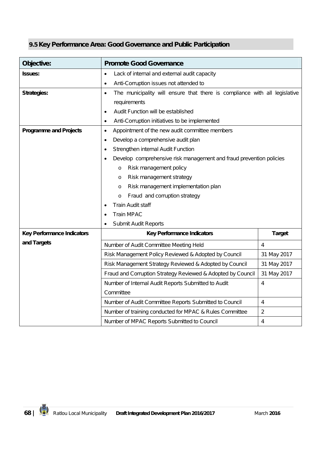## **9.5 Key Performance Area: Good Governance and Public Participation**

| Objective:                        | <b>Promote Good Governance</b>                                                  |                |  |  |  |
|-----------------------------------|---------------------------------------------------------------------------------|----------------|--|--|--|
| <b>Issues:</b>                    | Lack of internal and external audit capacity<br>$\bullet$                       |                |  |  |  |
|                                   | Anti-Corruption issues not attended to<br>$\bullet$                             |                |  |  |  |
| <b>Strategies:</b>                | The municipality will ensure that there is compliance with all legislative<br>٠ |                |  |  |  |
|                                   | requirements                                                                    |                |  |  |  |
|                                   | Audit Function will be established<br>$\bullet$                                 |                |  |  |  |
|                                   | Anti-Corruption initiatives to be implemented<br>٠                              |                |  |  |  |
| <b>Programme and Projects</b>     | Appointment of the new audit committee members<br>$\bullet$                     |                |  |  |  |
|                                   | Develop a comprehensive audit plan                                              |                |  |  |  |
|                                   | Strengthen internal Audit Function                                              |                |  |  |  |
|                                   | Develop comprehensive risk management and fraud prevention policies             |                |  |  |  |
|                                   | Risk management policy<br>$\circ$                                               |                |  |  |  |
|                                   | Risk management strategy<br>$\circ$                                             |                |  |  |  |
|                                   | Risk management implementation plan<br>O                                        |                |  |  |  |
|                                   | Fraud and corruption strategy<br>$\circ$                                        |                |  |  |  |
|                                   | Train Audit staff                                                               |                |  |  |  |
|                                   | <b>Train MPAC</b>                                                               |                |  |  |  |
|                                   | Submit Audit Reports<br>$\bullet$                                               |                |  |  |  |
| <b>Key Performance Indicators</b> | <b>Key Performance Indicators</b>                                               | <b>Target</b>  |  |  |  |
| and Targets                       | Number of Audit Committee Meeting Held                                          | $\overline{4}$ |  |  |  |
|                                   | Risk Management Policy Reviewed & Adopted by Council                            | 31 May 2017    |  |  |  |
|                                   | Risk Management Strategy Reviewed & Adopted by Council                          | 31 May 2017    |  |  |  |
|                                   | Fraud and Corruption Strategy Reviewed & Adopted by Council                     | 31 May 2017    |  |  |  |
|                                   | Number of Internal Audit Reports Submitted to Audit                             | $\overline{4}$ |  |  |  |
|                                   | Committee                                                                       |                |  |  |  |
|                                   | Number of Audit Committee Reports Submitted to Council                          | $\overline{4}$ |  |  |  |
|                                   | Number of training conducted for MPAC & Rules Committee                         | $\overline{2}$ |  |  |  |
|                                   | Number of MPAC Reports Submitted to Council                                     | $\overline{4}$ |  |  |  |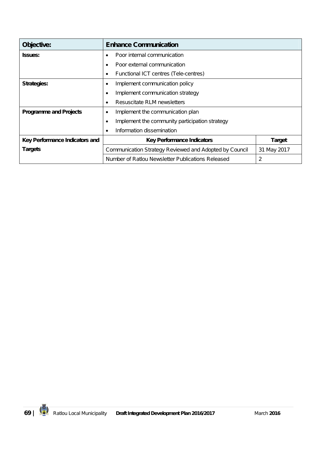| Objective:                     | <b>Enhance Communication</b>                                        |               |  |  |  |
|--------------------------------|---------------------------------------------------------------------|---------------|--|--|--|
| <b>Issues:</b>                 | Poor internal communication<br>٠                                    |               |  |  |  |
|                                | Poor external communication                                         |               |  |  |  |
|                                | Functional ICT centres (Tele-centres)<br>٠                          |               |  |  |  |
| <b>Strategies:</b>             | Implement communication policy<br>٠                                 |               |  |  |  |
|                                | Implement communication strategy<br>٠                               |               |  |  |  |
|                                | Resuscitate RLM newsletters<br>$\bullet$                            |               |  |  |  |
| <b>Programme and Projects</b>  | Implement the communication plan<br>٠                               |               |  |  |  |
|                                | Implement the community participation strategy<br>٠                 |               |  |  |  |
|                                | Information dissemination                                           |               |  |  |  |
| Key Performance Indicators and | <b>Key Performance Indicators</b>                                   | <b>Target</b> |  |  |  |
| <b>Targets</b>                 | Communication Strategy Reviewed and Adopted by Council              | 31 May 2017   |  |  |  |
|                                | $\overline{2}$<br>Number of Ratlou Newsletter Publications Released |               |  |  |  |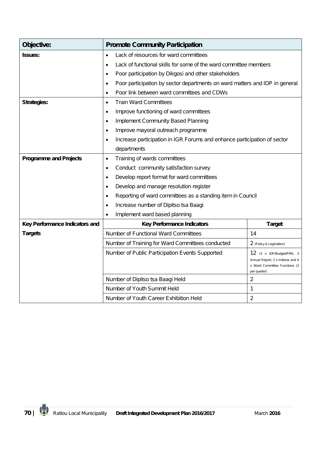| Objective:                     | <b>Promote Community Participation</b>                                                   |                                                                                   |  |  |  |  |
|--------------------------------|------------------------------------------------------------------------------------------|-----------------------------------------------------------------------------------|--|--|--|--|
| <b>Issues:</b>                 | Lack of resources for ward committees<br>$\bullet$                                       |                                                                                   |  |  |  |  |
|                                | Lack of functional skills for some of the ward committee members<br>$\bullet$            |                                                                                   |  |  |  |  |
|                                | Poor participation by Dikgosi and other stakeholders                                     |                                                                                   |  |  |  |  |
|                                | Poor participation by sector departments on ward matters and IDP in general<br>$\bullet$ |                                                                                   |  |  |  |  |
|                                | Poor link between ward committees and CDWs<br>$\bullet$                                  |                                                                                   |  |  |  |  |
| <b>Strategies:</b>             | <b>Train Ward Committees</b><br>$\bullet$                                                |                                                                                   |  |  |  |  |
|                                | Improve functioning of ward committees<br>$\bullet$                                      |                                                                                   |  |  |  |  |
|                                | <b>Implement Community Based Planning</b><br>$\bullet$                                   |                                                                                   |  |  |  |  |
|                                | Improve mayoral outreach programme<br>$\bullet$                                          |                                                                                   |  |  |  |  |
|                                | Increase participation in IGR Forums and enhance participation of sector<br>$\bullet$    |                                                                                   |  |  |  |  |
|                                | departments                                                                              |                                                                                   |  |  |  |  |
| <b>Programme and Projects</b>  | Training of wards committees<br>$\bullet$                                                |                                                                                   |  |  |  |  |
|                                | Conduct community satisfaction survey                                                    |                                                                                   |  |  |  |  |
|                                | Develop report format for ward committees                                                |                                                                                   |  |  |  |  |
|                                | Develop and manage resolution register                                                   |                                                                                   |  |  |  |  |
|                                | Reporting of ward committees as a standing item in Council<br>$\bullet$                  |                                                                                   |  |  |  |  |
|                                | Increase number of Dipitso tsa Baagi<br>$\bullet$                                        |                                                                                   |  |  |  |  |
|                                | Implement ward based planning                                                            |                                                                                   |  |  |  |  |
| Key Performance Indicators and | <b>Key Performance Indicators</b>                                                        | <b>Target</b>                                                                     |  |  |  |  |
| <b>Targets</b>                 | Number of Functional Ward Committees                                                     | 14                                                                                |  |  |  |  |
|                                | Number of Training for Ward Committees conducted                                         | 2 (Policy & Legislation)                                                          |  |  |  |  |
|                                | Number of Public Participation Events Supported                                          | 12 (3 x IDP/Budget/PMS, 3                                                         |  |  |  |  |
|                                |                                                                                          | Annual Report, 2 x Imbizos and 4<br>x Ward Committee Functions (3<br>per quarter) |  |  |  |  |
|                                | Number of Dipitso tsa Baagi Held                                                         | $\overline{2}$                                                                    |  |  |  |  |
|                                | Number of Youth Summit Held                                                              | 1                                                                                 |  |  |  |  |
|                                | $\overline{2}$<br>Number of Youth Career Exhibition Held                                 |                                                                                   |  |  |  |  |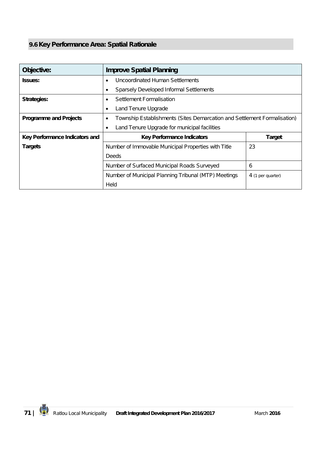## **9.6 Key Performance Area: Spatial Rationale**

| Objective:                     | <b>Improve Spatial Planning</b>                                               |   |  |  |  |
|--------------------------------|-------------------------------------------------------------------------------|---|--|--|--|
| <b>Issues:</b>                 | Uncoordinated Human Settlements                                               |   |  |  |  |
|                                | Sparsely Developed Informal Settlements                                       |   |  |  |  |
| <b>Strategies:</b>             | Settlement Formalisation<br>٠                                                 |   |  |  |  |
|                                | Land Tenure Upgrade<br>٠                                                      |   |  |  |  |
| <b>Programme and Projects</b>  | Township Establishments (Sites Demarcation and Settlement Formalisation)<br>٠ |   |  |  |  |
|                                | Land Tenure Upgrade for municipal facilities<br>٠                             |   |  |  |  |
| Key Performance Indicators and | <b>Key Performance Indicators</b><br><b>Target</b>                            |   |  |  |  |
| <b>Targets</b>                 | 23<br>Number of Immovable Municipal Properties with Title                     |   |  |  |  |
|                                | Deeds                                                                         |   |  |  |  |
|                                | Number of Surfaced Municipal Roads Surveyed                                   | 6 |  |  |  |
|                                | Number of Municipal Planning Tribunal (MTP) Meetings<br>4 (1 per quarter)     |   |  |  |  |
|                                | Held                                                                          |   |  |  |  |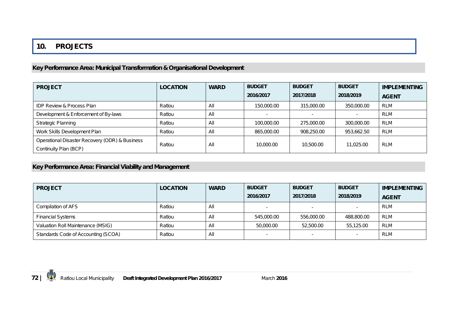### **10. PROJECTS**

### **Key Performance Area: Municipal Transformation & Organisational Development**

| <b>PROJECT</b>                                                          | <b>LOCATION</b> | <b>WARD</b> | <b>BUDGET</b> | <b>BUDGET</b> | <b>BUDGET</b> | <b>IMPLEMENTING</b> |
|-------------------------------------------------------------------------|-----------------|-------------|---------------|---------------|---------------|---------------------|
|                                                                         |                 |             | 2016/2017     | 2017/2018     | 2018/2019     | <b>AGENT</b>        |
| <b>IDP Review &amp; Process Plan</b>                                    | Ratlou          | All         | 150,000.00    | 315,000.00    | 350,000.00    | <b>RLM</b>          |
| Development & Enforcement of By-laws                                    | Ratlou          | All         | $\sim$        |               |               | <b>RLM</b>          |
| <b>Strategic Planning</b>                                               | Ratlou          | All         | 100,000.00    | 275.000.00    | 300,000.00    | <b>RLM</b>          |
| Work Skills Development Plan                                            | Ratlou          | All         | 865,000.00    | 908.250.00    | 953,662.50    | <b>RLM</b>          |
| Operational Disaster Recovery (ODR) & Business<br>Continuity Plan (BCP) | Ratlou          | All         | 10,000.00     | 10,500.00     | 11.025.00     | <b>RLM</b>          |

# **Key Performance Area: Financial Viability and Management**

| <b>PROJECT</b>                      | <b>LOCATION</b> | <b>WARD</b> | <b>BUDGET</b> | <b>BUDGET</b> | <b>BUDGET</b>            | <b>IMPLEMENTING</b> |
|-------------------------------------|-----------------|-------------|---------------|---------------|--------------------------|---------------------|
|                                     |                 |             | 2016/2017     | 2017/2018     | 2018/2019                | <b>AGENT</b>        |
| Compilation of AFS                  | Ratlou          | All         |               |               |                          | <b>RLM</b>          |
| <b>Financial Systems</b>            | Ratlou          | All         | 545,000.00    | 556,000.00    | 488,800.00               | RLM                 |
| Valuation Roll Maintenance (MSIG)   | Ratlou          | All         | 50,000.00     | 52,500.00     | 55,125.00                | <b>RLM</b>          |
| Standards Code of Accounting (SCOA) | Ratlou          | All         |               |               | $\overline{\phantom{a}}$ | <b>RLM</b>          |

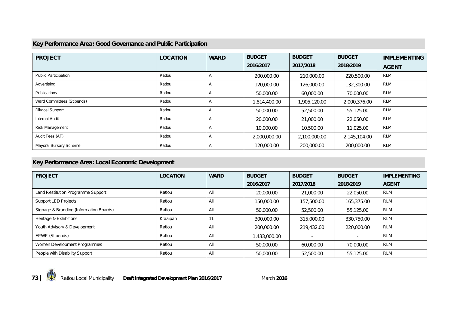## **Key Performance Area: Good Governance and Public Participation**

| <b>PROJECT</b>              | <b>LOCATION</b> | <b>WARD</b> | <b>BUDGET</b> | <b>BUDGET</b> | <b>BUDGET</b> | <b>IMPLEMENTING</b> |
|-----------------------------|-----------------|-------------|---------------|---------------|---------------|---------------------|
|                             |                 |             | 2016/2017     | 2017/2018     | 2018/2019     | <b>AGENT</b>        |
| <b>Public Participation</b> | Ratlou          | All         | 200,000.00    | 210,000.00    | 220,500.00    | RLM                 |
| Advertising                 | Ratlou          | All         | 120,000.00    | 126,000.00    | 132,300.00    | <b>RLM</b>          |
| <b>Publications</b>         | Ratlou          | All         | 50,000.00     | 60,000.00     | 70,000.00     | RLM                 |
| Ward Committees (Stipends)  | Ratlou          | All         | 1,814,400.00  | 1,905,120.00  | 2,000,376.00  | RLM                 |
| Dikgosi Support             | Ratlou          | All         | 50,000.00     | 52,500.00     | 55,125.00     | <b>RLM</b>          |
| <b>Internal Audit</b>       | Ratlou          | All         | 20,000.00     | 21,000.00     | 22,050.00     | RLM                 |
| Risk Management             | Ratlou          | All         | 10,000.00     | 10,500.00     | 11,025.00     | RLM                 |
| Audit Fees (AF)             | Ratlou          | All         | 2,000,000.00  | 2,100,000.00  | 2,145,104.00  | RLM                 |
| Mayoral Bursary Scheme      | Ratlou          | All         | 120,000.00    | 200,000.00    | 200,000.00    | <b>RLM</b>          |

## **Key Performance Area: Local Economic Development**

| <b>PROJECT</b>                          | <b>LOCATION</b> | <b>WARD</b> | <b>BUDGET</b> | <b>BUDGET</b> | <b>BUDGET</b>            | <b>IMPLEMENTING</b> |
|-----------------------------------------|-----------------|-------------|---------------|---------------|--------------------------|---------------------|
|                                         |                 |             | 2016/2017     | 2017/2018     | 2018/2019                | <b>AGENT</b>        |
| Land Restitution Programme Support      | Ratlou          | All         | 20,000.00     | 21,000.00     | 22,050.00                | RLM                 |
| <b>Support LED Projects</b>             | Ratlou          | All         | 150,000.00    | 157,500.00    | 165,375.00               | <b>RLM</b>          |
| Signage & Branding (Information Boards) | Ratlou          | All         | 50,000.00     | 52,500.00     | 55,125.00                | RLM                 |
| Heritage & Exhibitions                  | Kraaipan        | 11          | 300,000.00    | 315,000.00    | 330.750.00               | <b>RLM</b>          |
| Youth Advisory & Development            | Ratlou          | All         | 200,000.00    | 219,432.00    | 220,000.00               | RLM                 |
| EPWP (Stipends)                         | Ratlou          | All         | 1,433,000.00  |               | $\overline{\phantom{a}}$ | RLM                 |
| Women Development Programmes            | Ratlou          | All         | 50,000.00     | 60,000.00     | 70,000.00                | <b>RLM</b>          |
| People with Disability Support          | Ratlou          | All         | 50,000.00     | 52,500.00     | 55,125.00                | <b>RLM</b>          |

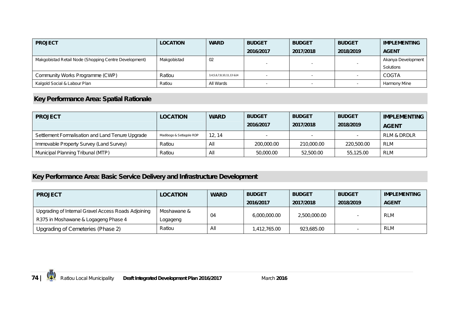| <b>PROJECT</b>                                        | <b>LOCATION</b> | <b>WARD</b>              | <b>BUDGET</b> | <b>BUDGET</b> | <b>BUDGET</b> | <b>IMPLEMENTING</b> |
|-------------------------------------------------------|-----------------|--------------------------|---------------|---------------|---------------|---------------------|
|                                                       |                 |                          | 2016/2017     | 2017/2018     | 2018/2019     | <b>AGENT</b>        |
| Makgobistad Retail Node (Shopping Centre Development) | Makgobistad     | 02                       |               |               |               | Akanya Development  |
|                                                       |                 |                          |               |               |               | Solutions           |
| Community Works Programme (CWP)                       | Ratlou          | 3,4,5,6,7,8,10,11,13 &14 |               |               |               | <b>COGTA</b>        |
| Kalgold Social & Labour Plan                          | Ratlou          | All Wards                |               |               |               | Harmony Mine        |

# **Key Performance Area: Spatial Rationale**

| <b>PROJECT</b>                                   | <b>LOCATION</b>          | <b>WARD</b> | <b>BUDGET</b><br>2016/2017 | <b>BUDGET</b><br>2017/2018 | <b>BUDGET</b><br>2018/2019 | <b>IMPLEMENTING</b><br><b>AGENT</b> |
|--------------------------------------------------|--------------------------|-------------|----------------------------|----------------------------|----------------------------|-------------------------------------|
| Settlement Formalisation and Land Tenure Upgrade | Madibogo & Setlagole RDP | 12.14       |                            |                            |                            | <b>RLM &amp; DRDLR</b>              |
| Immovable Property Survey (Land Survey)          | Ratlou                   | All         | 200,000.00                 | 210,000.00                 | 220,500.00                 | <b>RLM</b>                          |
| Municipal Planning Tribunal (MTP)                | Ratlou                   | All         | 50,000.00                  | 52,500.00                  | 55,125.00                  | <b>RLM</b>                          |

# **Key Performance Area: Basic Service Delivery and Infrastructure Development**

| <b>PROJECT</b>                                      | <b>LOCATION</b> | <b>WARD</b> | <b>BUDGET</b> | <b>BUDGET</b> | <b>BUDGET</b> | <b>IMPLEMENTING</b> |
|-----------------------------------------------------|-----------------|-------------|---------------|---------------|---------------|---------------------|
|                                                     |                 |             | 2016/2017     | 2017/2018     | 2018/2019     | <b>AGENT</b>        |
| Upgrading of Internal Gravel Access Roads Adjoining | Moshawane &     |             |               | 2,500,000.00  |               | <b>RLM</b>          |
| R375 in Moshawane & Logageng Phase 4                | Logageng        | 04          | 6,000,000.00  |               |               |                     |
| Upgrading of Cemeteries (Phase 2)                   | Ratlou          | All         | 1,412,765.00  | 923,685.00    |               | <b>RLM</b>          |

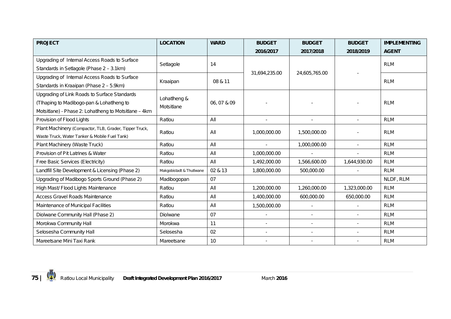| <b>PROJECT</b>                                                                                                                                     | <b>LOCATION</b>            | <b>WARD</b> | <b>BUDGET</b>            | <b>BUDGET</b> | <b>BUDGET</b> | <b>IMPLEMENTING</b> |
|----------------------------------------------------------------------------------------------------------------------------------------------------|----------------------------|-------------|--------------------------|---------------|---------------|---------------------|
|                                                                                                                                                    |                            |             | 2016/2017                | 2017/2018     | 2018/2019     | <b>AGENT</b>        |
| Upgrading of Internal Access Roads to Surface<br>Standards in Setlagole (Phase 2 - 3.1km)                                                          | Setlagole                  | 14          |                          |               |               | <b>RLM</b>          |
| Upgrading of Internal Access Roads to Surface<br>Standards in Kraaipan (Phase 2 - 5.9km)                                                           | Kraaipan                   | 08 & 11     | 31,694,235.00            | 24,605,765.00 |               | <b>RLM</b>          |
| Upgrading of Link Roads to Surface Standards<br>(Tlhaping to Madibogo-pan & Lohatlheng to<br>Motsitlane) - Phase 2: Lohatlheng to Motsitlane - 4km | Lohatlheng &<br>Motsitlane | 06,07 & 09  |                          |               |               | <b>RLM</b>          |
| Provision of Flood Lights                                                                                                                          | Ratlou                     | All         |                          |               |               | <b>RLM</b>          |
| Plant Machinery (Compactor, TLB, Grader, Tipper Truck,<br>Waste Truck, Water Tanker & Mobile Fuel Tank)                                            | Ratlou                     | All         | 1,000,000.00             | 1,500,000.00  |               | <b>RLM</b>          |
| Plant Machinery (Waste Truck)                                                                                                                      | Ratlou                     | All         | ÷,                       | 1,000,000.00  | $\sim$        | <b>RLM</b>          |
| Provision of Pit Latrines & Water                                                                                                                  | Ratlou                     | All         | 1,000,000.00             |               |               | <b>RLM</b>          |
| Free Basic Services (Electricity)                                                                                                                  | Ratlou                     | All         | 1,492,000.00             | 1,566,600.00  | 1,644,930.00  | <b>RLM</b>          |
| Landfill Site Development & Licensing (Phase 2)                                                                                                    | Makgobistadt & Thutlwane   | 02 & 13     | 1,800,000.00             | 500,000.00    |               | <b>RLM</b>          |
| Upgrading of Madibogo Sports Ground (Phase 2)                                                                                                      | Madibogopan                | 07          |                          |               |               | NLDF, RLM           |
| High Mast/ Flood Lights Maintenance                                                                                                                | Ratlou                     | All         | 1,200,000.00             | 1,260,000.00  | 1,323,000.00  | <b>RLM</b>          |
| Access Gravel Roads Maintenance                                                                                                                    | Ratlou                     | All         | 1,400,000.00             | 600,000.00    | 650,000.00    | <b>RLM</b>          |
| Maintenance of Municipal Facilities                                                                                                                | Ratlou                     | All         | 1,500,000.00             | $\sim$        |               | <b>RLM</b>          |
| Diolwane Community Hall (Phase 2)                                                                                                                  | Diolwane                   | 07          | $\overline{a}$           | $\sim$        |               | <b>RLM</b>          |
| Morokwa Community Hall                                                                                                                             | Morokwa                    | 11          | $\overline{\phantom{a}}$ |               |               | <b>RLM</b>          |
| Selosesha Community Hall                                                                                                                           | Selosesha                  | 02          |                          |               |               | <b>RLM</b>          |
| Mareetsane Mini Taxi Rank                                                                                                                          | Mareetsane                 | 10          |                          |               |               | <b>RLM</b>          |

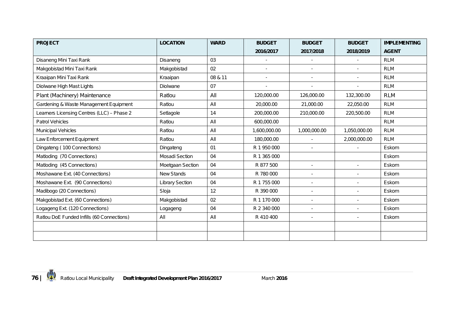| <b>PROJECT</b>                             | <b>LOCATION</b>        | <b>WARD</b> | <b>BUDGET</b>            | <b>BUDGET</b>            | <b>BUDGET</b> | <b>IMPLEMENTING</b> |
|--------------------------------------------|------------------------|-------------|--------------------------|--------------------------|---------------|---------------------|
|                                            |                        |             | 2016/2017                | 2017/2018                | 2018/2019     | <b>AGENT</b>        |
| Disaneng Mini Taxi Rank                    | Disaneng               | 03          | $\blacksquare$           |                          |               | <b>RLM</b>          |
| Makgobistad Mini Taxi Rank                 | Makgobistad            | 02          | $\blacksquare$           | $\blacksquare$           |               | <b>RLM</b>          |
| Kraaipan Mini Taxi Rank                    | Kraaipan               | 08 & 11     | $\blacksquare$           | $\sim$                   |               | <b>RLM</b>          |
| Diolwane High Mast Lights                  | Diolwane               | 07          | $\overline{\phantom{a}}$ | $\blacksquare$           |               | <b>RLM</b>          |
| Plant (Machinery) Maintenance              | Ratlou                 | All         | 120,000.00               | 126,000.00               | 132,300.00    | <b>RLM</b>          |
| Gardening & Waste Management Equipment     | Ratlou                 | All         | 20,000.00                | 21,000.00                | 22,050.00     | <b>RLM</b>          |
| Learners Licensing Centres (LLC) - Phase 2 | Setlagole              | 14          | 200,000.00               | 210,000.00               | 220,500.00    | <b>RLM</b>          |
| <b>Patrol Vehicles</b>                     | Ratlou                 | All         | 600,000.00               |                          |               | <b>RLM</b>          |
| Municipal Vehicles                         | Ratlou                 | All         | 1,600,000.00             | 1,000,000.00             | 1,050,000.00  | <b>RLM</b>          |
| Law Enforcement Equipment                  | Ratlou                 | All         | 180,000.00               |                          | 2,000,000.00  | <b>RLM</b>          |
| Dingateng (100 Connections)                | Dingateng              | 01          | R 1 950 000              | $\sim$                   |               | Eskom               |
| Matloding (70 Connections)                 | Mosadi Section         | 04          | R 1 365 000              |                          |               | Eskom               |
| Matloding (45 Connections)                 | Moetgaan Section       | 04          | R 877 500                | $\sim$                   | $\sim$        | Eskom               |
| Moshawane Ext. (40 Connections)            | New Stands             | 04          | R 780 000                |                          |               | Eskom               |
| Moshawane Ext. (90 Connections)            | <b>Library Section</b> | 04          | R 1 755 000              | $\blacksquare$           | $\sim$        | Eskom               |
| Madibogo (20 Connections)                  | Sloja                  | 12          | R 390 000                | $\sim$                   |               | Eskom               |
| Makgobistad Ext. (60 Connections)          | Makgobistad            | 02          | R 1 170 000              | $\blacksquare$           |               | Eskom               |
| Logageng Ext. (120 Connections)            | Logageng               | 04          | R 2 340 000              | $\blacksquare$           |               | Eskom               |
| Ratlou DoE Funded Infills (60 Connections) | All                    | All         | R 410 400                | $\overline{\phantom{a}}$ |               | Eskom               |
|                                            |                        |             |                          |                          |               |                     |
|                                            |                        |             |                          |                          |               |                     |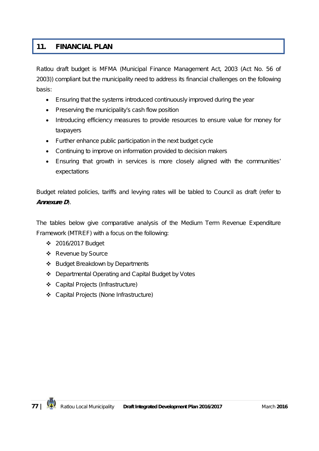# **11. FINANCIAL PLAN**

Ratlou draft budget is MFMA (Municipal Finance Management Act, 2003 (Act No. 56 of 2003)) compliant but the municipality need to address its financial challenges on the following basis:

- Ensuring that the systems introduced continuously improved during the year
- Preserving the municipality's cash flow position
- Introducing efficiency measures to provide resources to ensure value for money for taxpayers
- Further enhance public participation in the next budget cycle
- Continuing to improve on information provided to decision makers
- Ensuring that growth in services is more closely aligned with the communities' expectations

Budget related policies, tariffs and levying rates will be tabled to Council as draft (refer to *Annexure D*).

The tables below give comparative analysis of the Medium Term Revenue Expenditure Framework (MTREF) with a focus on the following:

- 2016/2017 Budget
- ❖ Revenue by Source
- ❖ Budget Breakdown by Departments
- Departmental Operating and Capital Budget by Votes
- Capital Projects (Infrastructure)
- Capital Projects (None Infrastructure)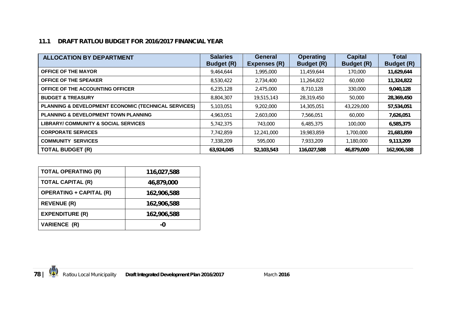## **11.1 DRAFT RATLOU BUDGET FOR 2016/2017 FINANCIAL YEAR**

| <b>ALLOCATION BY DEPARTMENT</b>                      | <b>Salaries</b><br><b>Budget (R)</b> | General<br>Expenses (R) | <b>Operating</b><br><b>Budget (R)</b> | <b>Capital</b><br><b>Budget (R)</b> | Total<br><b>Budget (R)</b> |
|------------------------------------------------------|--------------------------------------|-------------------------|---------------------------------------|-------------------------------------|----------------------------|
| <b>OFFICE OF THE MAYOR</b>                           | 9,464,644                            | 1,995,000               | 11,459,644                            | 170,000                             | 11,629,644                 |
| <b>OFFICE OF THE SPEAKER</b>                         | 8,530,422                            | 2,734,400               | 11,264,822                            | 60,000                              | 11,324,822                 |
| OFFICE OF THE ACCOUNTING OFFICER                     | 6,235,128                            | 2,475,000               | 8,710,128                             | 330,000                             | 9,040,128                  |
| <b>BUDGET &amp; TREASURY</b>                         | 8,804,307                            | 19,515,143              | 28,319,450                            | 50,000                              | 28,369,450                 |
| PLANNING & DEVELOPMENT ECONOMIC (TECHNICAL SERVICES) | 5,103,051                            | 9,202,000               | 14,305,051                            | 43,229,000                          | 57,534,051                 |
| <b>PLANNING &amp; DEVELOPMENT TOWN PLANNING</b>      | 4,963,051                            | 2,603,000               | 7,566,051                             | 60,000                              | 7,626,051                  |
| <b>LIBRARY/ COMMUNITY &amp; SOCIAL SERVICES</b>      | 5,742,375                            | 743,000                 | 6,485,375                             | 100,000                             | 6,585,375                  |
| <b>CORPORATE SERVICES</b>                            | 7,742,859                            | 12,241,000              | 19,983,859                            | 1,700,000                           | 21,683,859                 |
| <b>COMMUNITY SERVICES</b>                            | 7,338,209                            | 595,000                 | 7,933,209                             | 1,180,000                           | 9,113,209                  |
| <b>TOTAL BUDGET (R)</b>                              | 63,924,045                           | 52,103,543              | 116,027,588                           | 46,879,000                          | 162,906,588                |

| <b>TOTAL OPERATING (R)</b>     | 116,027,588 |
|--------------------------------|-------------|
| <b>TOTAL CAPITAL (R)</b>       | 46,879,000  |
| <b>OPERATING + CAPITAL (R)</b> | 162,906,588 |
| <b>REVENUE (R)</b>             | 162,906,588 |
| <b>EXPENDITURE (R)</b>         | 162,906,588 |
| <b>VARIENCE (R)</b>            | -0          |

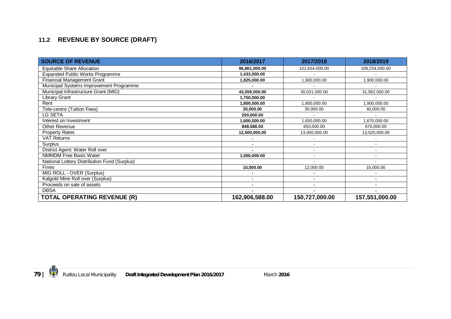# **11.2 REVENUE BY SOURCE (DRAFT)**

| <b>SOURCE OF REVENUE</b>                     | 2016/2017                | 2017/2018      | 2018/2019      |
|----------------------------------------------|--------------------------|----------------|----------------|
| Equitable Share Allocation                   | 96,861,000.00            | 101,654,000.00 | 106,254,000.00 |
| <b>Expanded Public Works Programme</b>       | 1,433,000.00             |                |                |
| <b>Financial Management Grant</b>            | 1,825,000.00             | 1,900,000.00   | 1,900,000.00   |
| Municipal Systems Improvement Programme      |                          |                |                |
| Municipal Infrastructure Grant (MIG)         | 43,059,000.00            | 30,031,000.00  | 31,582,000.00  |
| Library Grant                                | 1,750,000.00             |                |                |
| Rent                                         | 1,800,000.00             | 1,800,000.00   | 1,900,000.00   |
| Tele-centre (Tuition Fees)                   | 20,000.00                | 30,000.00      | 40,000.00      |
| LG SETA                                      | 200,000.00               |                |                |
| Interest on Investment                       | 1,600,000.00             | 1,650,000.00   | 1,670,000.00   |
| Other Revenue                                | 848,588.00               | 650,000.00     | 670.000.00     |
| <b>Property Rates</b>                        | 12,500,000.00            | 13,000,000.00  | 13,520,000.00  |
| <b>VAT Returns</b>                           | $\blacksquare$           |                |                |
| Surplus                                      | $\blacksquare$           | ٠              | ۰              |
| District Agent: Water Roll over              | $\blacksquare$           | ۰              | ۰              |
| <b>NMMDM Free Basic Water</b>                | 1,000,000.00             | $\blacksquare$ |                |
| National Lottery Distribution Fund (Surplus) |                          |                |                |
| <b>Fines</b>                                 | 10,000.00                | 12,000.00      | 15,000.00      |
| MIG ROLL - OVER (Surplus)                    |                          |                |                |
| Kalgold Mine Roll over (Surplus)             | $\overline{\phantom{0}}$ |                |                |
| Proceeds on sale of assets                   | $\blacksquare$           |                |                |
| <b>DBSA</b>                                  |                          |                |                |
| <b>TOTAL OPERATING REVENUE (R)</b>           | 162,906,588.00           | 150,727,000.00 | 157,551,000.00 |

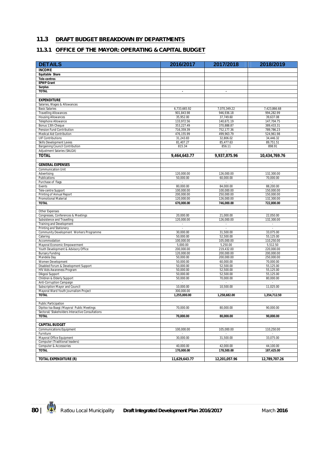#### **11.3 DRAFT BUDGET BREAKDOWN BY DEPARTMENTS**

#### **11.3.1 OFFICE OF THE MAYOR: OPERATING & CAPITAL BUDGET**

| <b>DETAILS</b>                                                             | 2016/2017                | 2017/2018                | 2018/2019                |
|----------------------------------------------------------------------------|--------------------------|--------------------------|--------------------------|
| <b>INCOME</b>                                                              |                          |                          |                          |
| Equitable Share                                                            |                          |                          |                          |
| <b>Tele-centres</b>                                                        |                          |                          |                          |
| <b>EPWP Grant</b>                                                          |                          |                          |                          |
| <b>Surplus</b>                                                             |                          |                          |                          |
| <b>TOTAL</b>                                                               | $\blacksquare$           | $\sim$                   |                          |
| <b>EXPENDITURE</b>                                                         |                          |                          |                          |
| Salaries, Wages & Allowances                                               |                          |                          |                          |
| <b>Basic Salaries</b>                                                      | 6,733,665.92             | 7,070,349.22             | 7,423,866.68             |
| <b>Travelling Allowances</b>                                               | 901,843.98               | 946,936.18               | 994,282.99               |
| <b>Housing Allowances</b>                                                  | 35,952.00                | 37,749.60                | 39,637.08                |
| Telephone Allowance                                                        | 133,972.56               | 140,671.19               | 147,704.75               |
| Bonus 13th Cheque                                                          | 353,227.49               | 370,888.87               | 389.433.31               |
| Pension Fund Contribution                                                  | 716,359.39               | 752,177.36               | 789.786.23               |
| Medical Aid Contribution                                                   | 476,155.99               | 499,963.79               | 524,961.98               |
| <b>UIF Contributions</b>                                                   | 31,243.83                | 32,806.02                | 34,446.32                |
| <b>Skills Development Levies</b><br><b>Bargaining Council Contribution</b> | 81,407.27<br>815.34      | 85,477.63                | 89,751.51<br>898.91      |
| Adjustment Salaries (SALGA)                                                |                          | 856.11                   |                          |
| <b>TOTAL</b>                                                               | 9,464,643.77             | 9,937,875.96             | 10,434,769.76            |
|                                                                            |                          |                          |                          |
| <b>GENERAL EXPENSES</b>                                                    |                          |                          |                          |
| <b>Communication Unit</b>                                                  |                          |                          |                          |
| Advertising                                                                | 120.000.00               | 126.000.00               | 132,300.00               |
| Publications                                                               | 50,000.00                | 60,000.00                | 70,000.00                |
| Purchase of flags                                                          | $\sim$                   | $\sim$                   | $\sim$                   |
| Events                                                                     | 80,000.00                | 84,000.00                | 88,200.00                |
| Tele-centre Support                                                        | 100,000.00               | 100,000.00               | 150,000.00               |
| Printing of Annual Report<br><b>Promotional Material</b>                   | 200,000.00<br>120,000.00 | 250,000.00               | 150,000.00               |
| <b>TOTAL</b>                                                               | 670,000.00               | 126,000.00<br>746,000.00 | 132,300.00<br>722,800.00 |
|                                                                            |                          |                          |                          |
| Other Expenses                                                             |                          |                          |                          |
| Congresses, Conferences & Meetings                                         | 20,000.00                | 21,000.00                | 22,050.00                |
| Subsistence and Travelling                                                 | 120,000.00               | 126,000.00               | 132,300.00               |
| Training and Development                                                   | $\sim$                   | $\sim$                   | $\sim$                   |
| Printing and Stationery                                                    |                          |                          |                          |
| Community Development Workers Programme                                    | 30,000.00                | 31,500.00                | 33,075.00                |
| Catering<br>Accommodation                                                  | 50,000.00<br>100,000.00  | 52,500.00<br>105,000.00  | 55,125.00<br>110,250.00  |
| Mayoral Economic Empowerment                                               | 5,000.00                 | 5,250.00                 | 5,512.50                 |
| Youth Development & Advisory Office                                        | 200,000.00               | 219,432.00               | 220,000.00               |
| <b>Bursary Funding</b>                                                     | 120,000.00               | 200,000.00               | 200,000.00               |
| Mandela Day                                                                | 50,000.00                | 200,000.00               | 250,000.00               |
| Women Development                                                          | 50,000.00                | 60,000.00                | 70,000.00                |
| Disabled Forum & Development Support                                       | 50,000.00                | 52,500.00                | 55,125.00                |
| HIV Aids Awareness Program                                                 | 50,000.00                | 52,500.00                | 55,125.00                |
| Dikgosi Support                                                            | 50,000.00                | 52,500.00                | 55,125.00                |
| Children & Elderly Support                                                 | 50.000.00                | 70,000.00                | 80,000.00                |
| Anti-Corruption Campaign<br>Subscription Mayor and Council                 | 10,000.00                | 10,500.00                | 11,025.00                |
| Mayoral Ward Youth Journalism Project                                      | 300,000.00               |                          |                          |
| <b>TOTAL</b>                                                               | 1.255.000.00             | 1,258,682.00             | 1,354,712.50             |
|                                                                            |                          |                          |                          |
| <b>Public Participation</b>                                                |                          |                          |                          |
| Dipitso tsa Baagi / Mayoral Public Meetings                                | 70,000.00                | 80,000.00                | 90.000.00                |
| Sectoral/ Stakeholders Interactive Consultations                           |                          |                          |                          |
| <b>TOTAL</b>                                                               | 70,000.00                | 80,000.00                | 90.000.00                |
| <b>CAPITAL BUDGET</b>                                                      |                          |                          |                          |
| <b>Communications Equipment</b>                                            | 100,000.00               | 105,000.00               | 110,250.00               |
| Furniture                                                                  | $\sim$                   | ×                        |                          |
| Mayoral Office Equipment                                                   | 30,000.00                | 31,500.00                | 33,075.00                |
| Computer (Traditional leaders)                                             | $\sim$                   | $\sim$                   | $\sim$                   |
| Computer & Accessories                                                     | 40,000.00                | 42,000.00                | 44,100.00                |
| <b>TOTAL</b>                                                               | 170,000.00               | 178,500.00               | 187,425.00               |
|                                                                            |                          |                          |                          |
| <b>TOTAL EXPENDITURE (R)</b>                                               | 11,629,643.77            | 12,201,057.96            | 12,789,707.26            |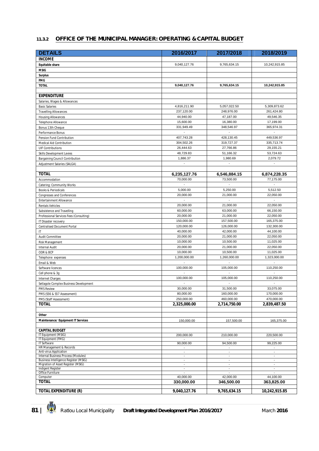#### **11.3.2 OFFICE OF THE MUNICIPAL MANAGER: OPERATING & CAPITAL BUDGET**

| <b>DETAILS</b>                                                               | 2016/2017                          | 2017/2018                                  | 2018/2019                                            |
|------------------------------------------------------------------------------|------------------------------------|--------------------------------------------|------------------------------------------------------|
| <b>INCOME</b>                                                                |                                    |                                            |                                                      |
| Equitable share                                                              | 9,040,127.76                       | 9,765,634.15                               | 10,242,915.85                                        |
| <b>MSIG</b>                                                                  |                                    |                                            |                                                      |
| <b>Surplus</b>                                                               |                                    |                                            |                                                      |
| <b>FMG</b>                                                                   |                                    |                                            |                                                      |
| <b>TOTAL</b>                                                                 | 9,040,127.76                       | 9,765,634.15                               | 10,242,915.85                                        |
| <b>EXPENDITURE</b>                                                           |                                    |                                            |                                                      |
| Salaries, Wages & Allowances                                                 |                                    |                                            |                                                      |
| <b>Basic Salaries</b>                                                        | 4,816,211.90                       | 5,057,022.50                               | 5,309,873.62                                         |
| <b>Travelling Allowances</b>                                                 | 237,120.00                         | 248,976.00                                 | 261,424.80                                           |
| <b>Housing Allowances</b>                                                    | 44,940.00                          | 47,187.00                                  | 49,546.35                                            |
| Telephone Allowance                                                          | 15,600.00                          | 16,380.00                                  | 17,199.00                                            |
| Bonus 13th Cheque                                                            | 331,949.49                         | 348,546.97                                 | 365,974.31                                           |
| Performance Bonus                                                            | $\overline{\phantom{a}}$           | $\overline{\phantom{a}}$                   | $\overline{\phantom{a}}$                             |
| Pension Fund Contribution                                                    | 407,743.28                         | 428,130.45                                 | 449,536.97                                           |
| Medical Aid Contribution<br><b>UIF Contributions</b>                         | 304,502.26<br>26,444.63            | 319,727.37<br>27,766.86                    | 335,713.74<br>29,155.21                              |
| Skills Development Levies                                                    | 48,729.83                          | 51,166.32                                  | 53,724.63                                            |
| Bargaining Council Contribution                                              | 1,886.37                           | 1,980.69                                   | 2,079.72                                             |
| Adjustment Salaries (SALGA)                                                  | $\blacksquare$                     | $\blacksquare$                             | $\overline{\phantom{a}}$                             |
|                                                                              |                                    |                                            |                                                      |
| <b>TOTAL</b>                                                                 | 6,235,127.76                       | 6,546,884.15                               | 6,874,228.35                                         |
| Accommodation                                                                | 70,000.00                          | 73,500.00                                  | 77,175.00                                            |
| Catering: Community Works                                                    | $\mathbb{Z}$                       | $\overline{a}$                             | $\omega$                                             |
| Books & Periodicals                                                          | 5,000.00                           | 5,250.00                                   | 5,512.50                                             |
| Congresses and Conferences                                                   | 20,000.00                          | 21,000.00                                  | 22,050.00                                            |
| Entertainment Allowance                                                      | $\mathbb{L}$                       | $\overline{\phantom{a}}$                   | $\mathcal{L}$                                        |
| <b>Rentals Vehicles</b>                                                      | 20,000.00                          | 21,000.00                                  | 22,050.00                                            |
| Subsistence and Travelling                                                   | 60,000.00                          | 63,000.00                                  | 66,150.00                                            |
| Professional Services Fees (Consulting)                                      | 20,000.00<br>150,000.00            | 21,000.00<br>157,500.00                    | 22,050.00<br>165,375.00                              |
| IT Disaster recovery<br>Centralised Document Portal                          | 120,000.00                         | 126,000.00                                 | 132,300.00                                           |
| $\mathsf{I}$                                                                 | 40,000.00                          | 42,000.00                                  | 44,100.00                                            |
| Audit Committee                                                              | 20,000.00                          | 21,000.00                                  | 22,050.00                                            |
| Risk Management                                                              | 10,000.00                          | 10,500.00                                  | 11,025.00                                            |
| Internal Audit                                                               | 20,000.00                          | 21,000.00                                  | 22,050.00                                            |
| ODR & BCP                                                                    | 10,000.00                          | 10,500.00                                  | 11,025.00                                            |
| Telephone expenses                                                           | 1,200,000.00                       | 1,260,000.00                               | 1,323,000.00                                         |
| Email & Web                                                                  | $\sim$                             | $\blacksquare$                             | $\blacksquare$                                       |
| Software licences                                                            | 100,000.00                         | 105,000.00                                 | 110,250.00                                           |
| Cell phone & 3g                                                              |                                    |                                            |                                                      |
| Internet Charges                                                             | 100,000.00<br>$\centerdot$         | 105,000.00<br>$\overline{\phantom{a}}$     | 110,250.00<br>$\overline{\phantom{a}}$               |
| Setlagole Complex Business Development<br><b>PMS Review</b>                  | 30,000.00                          | 31,500.00                                  | 33,075.00                                            |
| PMS (S56 & S57 Assessment)                                                   | 80,000.00                          | 160,000.00                                 | 170,000.00                                           |
| PMS (Staff Assessment)                                                       | 250,000.00                         | 460,000.00                                 | 470,000.00                                           |
| <b>TOTAL</b>                                                                 | 2,325,000.00                       | 2,714,750.00                               | 2,839,487.50                                         |
|                                                                              |                                    |                                            |                                                      |
| Other                                                                        |                                    |                                            |                                                      |
| Maintenance/ Equipment IT Services                                           | 150,000.00                         | 157,500.00                                 | 165,375.00                                           |
| <b>CAPITAL BUDGET</b>                                                        |                                    |                                            |                                                      |
| IT Equipment (MSIG)                                                          | 200,000.00                         | 210,000.00                                 | 220,500.00                                           |
| IT Equipment (FMG)<br>IT Software                                            | 90,000.00                          | 94,500.00                                  | 99,225.00                                            |
| HR Management & Records                                                      | $\overline{\phantom{a}}$           | $\overline{\phantom{a}}$                   | $\overline{\phantom{a}}$                             |
| Anti-virus Application                                                       | ÷.                                 | $\overline{a}$                             | $\overline{a}$                                       |
| Internal Business Process (Modules)<br>Business Intelligence Register (MSIG) | $\blacksquare$                     | $\overline{\phantom{a}}$                   | $\overline{\phantom{a}}$                             |
| Migration of Asset Register (MSIG)                                           | $\overline{\phantom{a}}$<br>$\sim$ | $\overline{\phantom{a}}$<br>$\blacksquare$ | $\overline{\phantom{a}}$<br>$\overline{\phantom{a}}$ |
| Indigent Register                                                            | $\overline{\phantom{a}}$           | $\overline{\phantom{a}}$                   | $\overline{\phantom{a}}$                             |
| Office Furniture<br>Computer                                                 | 40,000.00                          |                                            | 44,100.00                                            |
| <b>TOTAL</b>                                                                 | 330,000.00                         | 42,000.00<br>346,500.00                    | 363,825.00                                           |
|                                                                              |                                    |                                            |                                                      |
| TOTAL EXPENDITURE (R)                                                        | 9,040,127.76                       | 9,765,634.15                               | 10,242,915.85                                        |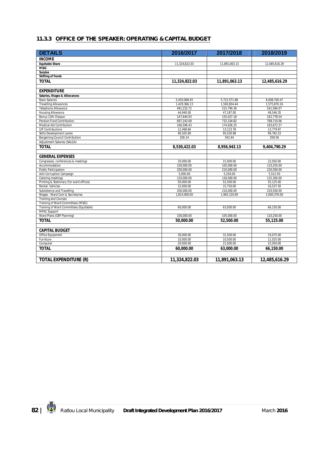#### **11.3.3 OFFICE OF THE SPEAKER: OPERATING & CAPITAL BUDGET**

| <b>DETAILS</b>                                       | 2016/2017               | 2017/2018     | 2018/2019               |
|------------------------------------------------------|-------------------------|---------------|-------------------------|
| <b>INCOME</b>                                        |                         |               |                         |
| <b>Equitable Share</b>                               | 11,324,822.03           | 11,891,063.13 | 12,485,616.29           |
| <b>MSIG</b>                                          |                         |               |                         |
| <b>Surplus</b>                                       |                         |               |                         |
| <b>Shifting of Funds</b>                             |                         |               |                         |
| <b>TOTAL</b>                                         | 11,324,822.03           | 11,891,063.13 | 12,485,616.29           |
|                                                      |                         |               |                         |
| <b>EXPENDITURE</b>                                   |                         |               |                         |
| Salaries, Wages & Allowances                         |                         |               |                         |
| <b>Basic Salaries</b>                                | 5,450,068.45            | 5,722,571.88  | 6,008,700.47            |
| <b>Travelling Allowances</b>                         | 1,429,366.13            | 1,500,834.44  | 1,575,876.16            |
| Telephone Allowance<br><b>Housing Allowance</b>      | 491,232.72<br>44,940.00 | 515,794.36    | 541,584.07<br>49,546.35 |
|                                                      |                         | 47,187.00     |                         |
| Bonus 13th Cheque                                    | 147,644.93              | 155,027.18    | 162,778.54              |
| Pension Fund Contribution                            | 697,242.69              | 732,104.82    | 768,710.06              |
| Medical Aid Contribution<br><b>UIF Contributions</b> | 166,596.43              | 174,926.25    | 183,672.57<br>13.779.97 |
|                                                      | 12.498.84               | 13.123.78     |                         |
| Skills Development Levies                            | 90,505.69               | 95,030.98     | 99,782.53               |
| Bargaining Council Contribution                      | 326.14                  | 342.44        | 359.56                  |
| Adjustment Salaries (SALGA)                          |                         |               |                         |
| <b>TOTAL</b>                                         | 8,530,422.03            | 8,956,943.13  | 9,404,790.29            |
|                                                      |                         |               |                         |
| <b>GENERAL EXPENSES</b>                              |                         |               |                         |
| Congresses, conferences & meetings                   | 20,000.00               | 21,000.00     | 22,050.00               |
| Accommodation                                        | 100,000.00              | 105,000.00    | 110,250.00              |
| <b>Public Participation</b>                          | 200,000.00              | 210,000.00    | 220,500.00              |
| Anti-Corruption Campaign                             | 5,000.00                | 5,250.00      | 5,512.50                |
| Catering meetings                                    | 120,000.00              | 126,000.00    | 132,300.00              |
| Printing & Stationary (for ward offices)             | 50,000.00               | 52,500.00     | 55,125.00               |
| Rental: Vehicles                                     | 15,000.00               | 15,750.00     | 16,537.50               |
| Subsistence and Travelling                           | 200,000.00              | 210,000.00    | 220,500.00              |
| Wages: Ward Com & Secretaries                        | 1,814,400.00            | 1,905,120.00  | 2,000,376.00            |
| <b>Training and Courses</b>                          |                         |               |                         |
| Training of Ward Committees (MSIG)                   |                         |               |                         |
| Training of Ward Committees (Equitable)              | 60,000.00               | 63,000.00     | 66,150.00               |
| <b>MPAC Support</b>                                  |                         | $\sim$        | ÷.                      |
| Ward Plans (CBP Planning)                            | 100,000.00              | 105,000.00    | 110,250.00              |
| <b>TOTAL</b>                                         | 50,000.00               | 52,500.00     | 55,125.00               |
| <b>CAPITAL BUDGET</b>                                |                         |               |                         |
| <b>Office Equipment</b>                              | 30.000.00               | 31.500.00     | 33.075.00               |
| Furniture                                            | 10,000.00               | 10.500.00     | 11,025.00               |
| Computer                                             | 20,000.00               | 21,000.00     | 22,050.00               |
| <b>TOTAL</b>                                         | 60,000.00               | 63,000.00     | 66,150.00               |
|                                                      |                         |               |                         |
| TOTAL EXPENDITURE (R)                                | 11,324,822.03           | 11,891,063.13 | 12,485,616.29           |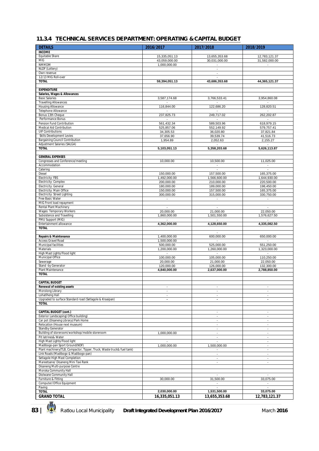#### **11.3.4 TECHNICAL SERVICES DEPARTMENT: OPERATING & CAPITAL BUDGET**

| <b>DETAILS</b>                                                                                           | 2016/2017                  | 2017/2018                                  | 2018/2019                                  |
|----------------------------------------------------------------------------------------------------------|----------------------------|--------------------------------------------|--------------------------------------------|
| <b>INCOME</b>                                                                                            |                            |                                            |                                            |
| Equitable Share                                                                                          | 15,335,051.13              | 13,655,353.68                              | 12,783,121.37                              |
| <b>MIG</b>                                                                                               | 43,059,000.00              | 30,031,000.00                              | 31,582,000.00                              |
| <b>NMMDM</b>                                                                                             | 1,000,000.00               | $\overline{\phantom{a}}$                   | $\overline{\phantom{a}}$                   |
| NLDF (Lottery)                                                                                           |                            | $\blacksquare$                             |                                            |
| Own revenue<br>12/13 MIG Roll-over                                                                       |                            | $\overline{\phantom{a}}$                   |                                            |
| <b>TOTAL</b>                                                                                             | 59,394,051.13              | 43,686,353.68                              | 44,365,121.37                              |
|                                                                                                          |                            |                                            |                                            |
| <b>EXPENDITURE</b>                                                                                       |                            |                                            |                                            |
| Salaries, Wages & Allowances                                                                             |                            |                                            |                                            |
| <b>Basic Salaries</b>                                                                                    | 3,587,174.68               | 3,766,533.41                               | 3,954,860.08                               |
| <b>Travelling Allowances</b>                                                                             |                            |                                            |                                            |
| Housing Allowance<br>Telephone Allowance                                                                 | 116,844.00                 | 122,686.20                                 | 128,820.51                                 |
| Bonus 13th Cheque                                                                                        | 237,825.73                 | 249,717.02                                 | 262,202.87                                 |
| Performance Bonus                                                                                        |                            |                                            |                                            |
| Pension Fund Contribution                                                                                | 561,432.34                 | 589,503.96                                 | 618,979.15                                 |
| Medical Aid Contribution                                                                                 | 525,857.06                 | 552,149.92                                 | 579,757.41                                 |
| <b>UIF Contributions</b>                                                                                 | 34,305.53                  | 36,020.80                                  | 37,821.84                                  |
| Skills Development Levies                                                                                | 37,656.90                  | 39,539.74                                  | 41,516.73                                  |
| <b>Bargaining Council Contribution</b>                                                                   | 1,954.89                   | 2,052.63                                   | 2,155.27                                   |
| Adjustment Salaries (SALGA)<br><b>TOTAL</b>                                                              | 5,103,051.13               | 5,358,203.68                               | 5,626,113.87                               |
|                                                                                                          |                            |                                            |                                            |
| <b>GENERAL EXPENSES</b>                                                                                  |                            |                                            |                                            |
| Congresses and Conference/meeting                                                                        | 10,000.00                  | 10,500.00                                  | 11,025.00                                  |
| Accommodation                                                                                            |                            | $\overline{\phantom{a}}$                   | $\blacksquare$                             |
| Catering                                                                                                 |                            |                                            |                                            |
| Diesel                                                                                                   | 150,000.00                 | 157,500.00                                 | 165,375.00                                 |
| Electricity: FBS                                                                                         | 1,492,000.00<br>200,000.00 | 1.566.600.00<br>210,000.00                 | 1,644,930.00<br>220,500.00                 |
| Electricity: Complex<br>Electricity: General                                                             | 180,000.00                 | 189,000.00                                 | 198,450.00                                 |
| Electricity: Main Office                                                                                 | 150,000.00                 | 157,500.00                                 | 165,375.00                                 |
| Electricity: Street Lighting                                                                             | 300,000.00                 | 315,000.00                                 | 330,750.00                                 |
| Free Basic Water                                                                                         | $\sim$                     | $\sim$                                     | $\overline{\phantom{a}}$                   |
| MIG Front load repayment                                                                                 |                            |                                            |                                            |
| Rental Plant Machinery                                                                                   |                            | ÷                                          |                                            |
| Wages: Temporary Workers                                                                                 | 20,000.00                  | 21,000.00                                  | 22,050.00                                  |
| Subsistence and Travelling<br>PMU Support (MIG)                                                          | 1,860,000.00               | 1,501,550.00                               | 1,576,627.50                               |
| Entertainment allowance                                                                                  | 4,362,000.00               | 4,128,650.00                               | 4,335,082.50                               |
| <b>TOTAL</b>                                                                                             |                            |                                            |                                            |
|                                                                                                          |                            | $\sim$                                     |                                            |
| <b>Repairs &amp; Maintenance</b>                                                                         | 1,400,000.00               | 600,000.00                                 | 650,000.00                                 |
| Access Gravel Road                                                                                       | 1,500,000.00               |                                            |                                            |
| Municipal facilities<br>Materials                                                                        | 500,000.00<br>1,200,000.00 | 525,000.00<br>1,260,000.00                 | 551,250.00<br>1,323,000.00                 |
| High Mast Lights/Flood light                                                                             | $\blacksquare$             | $\blacksquare$                             | $\blacksquare$                             |
| Municipal Office                                                                                         | 100,000.00                 | 105,000.00                                 | 110,250.00                                 |
| Sewerage                                                                                                 | 20,000.00                  | 21,000.00                                  | 22,050.00                                  |
| Stand -by Generator                                                                                      | 120,000.00                 | 126,000.00                                 | 132,300.00                                 |
| Plant Maintenance                                                                                        | 4,840,000.00               | 2,637,000.00                               | 2,788,850.00                               |
| <b>TOTAL</b>                                                                                             |                            |                                            |                                            |
| <b>CAPITAL BUDGET</b>                                                                                    |                            |                                            |                                            |
| <b>Renewal of existing assets</b>                                                                        | $\overline{\phantom{a}}$   | $\overline{\phantom{a}}$                   | $\overline{\phantom{a}}$                   |
| Morolong Library                                                                                         | $\blacksquare$             | $\overline{\phantom{a}}$                   | $\blacksquare$                             |
| LohatIheng Hall                                                                                          | $\blacksquare$             | $\overline{\phantom{a}}$                   | $\blacksquare$                             |
| Upgraded to surface Standard road (Setlagole & Kraaipan)                                                 |                            | ٠                                          |                                            |
| <b>TOTAL</b>                                                                                             |                            |                                            |                                            |
|                                                                                                          |                            |                                            |                                            |
| <b>CAPITAL BUDGET (cont.)</b><br>Exterior Landscaping(Office building)                                   |                            | $\overline{\phantom{a}}$<br>$\blacksquare$ | $\overline{\phantom{a}}$<br>$\blacksquare$ |
| Car pot (Disaneng Library)/Park Home                                                                     |                            | $\overline{\phantom{a}}$                   | $\overline{\phantom{a}}$                   |
| Relocation (House next museum)                                                                           |                            | $\overline{a}$                             | $\mathbf{r}$                               |
| Standby Generator                                                                                        |                            | $\overline{\phantom{a}}$                   | $\blacksquare$                             |
| Building of storeroom/workshop/mobile storeroom                                                          | 1,000,000.00               | $\overline{\phantom{a}}$                   | $\blacksquare$                             |
| Pit latrines& Water                                                                                      |                            | $\blacksquare$                             | $\blacksquare$                             |
| High Mast Lights/Flood light                                                                             |                            | $\blacksquare$                             | $\blacksquare$                             |
| Madibogo-pan Sport Ground(NDF)<br>Plant machinery(TLB, Compactor, Tipper, Truck, Waste truck& fuel tank) | 1,000,000.00               | 1,500,000.00<br>$\overline{\phantom{a}}$   | $\blacksquare$<br>$\overline{\phantom{a}}$ |
| Link Roads (Madibogo & Madibogo-pan)                                                                     |                            | $\overline{\phantom{a}}$                   | $\overline{\phantom{a}}$                   |
| Setlagole High Mast Completion                                                                           |                            | $\overline{a}$                             | $\blacksquare$                             |
| Mareetsane/ Disaneng Mini Taxi Rank                                                                      |                            | $\overline{\phantom{a}}$                   | $\overline{\phantom{a}}$                   |
| Disaneng Multi-purpose Centre                                                                            |                            |                                            |                                            |
| Moroka Community Hall                                                                                    |                            |                                            |                                            |
| Diolwane Community Hall                                                                                  |                            | $\overline{a}$                             | $\blacksquare$                             |
| Furniture & Fitting<br>Computer/Office Equipment                                                         | 30,000.00                  | 31,500.00<br>$\overline{\phantom{a}}$      | 33,075.00<br>$\overline{\phantom{a}}$      |
| Paving                                                                                                   |                            | $\overline{a}$                             |                                            |
| <b>TOTAL</b>                                                                                             | 2,030,000.00               | 1,531,500.00                               | 33,075.00                                  |
| <b>GRAND TOTAL</b>                                                                                       | 16,335,051.13              | 13,655,353.68                              | 12,783,121.37                              |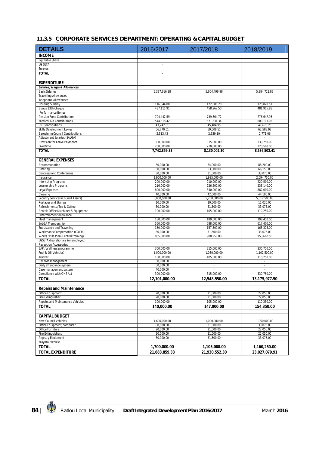#### **11.3.5 CORPORATE SERVICES DEPARTMENT: OPERATING & CAPITAL BUDGET**

| <b>DETAILS</b>                                                 | 2016/2017                                 | 2017/2018                              | 2018/2019                 |
|----------------------------------------------------------------|-------------------------------------------|----------------------------------------|---------------------------|
| <b>INCOME</b>                                                  |                                           |                                        |                           |
| Equitable Share                                                |                                           |                                        |                           |
| <b>LG SETA</b>                                                 | $\overline{\phantom{a}}$                  |                                        |                           |
| Surplus                                                        |                                           |                                        |                           |
| <b>TOTAL</b>                                                   | $\blacksquare$                            |                                        |                           |
|                                                                |                                           |                                        |                           |
| <b>EXPENDITURE</b><br>Salaries, Wages & Allowances             |                                           |                                        |                           |
| <b>Basic Salaries</b>                                          | 5,337,616.18                              | 5,604,496.98                           | 5,884,721.83              |
| <b>Travelling Allowances</b>                                   | $\overline{\phantom{a}}$                  | $\overline{\phantom{a}}$               | $\sim$                    |
| <b>Telephone Allowances</b>                                    | ÷.                                        | $\cdot$                                | $\sim$                    |
| <b>Housing Subsidy</b>                                         | 116,844.00                                | 122,686.20                             | 128,820.51                |
| Bonus 13th Cheque                                              | 437,111.91                                | 458,967.50                             | 481,915.88                |
| Performance Bonus<br>Pension Fund Contribution                 | ×<br>704,442.59                           | $\overline{\phantom{a}}$<br>739,664.72 | $\sim$<br>776,647.95      |
| <b>Medical Aid Contributions</b>                               | 544,318.42                                | 571,534.34                             | 600,111.05                |
| <b>UIF Contributions</b>                                       | 43,242.81                                 | 45,404.95                              | 47,675.20                 |
| Skills Development Levies                                      | 56,770.01                                 | 59,608.51                              | 62,588.93                 |
| <b>Bargaining Council Contributions</b>                        | 2,513.43                                  | 2,639.10                               | 2,771.06                  |
| Adjustment Salaries (SALGA)                                    | $\mathcal{L}$                             | $\sim$                                 | ×.                        |
| Provision for Leave Payments<br>Overtime                       | 300,000.00<br>200,000.00                  | 315,000.00<br>210,000.00               | 330,750.00<br>220,500.00  |
| <b>TOTAL</b>                                                   | 7,742,859.33                              | 8,130,002.30                           | 8,536,502.41              |
|                                                                |                                           |                                        |                           |
| <b>GENERAL EXPENSES</b>                                        |                                           |                                        |                           |
| Accommodation                                                  | 80.000.00                                 | 84,000.00                              | 88,200.00                 |
| Catering                                                       | 60,000.00                                 | 63.000.00                              | 66,150.00                 |
| Congress and Conferences                                       | 30,000.00                                 | 31.500.00                              | 33.075.00                 |
| Insurance                                                      | 1,900,000.00                              | 1,995,000.00                           | 2,094,750.00              |
| Internship Programs                                            | 200,000.00                                | 210,000.00<br>226,800.00               | 220,500.00<br>238,140.00  |
| Learnership Programs<br><b>Legal Expenses</b>                  | 216,000.00<br>800,000.00                  | 840,000.00                             | 882,000.00                |
| Cleaning                                                       | 40,000.00                                 | 42,000.00                              | 44,100.00                 |
| Security Services (Council Assets)                             | 5.000.000.00                              | 5,250,000.00                           | 5,512,500.00              |
| Postages and Stamps                                            | 10,000.00                                 | 10,500.00                              | 11,025.00                 |
| Refreshments: Tea & Coffee                                     | 30,000.00                                 | 31,500.00                              | 33,075.00                 |
| Rental: Office Machines & Equipment<br>Entertainment allowance | 100,000.00<br>$\mathcal{L}_{\mathcal{A}}$ | 105,000.00<br>$\mathcal{L}$            | 110,250.00<br>$\sim$      |
| Fleet management                                               | 180,000.00                                | 189,000.00                             | 198,450.00                |
| SALGA Membership                                               | 560,000.00                                | 588,000.00                             | 617,400.00                |
| Subsistence and Travelling                                     | 150,000.00                                | 157,500.00                             | 165,375.00                |
| Workman's Compensation (COIDA)                                 | 30,000.00                                 | 31,500.00                              | 33,075.00                 |
| Works Skills Plan (Central training)                           | 865,000.00                                | 908,250.00                             | 953,662.50                |
| LGSETA discretionary (unemployed)<br>Reception Accessories     | $\overline{\phantom{a}}$                  | $\overline{\phantom{a}}$               | $\sim$                    |
| EAP /Wellness programme                                        | 300,000.00                                | 315,000.00                             | 330,750.00                |
| Fuel & Oil(Vehicles)                                           | 1,000,000.00                              | 1,050,000.00                           | 1,102,500.00              |
| Tracker                                                        | 100,000.00                                | 105,000.00                             | 110,250.00                |
| Records management                                             | 60,000.00                                 |                                        |                           |
| Daily attendance system<br>Case management system              | 50,000.00<br>40,000.00                    | $\sim$<br>$\overline{\phantom{a}}$     | $\epsilon$<br>٠           |
| Compliance with OHS Act                                        | 300,000.00                                | 315,000.00                             | 330,750.00                |
| <b>TOTAL</b>                                                   | 12,101,000.00                             | 12.548.550.00                          | 13,175,977.50             |
|                                                                |                                           |                                        |                           |
| <b>Repairs and Maintenance</b>                                 |                                           |                                        |                           |
| Office Equipment                                               | 20,000.00                                 | 21,000.00                              | 22,050.00                 |
| Fire Extinguisher                                              | 20,000.00                                 | 21,000.00                              | 22,050.00                 |
| Repairs and Maintenance Vehicles                               | 100,000.00                                | 105,000.00                             | 110,250.00                |
| <b>TOTAL</b>                                                   | 140.000.00                                | 147,000.00                             | 154,350.00                |
|                                                                |                                           |                                        |                           |
| <b>CAPITAL BUDGET</b>                                          |                                           |                                        |                           |
| New Council Vehicles<br>Office Equipment/computer              | 1,600,000.00<br>30,000.00                 | 1,000,000.00<br>31,500.00              | 1,050,000.00<br>33,075.00 |
| Office Furniture                                               | 20,000.00                                 | 21,000.00                              | 22,050.00                 |
| <b>Fire Extinguishers</b>                                      | 20,000.00                                 | 21,000.00                              | 22,050.00                 |
| <b>Registry Equipment</b>                                      | 30,000.00                                 | 31,500.00                              | 33,075.00                 |
| Mayoral Vehicle                                                |                                           |                                        |                           |
| <b>TOTAL</b>                                                   | 1,700,000.00                              | 1,105,000.00                           | 1,160,250.00              |
| <b>TOTAL EXPENDITURE</b>                                       | 21,683,859.33                             | 21.930.552.30                          | 23,027,079.91             |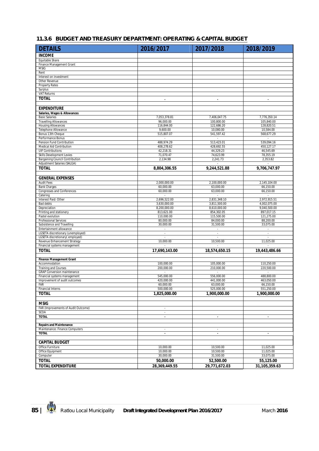#### **11.3.6 BUDGET AND TREASURY DEPARTMENT: OPERATING & CAPITAL BUDGET**

| <b>DETAILS</b>                                                | 2016/2017                      | 2017/2018                    | 2018/2019                    |
|---------------------------------------------------------------|--------------------------------|------------------------------|------------------------------|
| <b>INCOME</b>                                                 |                                |                              |                              |
| Equitable Share                                               |                                |                              |                              |
| Finance Management Grant                                      |                                |                              |                              |
| <b>MSIG</b><br>Rent                                           |                                |                              |                              |
| Interest on investment                                        |                                |                              |                              |
| Other Revenue                                                 |                                |                              |                              |
| <b>Property Rates</b>                                         |                                |                              |                              |
| Surplus<br><b>VAT Returns</b>                                 |                                |                              |                              |
| <b>TOTAL</b>                                                  | $\blacksquare$                 | $\blacksquare$               | $\mathbf{r}$                 |
|                                                               |                                |                              |                              |
| <b>EXPENDITURE</b>                                            |                                |                              |                              |
| Salaries, Wages & Allowances                                  |                                |                              |                              |
| <b>Basic Salaries</b>                                         | 7,053,378.81                   | 7,406,047.75                 | 7,776,350.14                 |
| <b>Travelling Allowances</b><br><b>Housing Allowances</b>     | 96,000.00<br>116,844.00        | 100.800.00<br>122,686.20     | 105,840.00<br>128,820.51     |
| Telephone Allowance                                           | 9,600.00                       | 10,080.00                    | 10,584.00                    |
| Bonus 13th Cheque                                             | 515,807.07                     | 541,597.42                   | 568,677.29                   |
| Performance Bonus                                             | $\sim$                         | $\sim$                       | $\sim$                       |
| Pension Fund Contribution                                     | 488,974.29                     | 513,423.01                   | 539,094.16                   |
| Medical Aid Contribution<br><b>UIF Contributions</b>          | 408,278.62<br>42,218.31        | 428,692.55<br>44,329.23      | 450,127.17<br>46,545.69      |
| <b>Skills Development Levies</b>                              | 71,070.47                      | 74,623.99                    | 78,355.19                    |
| <b>Bargaining Council Contribution</b>                        | 2,134.98                       | 2,241.73                     | 2,353.82                     |
| Adjustment Salaries (SALGA)                                   |                                |                              |                              |
| <b>TOTAL</b>                                                  | 8,804,306.55                   | 9,244,521.88                 | 9,706,747.97                 |
|                                                               |                                |                              |                              |
| <b>GENERAL EXPENSES</b>                                       |                                |                              |                              |
| <b>Audit Fees</b><br><b>Bank Charges</b>                      | 2,000,000.00<br>60,000.00      | 2,100,000.00<br>63,000.00    | 2,145,104.00<br>66,150.00    |
| Congresses and Conferences                                    | 60,000.00                      | 63,000.00                    | 66,150.00                    |
| Catering                                                      | $\sim$                         | $\sim$                       | $\mathcal{L}$                |
| Interest Paid: Other                                          | 2,696,522.00                   | 2,831,348.10                 | 2,972,915.51                 |
| Bad debts<br>Depreciation                                     | 3,630,000.00<br>8,200,000.00   | 3,811,500.00<br>8,610,000.00 | 4,002,075.00<br>9,040,500.00 |
| Printing and stationery                                       | 813,621.00                     | 854,302.05                   | 897,017.15                   |
| Pastel evolution                                              | 110,000.00                     | 115,500.00                   | 121,275.00                   |
| Professional Services                                         | 80,000.00                      | 84,000.00                    | 88,200.00                    |
| Subsistence and Travelling<br>Entertainment allowance         | 30,000.00                      | 31,500.00<br>÷,              | 33,075.00                    |
| LGSETA discretionary (unemployed)                             | $\overline{\phantom{a}}$       | $\epsilon$                   | $\mathcal{L}_{\mathcal{A}}$  |
| LGSETA discretionary(employed)                                |                                | $\overline{\phantom{a}}$     |                              |
| Revenue Enhancement Strategy                                  | 10,000.00                      | 10,500.00                    | 11,025.00                    |
| Financial systems management                                  |                                |                              |                              |
| <b>TOTAL</b>                                                  | 17,690,143.00                  | 18,574,650.15                | 19,443,486.66                |
| <b>Finance Management Grant</b>                               |                                |                              |                              |
| Accommodation                                                 | 100,000.00                     | 105,000.00                   | 110,250.00                   |
| <b>Training and Courses</b>                                   | 200,000.00                     | 210,000.00                   | 220,500.00                   |
| <b>GRAP Conversion maintenance</b>                            |                                |                              |                              |
| Financial systems management<br>Improvement of audit outcomes | 545,000.00<br>420.000.00       | 556,000.00<br>441,000.00     | 488,800.00<br>463,050.00     |
| Far                                                           | 60,000.00                      | 63,000.00                    | 66,150.00                    |
| <b>Financial Interns</b>                                      | 500,000.00                     | 525,000.00                   | 551,250.00                   |
| <b>TOTAL</b>                                                  | 1,825,000.00                   | 1,900,000.00                 | 1,900,000.00                 |
|                                                               |                                |                              |                              |
| <b>MSIG</b>                                                   |                                |                              |                              |
| FAR (Improvements of Audit Outcome)<br><b>SCOA</b>            | $\overline{\phantom{a}}$<br>÷, |                              |                              |
| <b>TOTAL</b>                                                  | $\blacksquare$                 | $\blacksquare$               |                              |
|                                                               |                                |                              |                              |
| <b>Repairs and Maintenance</b>                                |                                |                              |                              |
| Maintenance: Finance Computers<br><b>TOTAL</b>                |                                |                              |                              |
|                                                               | $\blacksquare$                 | $\bullet$                    | $\blacksquare$               |
| <b>CAPITAL BUDGET</b>                                         |                                |                              |                              |
| Office Furniture                                              | 10,000.00                      | 10,500.00                    | 11,025.00                    |
| Office Equipment                                              | 10,000.00                      | 10,500.00                    | 11,025.00                    |
| Computer                                                      | 30,000.00                      | 31,500.00                    | 33,075.00                    |
| <b>TOTAL</b>                                                  | 50,000.00                      | 52,500.00                    | 55,125.00                    |
| <b>TOTAL EXPENDITURE</b>                                      | 28,369,449.55                  | 29,771,672.03                | 31,105,359.63                |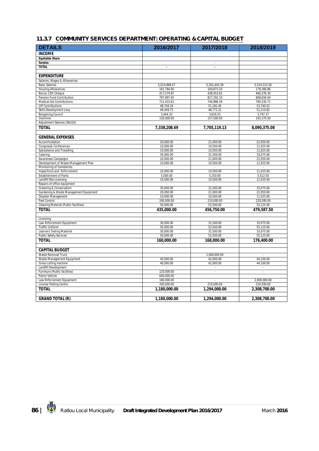#### **11.3.7 COMMUNITY SERVICES DEPARTMENT: OPERATING & CAPITAL BUDGET**

| <b>DETAILS</b>                                      | 2016/2017    | 2017/2018                | 2018/2019              |
|-----------------------------------------------------|--------------|--------------------------|------------------------|
| <b>INCOME</b>                                       |              |                          |                        |
| <b>Equitable Share</b>                              |              |                          |                        |
| <b>Surplus</b>                                      |              | $\overline{\phantom{a}}$ |                        |
| <b>TOTAL</b>                                        | $\bullet$    | ÷.                       |                        |
|                                                     |              |                          |                        |
| <b>EXPENDITURE</b>                                  |              |                          |                        |
| Salaries, Wages & Allowances                        |              |                          |                        |
| <b>Basic Salaries</b>                               | 5,010,898.47 | 5,261,443.39             | 5,524,515.56           |
| <b>Housing Allowances</b>                           | 161,784.00   | 169,873.20               | 178,366.86             |
| Bonus 13th Cheque                                   | 417,574.87   | 438,453.62               | 460,376.30             |
| Pension Fund Contribution                           | 787,897.45   | 827,292.33               | 868,656.94             |
| <b>Medical Aid Contributions</b>                    | 711,415.61   | 746,986.39               | 784,335.71             |
| <b>UIF Contributions</b>                            | 48,744.24    | 51,181.45                | 53,740.52              |
| Skills Development Levy                             | 46,449.73    | 48,772.21                | 51,210.82              |
| <b>Bargaining Council</b>                           | 3,444.33     | 3,616.55                 | 3,797.37               |
| Overtime                                            | 150,000.00   | 157,500.00               | 165,375.00             |
| Adjustment Salaries (SALGA)                         |              |                          |                        |
| <b>TOTAL</b>                                        | 7,338,208.69 | 7,705,119.13             | 8,090,375.08           |
| <b>GENERAL EXPENSES</b>                             |              |                          |                        |
| Accommodation                                       | 20.000.00    | 21,000.00                | 22,050.00              |
| Congress& Conferences                               | 10,000.00    | 10,500.00                | 11,025.00              |
| Subsistence and Travelling                          | 10,000.00    | 10.500.00                | 11,025.00              |
| Catering                                            | 30,000.00    | 31,500.00                | 33,075.00              |
| Awareness Campaigns                                 | 20,000.00    | 21,000.00                | 22,050.00              |
| Development of Waste Management Plan                | 10,000.00    | 10,500.00                | 11,025.00              |
| Monitoring of Cemeteries                            |              |                          |                        |
| Inspections and Enforcement                         | 10,000.00    | 10,500.00                | 11,025.00              |
| Establishment of Parks                              | 5,000.00     | 5,250.00                 | 5,512.50               |
| Landfill Site Licensing                             | 10,000.00    | 10,500.00                | 11,025.00              |
| Repairs of office equipment                         |              |                          |                        |
| Greening & Conservation                             | 30.000.00    | 31.500.00                | 33.075.00              |
| Gardening & Waste Management Equipment              | 20,000.00    | 21,000.00                | 22,050.00              |
| Disaster Management                                 | 10,000.00    | 10,500.00                | 11,025.00              |
| Pest Control                                        | 200,000.00   | 210,000.00               | 220,500.00             |
| Cleaning Material (Public facilities)               | 50,000.00    | 52,500.00                | 55,125.00              |
| <b>TOTAL</b>                                        | 435,000.00   | 456,750.00               | 479,587.50             |
| Licensing                                           |              |                          |                        |
| Law Enforcement Equipment                           | 30.000.00    | 31.500.00                | 33,075.00              |
| Traffic Uniform                                     | 50,000.00    | 52,500.00                | 55,125.00              |
| Learners Testing Material                           | 30.000.00    | 31.500.00                | 33,075.00              |
| <b>Public Safety Services</b>                       | 50,000.00    | 52,500.00                | 55,125.00              |
| <b>TOTAL</b>                                        | 160,000.00   | 168,000.00               | 176,400.00             |
| <b>CAPITAL BUDGET</b>                               |              |                          |                        |
| Waste Removal Truck                                 | ÷.           | 1.000.000.00             | à.                     |
|                                                     | 40.000.00    |                          |                        |
| Waste Management Equipment<br>Grass cutting machine | 40,000.00    | 42,000.00<br>42,000.00   | 44,100.00<br>44,100.00 |
| Landfill Development                                |              |                          | ÷,                     |
| Furniture (Public facilities)                       | 120,000.00   | ×                        | ł.                     |
| Patrol Vehicle                                      | 600,000.00   |                          |                        |
| Law Enforcement Equipment                           | 180,000.00   |                          | 2,000,000.00           |
| <b>License Testing Centre</b>                       | 200,000.00   | 210,000.00               | 220,500.00             |
| <b>TOTAL</b>                                        | 1,180,000.00 | 1,294,000.00             | 2,308,700.00           |
|                                                     |              |                          |                        |
| <b>GRAND TOTAL (R)</b>                              | 1,180,000.00 | 1,294,000.00             | 2,308,700.00           |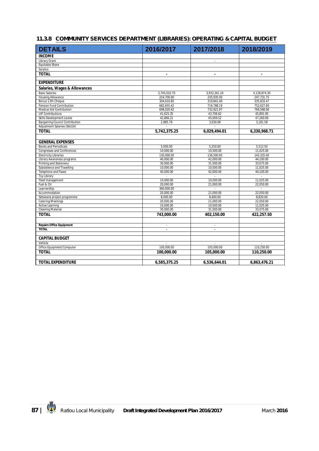|  | 11.3.8 COMMUNITY SERVICES DEPARTMENT (LIBRARIES): OPERATING & CAPITAL BUDGET |
|--|------------------------------------------------------------------------------|
|  |                                                                              |

| <b>DETAILS</b>                         | 2016/2017      | 2017/2018                | 2018/2019    |
|----------------------------------------|----------------|--------------------------|--------------|
| <b>INCOME</b>                          |                |                          |              |
| <b>Library Grant</b>                   |                | $\overline{\phantom{a}}$ |              |
| Equitable Share                        |                |                          |              |
| Surplus                                |                |                          |              |
| <b>TOTAL</b>                           | $\blacksquare$ | $\blacksquare$           |              |
|                                        |                |                          |              |
| <b>EXPENDITURE</b>                     |                |                          |              |
| Salaries, Wages & Allowances           |                |                          |              |
| <b>Basic Salaries</b>                  | 3,745,010.70   | 3,932,261.24             | 4,128,874.30 |
| <b>Housing Allowance</b>               | 224,700.00     | 235,935.00               | 247,731.75   |
| Bonus 13th Cheque                      | 304,610.85     | 319,841.40               | 335,833.47   |
| Pension Fund Contribution              | 682,655.42     | 716,788.19               | 752,627.60   |
| Medical Aid Contribution               | 698,020.92     | 732,921.97               | 769,568.06   |
| <b>UIF Contributions</b>               | 41,625.35      | 43,706.62                | 45,891.95    |
| Skills Development Levies              | 42,866.21      | 45,009.52                | 47,260.00    |
| <b>Bargaining Council Contribution</b> | 2.885.79       | 3,030.08                 | 3,181.58     |
| Adjustment Salaries (SALGA)            |                |                          |              |
| <b>TOTAL</b>                           | 5,742,375.25   | 6,029,494.01             | 6,330,968.71 |
|                                        |                |                          |              |
| <b>GENERAL EXPENSES</b>                |                |                          |              |
| <b>Books and Periodicals</b>           | 5.000.00       | 5.250.00                 | 5,512.50     |
| <b>Congresses and Conferences</b>      | 10.000.00      | 10.500.00                | 11,025.00    |
| <b>Electricity Libraries</b>           | 130.000.00     | 136,500.00               | 143,325.00   |
| Library Awareness programs             | 40,000.00      | 42,000.00                | 44,100.00    |
| Printing and Stationery                | 30,000.00      | 31,500.00                | 33,075.00    |
| Subsistence and Travelling             | 10,000.00      | 10,500.00                | 11,025.00    |
| Telephone and Faxes                    | 40,000.00      | 42,000.00                | 44,100.00    |
| <b>Toy Library</b>                     |                |                          |              |
| Fleet management                       | 10,000.00      | 10,500.00                | 11,025.00    |
| Fuel & Oil                             | 20.000.00      | 21,000.00                | 22,050.00    |
| Learnership                            | 360,000.00     |                          |              |
| Accommodation                          | 20,000.00      | 21,000.00                | 22,050.00    |
| Setswana project programme             | 8,000.00       | 8,400.00                 | 8,820.00     |
| Catering/Meetings                      | 20,000.00      | 21,000.00                | 22,050.00    |
| <b>Active Learning</b>                 | 10,000.00      | 10,500.00                | 11,025.00    |
| <b>Cleaning Material</b>               | 30,000.00      | 31,500.00                | 33,075.00    |
| <b>TOTAL</b>                           | 743,000.00     | 402,150.00               | 422,257.50   |
| <b>Repairs Office Equipment</b>        | ×              | $\overline{\phantom{a}}$ |              |
| <b>TOTAL</b>                           | ä,             | $\blacksquare$           |              |
|                                        |                |                          |              |
| <b>CAPITAL BUDGET</b>                  |                |                          |              |
| Vehicle                                |                |                          |              |
| Office Equipment/Computer              | 100,000.00     | 105,000.00               | 110,250.00   |
| <b>TOTAL</b>                           | 100,000.00     | 105,000.00               | 110,250.00   |
|                                        |                |                          |              |
| <b>TOTAL EXPENDITURE</b>               | 6,585,375.25   | 6,536,644.01             | 6,863,476.21 |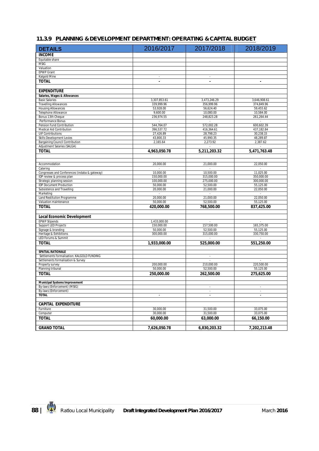#### **11.3.9 PLANNING & DEVELOPMENT DEPARTMENT: OPERATING & CAPITAL BUDGET**

| <b>DETAILS</b>                                               | 2016/2017               | 2017/2018                       | 2018/2019                |
|--------------------------------------------------------------|-------------------------|---------------------------------|--------------------------|
| <b>INCOME</b>                                                |                         |                                 |                          |
| Equitable share                                              |                         |                                 |                          |
| <b>MSIG</b>                                                  |                         |                                 |                          |
| Valuation                                                    |                         |                                 |                          |
| <b>EPWP Grant</b><br>Kalgold Mine                            |                         |                                 |                          |
| <b>TOTAL</b>                                                 | $\sim$                  | $\overline{\phantom{a}}$        |                          |
|                                                              | $\blacksquare$          | $\blacksquare$                  | $\blacksquare$           |
|                                                              |                         |                                 |                          |
| <b>EXPENDITURE</b>                                           |                         |                                 |                          |
| Salaries, Wages & Allowances<br><b>Basic Salaries</b>        | 3,307,853.61            | 3,473,246.29                    | 3,646,908.61             |
| <b>Travelling Allowances</b>                                 | 339,999.96              | 356,999.96                      | 374,849.96               |
| <b>Housing Allowances</b>                                    | 53,928.00               | 56,624.40                       | 59.455.62                |
| Telephone Allowance                                          | 9,600.00                | 10,080.00                       | 10,584.00                |
| Bonus 13th Cheque                                            | 236,974.55              | 248,823.28                      | 261,264.44               |
| Performance Bonus                                            | $\sim$                  | $\sim$                          | $\sim$                   |
| Pension Fund Contribution                                    | 544,764.07              | 572,002.28                      | 600,602.39               |
| Medical Aid Contribution                                     | 396,537.72              | 416,364.61                      | 437,182.84               |
| <b>UIF Contributions</b><br><b>Skills Development Levies</b> | 27,426.89<br>43,800.33  | 28,798.23<br>45,990.35          | 30,238.15<br>48,289.87   |
| Bargaining Council Contribution                              | 2,165.64                | 2,273.92                        | 2,387.62                 |
| Adjustment Salaries (SALGA)                                  |                         |                                 |                          |
| <b>TOTAL</b>                                                 | 4,963,050.78            | 5,211,203.32                    | 5,471,763.48             |
|                                                              |                         |                                 |                          |
|                                                              |                         |                                 |                          |
| Accommodation                                                | 20,000.00               | 21,000.00                       | 22,050.00                |
| Catering                                                     | ÷.                      | ÷.                              |                          |
| Congresses and Conferences (indaba & gateway)                | 10,000.00               | 10,500.00                       | 11,025.00                |
| IDP review & process plan                                    | 150,000.00              | 315,000.00                      | 350,000.00               |
| Strategic planning session<br><b>IDP Document Production</b> | 100,000.00<br>50,000.00 | 275,000.00<br>52,500.00         | 300,000.00<br>55,125.00  |
| Subsistence and Travelling                                   | 20,000.00               | 21,000.00                       | 22,050.00                |
| Marketing                                                    | $\sim$                  |                                 |                          |
| Land Restitution Programme                                   | 20,000.00               | 21,000.00                       | 22,050.00                |
| Valuation maintenance                                        | 50,000.00               | 52,500.00                       | 55,125.00                |
| <b>TOTAL</b>                                                 | 420,000.00              | 768,500.00                      | 837,425.00               |
|                                                              |                         |                                 |                          |
| <b>Local Economic Development</b>                            |                         |                                 |                          |
| <b>EPWP Stipends</b>                                         | 1,433,000.00            |                                 |                          |
| <b>Support LED Projects</b>                                  | 150,000.00              | 157,500.00                      | 165,375.00               |
| Signage & branding                                           | 50,000.00               | 52,500.00                       | 55,125.00                |
| Heritage & Exhibitions                                       | 300,000.00              | 315,000.00                      | 330,750.00               |
| LED Forums & Summit                                          |                         |                                 |                          |
| <b>TOTAL</b>                                                 | 1,933,000.00            | 525,000.00                      | 551,250.00               |
| SPATIAL RATIONALE                                            |                         |                                 |                          |
| Settlements formalisation: KALGOLD FUNDING                   |                         | $\overline{\phantom{a}}$        |                          |
| Settlements formalisation & Survey                           |                         |                                 |                          |
| Property survey                                              | 200,000.00              | 210,000.00                      | 220,500.00               |
| Planning tribunal                                            | 50,000.00               | 52,500.00                       | 55,125.00                |
| <b>TOTAL</b>                                                 | 250,000.00              | 262,500.00                      | 275,625.00               |
|                                                              |                         |                                 |                          |
| <b>Municipal Systems Improvement</b>                         |                         |                                 |                          |
| By-laws (Enforcement) (MSIG)                                 |                         | $\overline{\phantom{a}}$        | $\sim$                   |
| By-laws (Enforcement)<br><b>TOTAL</b>                        | $\blacksquare$          | $\mathcal{L}$<br>$\blacksquare$ | $\sim$<br>$\blacksquare$ |
|                                                              |                         |                                 |                          |
| <b>CAPITAL EXPENDITURE</b>                                   |                         |                                 |                          |
| Furniture                                                    | 30.000.00               | 31,500.00                       | 33,075.00                |
| Computer                                                     | 30,000.00               | 31,500.00                       | 33,075.00                |
| <b>TOTAL</b>                                                 | 60,000.00               | 63,000.00                       | 66,150.00                |
|                                                              |                         |                                 |                          |
| <b>GRAND TOTAL</b>                                           | 7,626,050.78            | 6,830,203.32                    | 7,202,213.48             |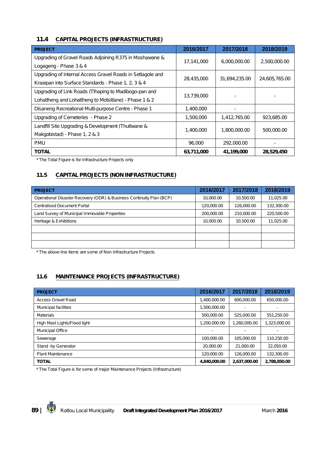#### **11.4 CAPITAL PROJECTS (INFRASTRUCTURE)**

| <b>PROJECT</b>                                             | 2016/2017  | 2017/2018     | 2018/2019     |
|------------------------------------------------------------|------------|---------------|---------------|
| Upgrading of Gravel Roads Adjoining R375 in Moshawane &    |            |               |               |
| Logageng - Phase 3 & 4                                     | 17,141,000 | 6,000,000.00  | 2,500,000.00  |
| Upgrading of internal Access Gravel Roads in Setlagole and |            |               |               |
| Kraaipan into Surface Standards - Phase 1, 2, 3 & 4        | 28,435,000 | 31,694,235.00 | 24,605,765.00 |
| Upgrading of Link Roads (Tlhaping to Madibogo-pan and      | 13,739,000 |               |               |
| Lohatlheng and Lohatlheng to Motsitlane) - Phase 1 & 2     |            |               |               |
| Disaneng Recreational Multi-purpose Centre - Phase 1       | 1,400,000  |               |               |
| Upgrading of Cemeteries - Phase 2                          | 1,500,000  | 1,412,765.00  | 923,685.00    |
| Landfill Site Upgrading & Development (Thut Iwane &        |            |               |               |
| Makgobistad) - Phase 1, 2 & 3                              | 1,400,000  | 1,800,000.00  | 500,000.00    |
| <b>PMU</b>                                                 | 96,000     | 292,000.00    |               |
| <b>TOTAL</b>                                               | 63,711,000 | 41,199,000    | 28,529,450    |

*\* The Total Figure is for Infrastructure Projects only*

## **11.5 CAPITAL PROJECTS (NON INFRASTRUCTURE)**

| <b>PROJECT</b>                                                       | 2016/2017  | 2017/2018  | 2018/2019  |
|----------------------------------------------------------------------|------------|------------|------------|
| Operational Disaster Recovery (ODR) & Business Continuity Plan (BCP) | 10,000.00  | 10,500.00  | 11,025.00  |
| <b>Centralised Document Portal</b>                                   | 120,000.00 | 126,000.00 | 132,300.00 |
| Land Survey of Municipal Immovable Properties                        | 200,000.00 | 210,000.00 | 220,500.00 |
| Heritage & Exhibitions                                               | 10,000.00  | 10,500.00  | 11,025.00  |
|                                                                      |            |            |            |
|                                                                      |            |            |            |
|                                                                      |            |            |            |

*\* The above line items are some of Non Infrastructure Projects* 

## **11.6 MAINTENANCE PROJECTS (INFRASTRUCTURE)**

| <b>PROJECT</b>               | 2016/2017    | 2017/2018      | 2018/2019    |
|------------------------------|--------------|----------------|--------------|
| <b>Access Gravel Road</b>    | 1,400,000.00 | 600,000.00     | 650,000.00   |
| Municipal facilities         | 1,500,000.00 | $\overline{a}$ |              |
| <b>Materials</b>             | 500,000.00   | 525,000.00     | 551,250.00   |
| High Mast Lights/Flood light | 1,200,000.00 | 1,260,000.00   | 1,323,000.00 |
| <b>Municipal Office</b>      |              | $\overline{a}$ |              |
| Sewerage                     | 100,000.00   | 105,000.00     | 110.250.00   |
| Stand -by Generator          | 20,000.00    | 21,000.00      | 22.050.00    |
| <b>Plant Maintenance</b>     | 120,000.00   | 126,000.00     | 132,300.00   |
| <b>TOTAL</b>                 | 4,840,000.00 | 2,637,000.00   | 2,788,850.00 |

*\* The Total Figure is for some of major Maintenance Projects (Infrastructure)*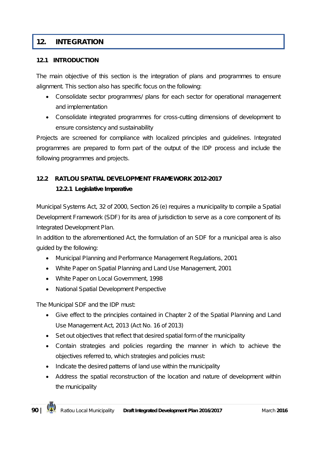# **12. INTEGRATION**

#### **12.1 INTRODUCTION**

The main objective of this section is the integration of plans and programmes to ensure alignment. This section also has specific focus on the following:

- Consolidate sector programmes/ plans for each sector for operational management and implementation
- Consolidate integrated programmes for cross-cutting dimensions of development to ensure consistency and sustainability

Projects are screened for compliance with localized principles and guidelines. Integrated programmes are prepared to form part of the output of the IDP process and include the following programmes and projects.

## **12.2 RATLOU SPATIAL DEVELOPMENT FRAMEWORK 2012-2017**

#### **12.2.1 Legislative Imperative**

Municipal Systems Act, 32 of 2000, Section 26 (e) requires a municipality to compile a Spatial Development Framework (SDF) for its area of jurisdiction to serve as a core component of its Integrated Development Plan.

In addition to the aforementioned Act, the formulation of an SDF for a municipal area is also guided by the following:

- Municipal Planning and Performance Management Regulations, 2001
- White Paper on Spatial Planning and Land Use Management, 2001
- White Paper on Local Government, 1998
- National Spatial Development Perspective

The Municipal SDF and the IDP must:

- Give effect to the principles contained in Chapter 2 of the Spatial Planning and Land Use Management Act, 2013 (Act No. 16 of 2013)
- Set out objectives that reflect that desired spatial form of the municipality
- Contain strategies and policies regarding the manner in which to achieve the objectives referred to, which strategies and policies must:
- Indicate the desired patterns of land use within the municipality
- Address the spatial reconstruction of the location and nature of development within the municipality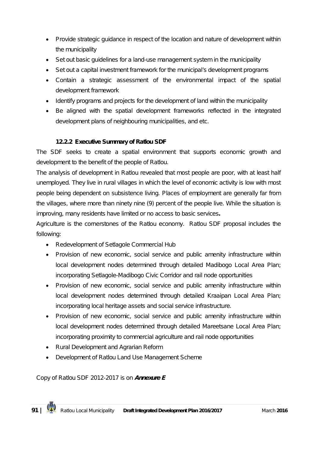- Provide strategic guidance in respect of the location and nature of development within the municipality
- Set out basic guidelines for a land-use management system in the municipality
- Set out a capital investment framework for the municipal's development programs
- Contain a strategic assessment of the environmental impact of the spatial development framework
- Identify programs and projects for the development of land within the municipality
- Be aligned with the spatial development frameworks reflected in the integrated development plans of neighbouring municipalities, and etc.

#### **12.2.2 Executive Summary of Ratlou SDF**

The SDF seeks to create a spatial environment that supports economic growth and development to the benefit of the people of Ratlou.

The analysis of development in Ratlou revealed that most people are poor, with at least half unemployed. They live in rural villages in which the level of economic activity is low with most people being dependent on subsistence living. Places of employment are generally far from the villages, where more than ninety nine (9) percent of the people live. While the situation is improving, many residents have limited or no access to basic services**.**

Agriculture is the cornerstones of the Ratlou economy. Ratlou SDF proposal includes the following:

- Redevelopment of Setlagole Commercial Hub
- Provision of new economic, social service and public amenity infrastructure within local development nodes determined through detailed Madibogo Local Area Plan; incorporating Setlagole-Madibogo Civic Corridor and rail node opportunities
- Provision of new economic, social service and public amenity infrastructure within local development nodes determined through detailed Kraaipan Local Area Plan; incorporating local heritage assets and social service infrastructure.
- Provision of new economic, social service and public amenity infrastructure within local development nodes determined through detailed Mareetsane Local Area Plan; incorporating proximity to commercial agriculture and rail node opportunities
- Rural Development and Agrarian Reform
- Development of Ratlou Land Use Management Scheme

*Copy of Ratlou SDF 2012-2017 is on Annexure E*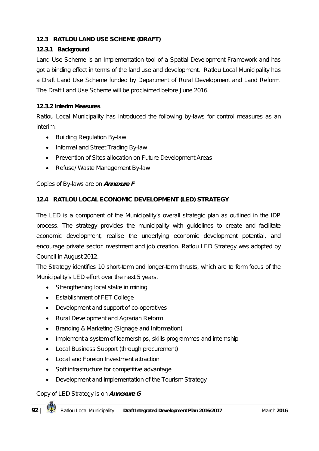#### **12.3 RATLOU LAND USE SCHEME (DRAFT)**

#### **12.3.1 Background**

Land Use Scheme is an Implementation tool of a Spatial Development Framework and has got a binding effect in terms of the land use and development. Ratlou Local Municipality has a Draft Land Use Scheme funded by Department of Rural Development and Land Reform. The Draft Land Use Scheme will be proclaimed before June 2016.

#### **12.3.2 Interim Measures**

Ratlou Local Municipality has introduced the following by-laws for control measures as an interim:

- Building Regulation By-law
- Informal and Street Trading By-law
- Prevention of Sites allocation on Future Development Areas
- Refuse/ Waste Management By-law

#### *Copies of By-laws are on Annexure F*

#### **12.4 RATLOU LOCAL ECONOMIC DEVELOPMENT (LED) STRATEGY**

The LED is a component of the Municipality's overall strategic plan as outlined in the IDP process. The strategy provides the municipality with guidelines to create and facilitate economic development, realise the underlying economic development potential, and encourage private sector investment and job creation. Ratlou LED Strategy was adopted by Council in August 2012.

The Strategy identifies 10 short-term and longer-term thrusts, which are to form focus of the Municipality's LED effort over the next 5 years.

- Strengthening local stake in mining
- Establishment of FET College
- Development and support of co-operatives
- Rural Development and Agrarian Reform
- Branding & Marketing (Signage and Information)
- Implement a system of learnerships, skills programmes and internship
- Local Business Support (through procurement)
- Local and Foreign Investment attraction
- Soft infrastructure for competitive advantage
- Development and implementation of the Tourism Strategy

#### *Copy of LED Strategy is on Annexure G*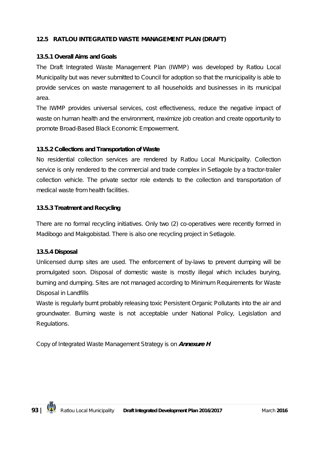#### **12.5 RATLOU INTEGRATED WASTE MANAGEMENT PLAN (DRAFT)**

#### **13.5.1 Overall Aims and Goals**

The Draft Integrated Waste Management Plan (IWMP) was developed by Ratlou Local Municipality but was never submitted to Council for adoption so that the municipality is able to provide services on waste management to all households and businesses in its municipal area.

The IWMP provides universal services, cost effectiveness, reduce the negative impact of waste on human health and the environment, maximize job creation and create opportunity to promote Broad-Based Black Economic Empowerment.

#### **13.5.2 Collections and Transportation of Waste**

No residential collection services are rendered by Ratlou Local Municipality. Collection service is only rendered to the commercial and trade complex in Setlagole by a tractor-trailer collection vehicle. The private sector role extends to the collection and transportation of medical waste from health facilities.

#### **13.5.3 Treatment and Recycling**

There are no formal recycling initiatives. Only two (2) co-operatives were recently formed in Madibogo and Makgobistad. There is also one recycling project in Setlagole.

#### **13.5.4 Disposal**

Unlicensed dump sites are used. The enforcement of by-laws to prevent dumping will be promulgated soon. Disposal of domestic waste is mostly illegal which includes burying, burning and dumping. Sites are not managed according to Minimum Requirements for Waste Disposal in Landfills

Waste is regularly burnt probably releasing toxic Persistent Organic Pollutants into the air and groundwater. Burning waste is not acceptable under National Policy, Legislation and Regulations.

*Copy of Integrated Waste Management Strategy is on Annexure H*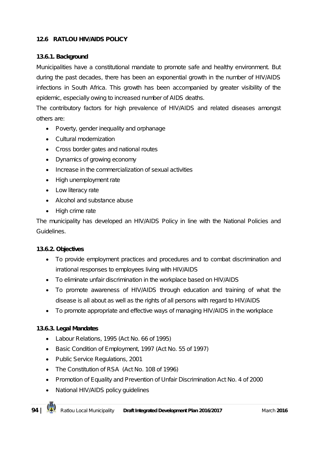### **12.6 RATLOU HIV/AIDS POLICY**

#### **13.6.1. Background**

Municipalities have a constitutional mandate to promote safe and healthy environment. But during the past decades, there has been an exponential growth in the number of HIV/AIDS infections in South Africa. This growth has been accompanied by greater visibility of the epidemic, especially owing to increased number of AIDS deaths.

The contributory factors for high prevalence of HIV/AIDS and related diseases amongst others are:

- Poverty, gender inequality and orphanage
- Cultural modernization
- Cross border gates and national routes
- Dynamics of growing economy
- Increase in the commercialization of sexual activities
- High unemployment rate
- Low literacy rate
- Alcohol and substance abuse
- High crime rate

The municipality has developed an HIV/AIDS Policy in line with the National Policies and Guidelines.

#### **13.6.2. Objectives**

- To provide employment practices and procedures and to combat discrimination and irrational responses to employees living with HIV/AIDS
- To eliminate unfair discrimination in the workplace based on HIV/AIDS
- To promote awareness of HIV/AIDS through education and training of what the disease is all about as well as the rights of all persons with regard to HIV/AIDS
- To promote appropriate and effective ways of managing HIV/AIDS in the workplace

#### **13.6.3. Legal Mandates**

- Labour Relations, 1995 (Act No. 66 of 1995)
- Basic Condition of Employment, 1997 (Act No. 55 of 1997)
- Public Service Regulations, 2001
- The Constitution of RSA (Act No. 108 of 1996)
- Promotion of Equality and Prevention of Unfair Discrimination Act No. 4 of 2000
- National HIV/AIDS policy quidelines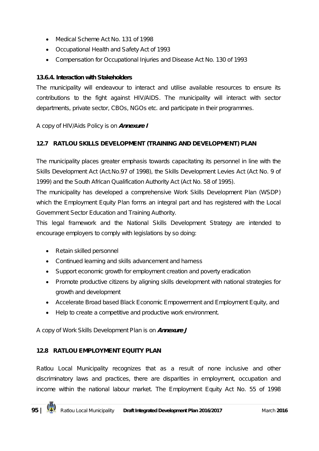- Medical Scheme Act No. 131 of 1998
- Occupational Health and Safety Act of 1993
- Compensation for Occupational Injuries and Disease Act No. 130 of 1993

#### **13.6.4. Interaction with Stakeholders**

The municipality will endeavour to interact and utilise available resources to ensure its contributions to the fight against HIV/AIDS. The municipality will interact with sector departments, private sector, CBOs, NGOs etc. and participate in their programmes.

#### *A copy of HIV/Aids Policy is on Annexure I*

#### **12.7 RATLOU SKILLS DEVELOPMENT (TRAINING AND DEVELOPMENT) PLAN**

The municipality places greater emphasis towards capacitating its personnel in line with the Skills Development Act (Act.No.97 of 1998), the Skills Development Levies Act (Act No. 9 of 1999) and the South African Qualification Authority Act (Act No. 58 of 1995).

The municipality has developed a comprehensive Work Skills Development Plan (WSDP) which the Employment Equity Plan forms an integral part and has registered with the Local Government Sector Education and Training Authority.

This legal framework and the National Skills Development Strategy are intended to encourage employers to comply with legislations by so doing:

- Retain skilled personnel
- Continued learning and skills advancement and harness
- Support economic growth for employment creation and poverty eradication
- Promote productive citizens by aligning skills development with national strategies for growth and development
- Accelerate Broad based Black Economic Empowerment and Employment Equity, and
- Help to create a competitive and productive work environment.

#### *A copy of Work Skills Development Plan is on Annexure J*

#### **12.8 RATLOU EMPLOYMENT EQUITY PLAN**

Ratlou Local Municipality recognizes that as a result of none inclusive and other discriminatory laws and practices, there are disparities in employment, occupation and income within the national labour market. The Employment Equity Act No. 55 of 1998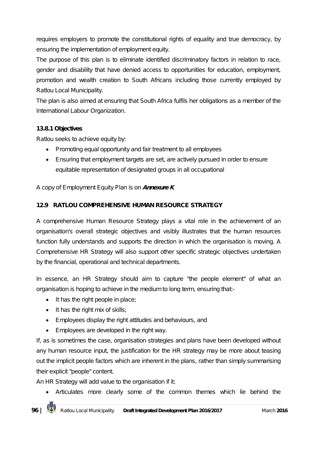requires employers to promote the constitutional rights of equality and true democracy, by ensuring the implementation of employment equity.

The purpose of this plan is to eliminate identified discriminatory factors in relation to race, gender and disability that have denied access to opportunities for education, employment, promotion and wealth creation to South Africans including those currently employed by Ratlou Local Municipality.

The plan is also aimed at ensuring that South Africa fulfils her obligations as a member of the International Labour Organization.

#### **13.8.1 Objectives**

Ratlou seeks to achieve equity by:

- Promoting equal opportunity and fair treatment to all employees
- Ensuring that employment targets are set, are actively pursued in order to ensure equitable representation of designated groups in all occupational

#### *A copy of Employment Equity Plan is on Annexure K*

#### **12.9 RATLOU COMPREHENSIVE HUMAN RESOURCE STRATEGY**

A comprehensive Human Resource Strategy plays a vital role in the achievement of an organisation's overall strategic objectives and visibly illustrates that the human resources function fully understands and supports the direction in which the organisation is moving. A Comprehensive HR Strategy will also support other specific strategic objectives undertaken by the financial, operational and technical departments.

In essence, an HR Strategy should aim to capture "the people element" of what an organisation is hoping to achieve in the medium to long term, ensuring that:-

- $\bullet$  It has the right people in place;
- $\bullet$  It has the right mix of skills;
- Employees display the right attitudes and behaviours, and
- Employees are developed in the right way.

If, as is sometimes the case, organisation strategies and plans have been developed without any human resource input, the justification for the HR strategy may be more about teasing out the implicit people factors which are inherent in the plans, rather than simply summarising their explicit "people" content.

An HR Strategy will add value to the organisation if it:

Articulates more clearly some of the common themes which lie behind the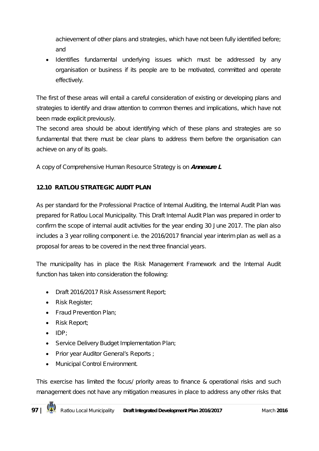achievement of other plans and strategies, which have not been fully identified before; and

• Identifies fundamental underlying issues which must be addressed by any organisation or business if its people are to be motivated, committed and operate effectively.

The first of these areas will entail a careful consideration of existing or developing plans and strategies to identify and draw attention to common themes and implications, which have not been made explicit previously.

The second area should be about identifying which of these plans and strategies are so fundamental that there must be clear plans to address them before the organisation can achieve on any of its goals.

## *A copy of Comprehensive Human Resource Strategy is on Annexure L*

#### **12.10 RATLOU STRATEGIC AUDIT PLAN**

As per standard for the Professional Practice of Internal Auditing, the Internal Audit Plan was prepared for Ratlou Local Municipality. This Draft Internal Audit Plan was prepared in order to confirm the scope of internal audit activities for the year ending 30 June 2017. The plan also includes a 3 year rolling component i.e. the 2016/2017 financial year interim plan as well as a proposal for areas to be covered in the next three financial years.

The municipality has in place the Risk Management Framework and the Internal Audit function has taken into consideration the following:

- Draft 2016/2017 Risk Assessment Report;
- Risk Register;
- Fraud Prevention Plan;
- Risk Report;
- $\bullet$  IDP;
- Service Delivery Budget Implementation Plan;
- Prior year Auditor General's Reports ;
- Municipal Control Environment.

This exercise has limited the focus/ priority areas to finance & operational risks and such management does not have any mitigation measures in place to address any other risks that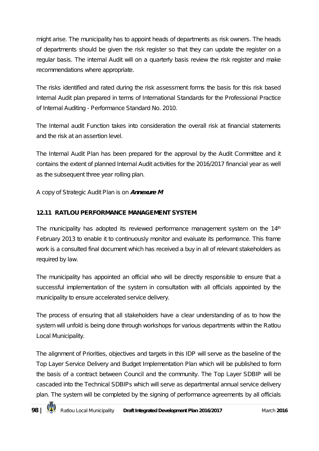might arise. The municipality has to appoint heads of departments as risk owners. The heads of departments should be given the risk register so that they can update the register on a regular basis. The internal Audit will on a quarterly basis review the risk register and make recommendations where appropriate.

The risks identified and rated during the risk assessment forms the basis for this risk based Internal Audit plan prepared in terms of International Standards for the Professional Practice of Internal Auditing - Performance Standard No. 2010.

The Internal audit Function takes into consideration the overall risk at financial statements and the risk at an assertion level.

The Internal Audit Plan has been prepared for the approval by the Audit Committee and it contains the extent of planned Internal Audit activities for the 2016/2017 financial year as well as the subsequent three year rolling plan.

#### *A copy of Strategic Audit Plan is on Annexure M*

#### **12.11 RATLOU PERFORMANCE MANAGEMENT SYSTEM**

The municipality has adopted its reviewed performance management system on the  $14<sup>th</sup>$ February 2013 to enable it to continuously monitor and evaluate its performance. This frame work is a consulted final document which has received a buy in all of relevant stakeholders as required by law.

The municipality has appointed an official who will be directly responsible to ensure that a successful implementation of the system in consultation with all officials appointed by the municipality to ensure accelerated service delivery.

The process of ensuring that all stakeholders have a clear understanding of as to how the system will unfold is being done through workshops for various departments within the Ratlou Local Municipality.

The alignment of Priorities, objectives and targets in this IDP will serve as the baseline of the Top Layer Service Delivery and Budget Implementation Plan which will be published to form the basis of a contract between Council and the community. The Top Layer SDBIP will be cascaded into the Technical SDBIPs which will serve as departmental annual service delivery plan. The system will be completed by the signing of performance agreements by all officials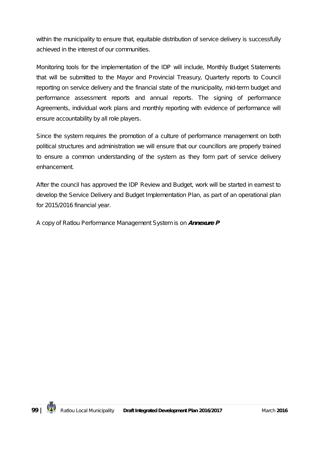within the municipality to ensure that, equitable distribution of service delivery is successfully achieved in the interest of our communities.

Monitoring tools for the implementation of the IDP will include, Monthly Budget Statements that will be submitted to the Mayor and Provincial Treasury, Quarterly reports to Council reporting on service delivery and the financial state of the municipality, mid-term budget and performance assessment reports and annual reports. The signing of performance Agreements, individual work plans and monthly reporting with evidence of performance will ensure accountability by all role players.

Since the system requires the promotion of a culture of performance management on both political structures and administration we will ensure that our councillors are properly trained to ensure a common understanding of the system as they form part of service delivery enhancement.

After the council has approved the IDP Review and Budget, work will be started in earnest to develop the Service Delivery and Budget Implementation Plan, as part of an operational plan for 2015/2016 financial year.

*A copy of Ratlou Performance Management System is on Annexure P*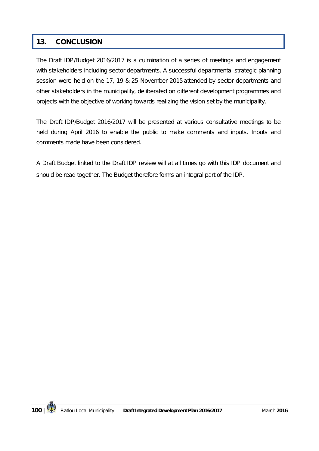# **13. CONCLUSION**

The Draft IDP/Budget 2016/2017 is a culmination of a series of meetings and engagement with stakeholders including sector departments. A successful departmental strategic planning session were held on the 17, 19 & 25 November 2015 attended by sector departments and other stakeholders in the municipality, deliberated on different development programmes and projects with the objective of working towards realizing the vision set by the municipality.

The Draft IDP/Budget 2016/2017 will be presented at various consultative meetings to be held during April 2016 to enable the public to make comments and inputs. Inputs and comments made have been considered.

A Draft Budget linked to the Draft IDP review will at all times go with this IDP document and should be read together. The Budget therefore forms an integral part of the IDP.